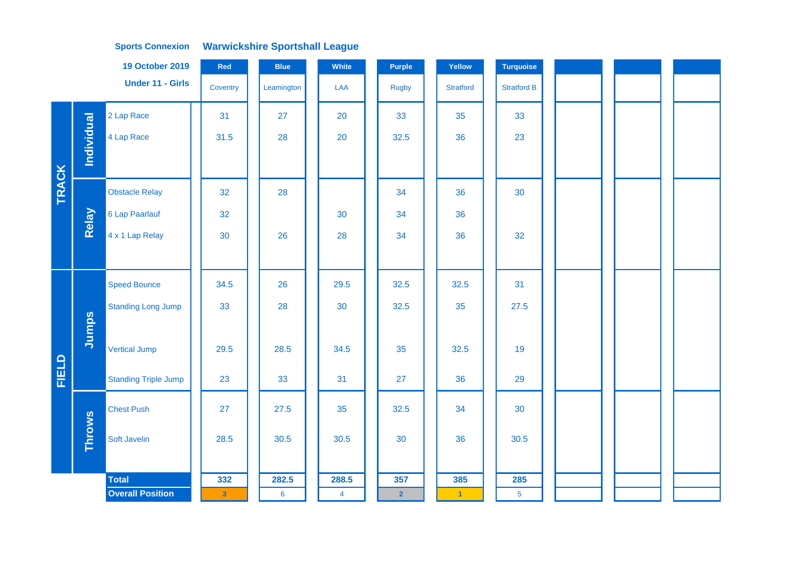|              |                   | <b>19 October 2019</b>      | Red      | <b>Blue</b>     | White          | <b>Purple</b>  | Yellow               | Turquoise          |  |  |
|--------------|-------------------|-----------------------------|----------|-----------------|----------------|----------------|----------------------|--------------------|--|--|
|              |                   | <b>Under 11 - Girls</b>     | Coventry | Leamington      | <b>LAA</b>     | <b>Rugby</b>   | <b>Stratford</b>     | <b>Stratford B</b> |  |  |
|              |                   | 2 Lap Race                  | 31       | 27              | 20             | 33             | 35                   | 33                 |  |  |
|              | <b>Individual</b> | 4 Lap Race                  | 31.5     | 28              | 20             | 32.5           | 36                   | 23                 |  |  |
|              |                   |                             |          |                 |                |                |                      |                    |  |  |
| <b>TRACK</b> |                   | <b>Obstacle Relay</b>       | 32       | 28              |                | 34             | 36                   | 30                 |  |  |
|              | Relay             | 6 Lap Paarlauf              | 32       |                 | 30             | 34             | 36                   |                    |  |  |
|              |                   | 4 x 1 Lap Relay             | 30       | 26              | 28             | 34             | 36                   | 32                 |  |  |
|              |                   |                             |          |                 |                |                |                      |                    |  |  |
|              |                   | <b>Speed Bounce</b>         | 34.5     | 26              | 29.5           | 32.5           | 32.5                 | 31                 |  |  |
|              |                   | <b>Standing Long Jump</b>   | 33       | 28              | 30             | 32.5           | 35                   | 27.5               |  |  |
|              | Jumps             |                             |          |                 |                |                |                      |                    |  |  |
|              |                   | <b>Vertical Jump</b>        | 29.5     | 28.5            | 34.5           | 35             | 32.5                 | 19                 |  |  |
| FIELD        |                   | <b>Standing Triple Jump</b> | 23       | 33              | 31             | 27             | 36                   | 29                 |  |  |
|              |                   | <b>Chest Push</b>           | 27       | 27.5            | 35             | 32.5           | 34                   | 30                 |  |  |
|              | <b>Throws</b>     | Soft Javelin                | 28.5     | 30.5            | 30.5           | 30             | 36                   | 30.5               |  |  |
|              |                   |                             |          |                 |                |                |                      |                    |  |  |
|              |                   | <b>Total</b>                | 332      | 282.5           | 288.5          | 357            | 385                  | 285                |  |  |
|              |                   | <b>Overall Position</b>     | $\bf{3}$ | $6\phantom{1}6$ | $\overline{4}$ | 2 <sub>2</sub> | $\blacktriangleleft$ | $\overline{5}$     |  |  |
|              |                   |                             |          |                 |                |                |                      |                    |  |  |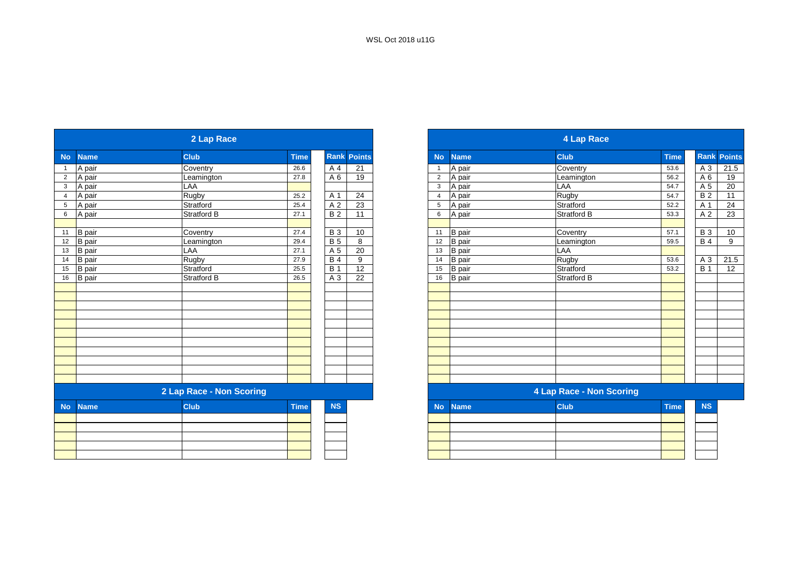|                 |               | 2 Lap Race               |             |                  |                    |                |               | 4 Lap Race               |             |                  |                            |
|-----------------|---------------|--------------------------|-------------|------------------|--------------------|----------------|---------------|--------------------------|-------------|------------------|----------------------------|
| <b>No</b>       | <b>Name</b>   | <b>Club</b>              | <b>Time</b> |                  | <b>Rank Points</b> | <b>No</b>      | <b>Name</b>   | <b>Club</b>              | <b>Time</b> | Rank Poi         |                            |
| $\overline{1}$  | A pair        | Coventry                 | 26.6        | A 4              | 21                 |                | A pair        | Coventry                 | 53.6        | A 3              | $\overline{21}$            |
| $\overline{2}$  | A pair        | Leamington               | 27.8        | A 6              | 19                 | 2              | A pair        | Leamington               | 56.2        | A 6              | $\overline{\phantom{0}}$ 1 |
| $\mathbf{3}$    | A pair        | LAA                      |             |                  |                    | $\mathbf{3}$   | A pair        | <b>LAA</b>               | 54.7        | A 5              | $\overline{2}$             |
| $\overline{4}$  | A pair        | <b>Rugby</b>             | 25.2        | A 1              | 24                 | $\overline{4}$ | A pair        | Rugby                    | 54.7        | $\overline{B}$ 2 | $\overline{\phantom{0}}$ 1 |
| $5\phantom{.0}$ | A pair        | Stratford                | 25.4        | A <sub>2</sub>   | 23                 | 5              | A pair        | Stratford                | 52.2        | A 1              | $\overline{2}$             |
| 6               | A pair        | Stratford B              | 27.1        | <b>B2</b>        | 11                 | 6              | A pair        | Stratford B              | 53.3        | A <sub>2</sub>   | $\overline{2}$             |
| 11              | <b>B</b> pair | Coventry                 | 27.4        | <b>B</b> 3       | 10                 | 11             | <b>B</b> pair | Coventry                 | 57.1        | <b>B</b> 3       | $\overline{1}$             |
| 12              | <b>B</b> pair | Leamington               | 29.4        | <b>B</b> 5       | 8                  | 12             | <b>B</b> pair | Leamington               | 59.5        | <b>B</b> 4       |                            |
| 13              | B pair        | LAA                      | 27.1        | A 5              | 20                 | 13             | <b>B</b> pair | LAA                      |             |                  |                            |
| 14              | B pair        | Rugby                    | 27.9        | <b>B</b> 4       | 9                  | 14             | <b>B</b> pair | Rugby                    | 53.6        | A 3              | 21                         |
| 15              | <b>B</b> pair | Stratford                | 25.5        | $\overline{B}$ 1 | 12                 | 15             | <b>B</b> pair | Stratford                | 53.2        | B <sub>1</sub>   |                            |
| 16              | <b>B</b> pair | Stratford B              | 26.5        | A 3              | 22                 | 16             | <b>B</b> pair | Stratford B              |             |                  |                            |
|                 |               |                          |             |                  |                    |                |               |                          |             |                  |                            |
|                 |               |                          |             |                  |                    |                |               |                          |             |                  |                            |
|                 |               |                          |             |                  |                    |                |               |                          |             |                  |                            |
|                 |               |                          |             |                  |                    |                |               |                          |             |                  |                            |
|                 |               |                          |             |                  |                    |                |               |                          |             |                  |                            |
|                 |               |                          |             |                  |                    |                |               |                          |             |                  |                            |
|                 |               |                          |             |                  |                    |                |               |                          |             |                  |                            |
|                 |               |                          |             |                  |                    |                |               |                          |             |                  |                            |
|                 |               |                          |             |                  |                    |                |               |                          |             |                  |                            |
|                 |               |                          |             |                  |                    |                |               |                          |             |                  |                            |
|                 |               |                          |             |                  |                    |                |               |                          |             |                  |                            |
|                 |               | 2 Lap Race - Non Scoring |             |                  |                    |                |               | 4 Lap Race - Non Scoring |             |                  |                            |
| <b>No</b>       | <b>Name</b>   | <b>Club</b>              | <b>Time</b> | <b>NS</b>        |                    | <b>No</b>      | <b>Name</b>   | <b>Club</b>              | <b>Time</b> | <b>NS</b>        |                            |
|                 |               |                          |             |                  |                    |                |               |                          |             |                  |                            |
|                 |               |                          |             |                  |                    |                |               |                          |             |                  |                            |
|                 |               |                          |             |                  |                    |                |               |                          |             |                  |                            |
|                 |               |                          |             |                  |                    |                |               |                          |             |                  |                            |
|                 |               |                          |             |                  |                    |                |               |                          |             |                  |                            |

|                |               | 2 Lap Race               |             |            |               |                |               | 4 Lap Race               |             |                |               |
|----------------|---------------|--------------------------|-------------|------------|---------------|----------------|---------------|--------------------------|-------------|----------------|---------------|
| No             | <b>Name</b>   | <b>Club</b>              | <b>Time</b> | Rank       | <b>Points</b> | <b>No</b>      | <b>Name</b>   | <b>Club</b>              | <b>Time</b> | Rank           | <b>Points</b> |
| $\overline{1}$ | A pair        | Coventry                 | 26.6        | A 4        | 21            |                | A pair        | Coventry                 | 53.6        | A 3            | 21.5          |
| $\overline{2}$ | A pair        | Leamington               | 27.8        | A 6        | 19            | $\overline{2}$ | A pair        | Leamington               | 56.2        | A <sub>6</sub> | 19            |
| $\mathbf{3}$   | A pair        | LAA                      |             |            |               | 3              | A pair        | LAA                      | 54.7        | A 5            | 20            |
| $\overline{4}$ | A pair        | Rugby                    | 25.2        | A 1        | 24            | $\overline{4}$ | A pair        | Rugby                    | 54.7        | <b>B2</b>      | 11            |
| $\sqrt{5}$     | A pair        | Stratford                | 25.4        | A 2        | 23            | 5              | A pair        | Stratford                | 52.2        | A 1            | 24            |
| 6              | A pair        | <b>Stratford B</b>       | 27.1        | <b>B2</b>  | 11            | 6              | A pair        | <b>Stratford B</b>       | 53.3        | A 2            | 23            |
|                |               |                          |             |            |               |                |               |                          |             |                |               |
| 11             | B pair        | Coventry                 | 27.4        | <b>B</b> 3 | 10            | 11             | <b>B</b> pair | Coventry                 | 57.1        | <b>B3</b>      | 10            |
| 12             | <b>B</b> pair | Leamington               | 29.4        | <b>B</b> 5 | 8             | 12             | <b>B</b> pair | Leamington               | 59.5        | <b>B4</b>      | 9             |
| 13             | B pair        | LAA                      | 27.1        | A 5        | 20            | 13             | <b>B</b> pair | LAA                      |             |                |               |
| 14             | B pair        | Rugby                    | 27.9        | <b>B4</b>  | 9             | 14             | <b>B</b> pair | Rugby                    | 53.6        | A 3            | 21.5          |
| 15             | <b>B</b> pair | Stratford                | 25.5        | <b>B</b> 1 | 12            | 15             | <b>B</b> pair | Stratford                | 53.2        | <b>B</b> 1     | 12            |
| 16             | <b>B</b> pair | Stratford B              | 26.5        | A 3        | 22            | 16             | <b>B</b> pair | Stratford B              |             |                |               |
|                |               |                          |             |            |               |                |               |                          |             |                |               |
|                |               |                          |             |            |               |                |               |                          |             |                |               |
|                |               |                          |             |            |               |                |               |                          |             |                |               |
|                |               |                          |             |            |               |                |               |                          |             |                |               |
|                |               |                          |             |            |               |                |               |                          |             |                |               |
|                |               |                          |             |            |               |                |               |                          |             |                |               |
|                |               |                          |             |            |               |                |               |                          |             |                |               |
|                |               |                          |             |            |               |                |               |                          |             |                |               |
|                |               |                          |             |            |               |                |               |                          |             |                |               |
|                |               |                          |             |            |               |                |               |                          |             |                |               |
|                |               |                          |             |            |               |                |               |                          |             |                |               |
|                |               | 2 Lap Race - Non Scoring |             |            |               |                |               | 4 Lap Race - Non Scoring |             |                |               |
| <b>No</b>      | <b>Name</b>   | <b>Club</b>              | <b>Time</b> | <b>NS</b>  |               | <b>No</b>      | <b>Name</b>   | <b>Club</b>              | <b>Time</b> | <b>NS</b>      |               |
|                |               |                          |             |            |               |                |               |                          |             |                |               |
|                |               |                          |             |            |               |                |               |                          |             |                |               |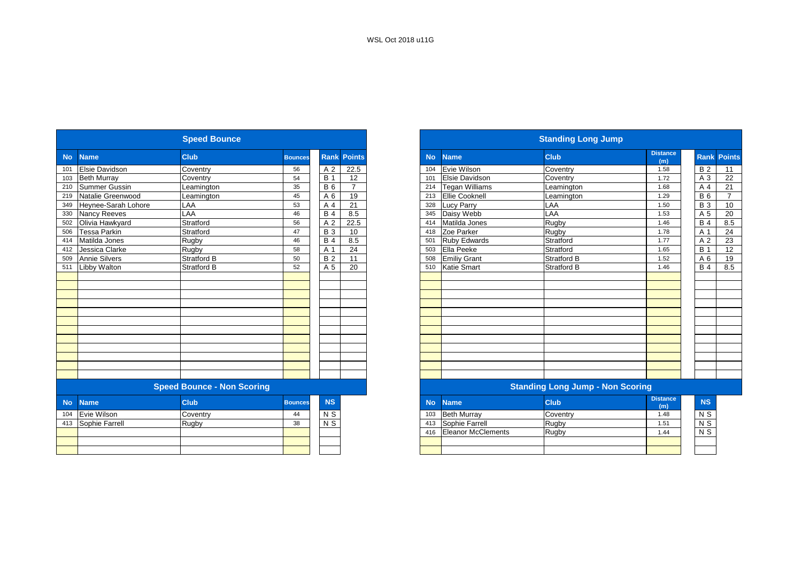|           |                       | <b>Speed Bounce</b>               |                |                |                    |
|-----------|-----------------------|-----------------------------------|----------------|----------------|--------------------|
| <b>No</b> | <b>Name</b>           | <b>Club</b>                       | <b>Bounces</b> |                | <b>Rank Points</b> |
| 101       | <b>Elsie Davidson</b> | Coventry                          | 56             | A 2            | 22.5               |
| 103       | <b>Beth Murray</b>    | Coventry                          | 54             | <b>B</b> 1     | 12                 |
| 210       | <b>Summer Gussin</b>  | Leamington                        | 35             | <b>B6</b>      | $\overline{7}$     |
| 219       | Natalie Greenwood     | Leamington                        | 45             | A 6            | 19                 |
| 349       | Heynee-Sarah Lohore   | LAA                               | 53             | A 4            | 21                 |
| 330       | Nancy Reeves          | LAA                               | 46             | <b>B4</b>      | 8.5                |
| 502       | Olivia Hawkyard       | Stratford                         | 56             | A 2            | 22.5               |
| 506       | Tessa Parkin          | Stratford                         | 47             | <b>B</b> 3     | 10                 |
| 414       | Matilda Jones         | Rugby                             | 46             | <b>B4</b>      | 8.5                |
| 412       | Jessica Clarke        | Rugby                             | 58             | A 1            | 24                 |
| 509       | <b>Annie Silvers</b>  | <b>Stratford B</b>                | 50             | <b>B2</b>      | 11                 |
| 511       | <b>Libby Walton</b>   | Stratford B                       | 52             | A 5            | 20                 |
|           |                       |                                   |                |                |                    |
|           |                       |                                   |                |                |                    |
|           |                       |                                   |                |                |                    |
|           |                       |                                   |                |                |                    |
|           |                       |                                   |                |                |                    |
|           |                       |                                   |                |                |                    |
|           |                       |                                   |                |                |                    |
|           |                       |                                   |                |                |                    |
|           |                       |                                   |                |                |                    |
|           |                       |                                   |                |                |                    |
|           |                       |                                   |                |                |                    |
|           |                       |                                   |                |                |                    |
|           |                       | <b>Speed Bounce - Non Scoring</b> |                |                |                    |
| <b>No</b> | <b>Name</b>           | <b>Club</b>                       | <b>Bounces</b> | <b>NS</b>      |                    |
| 104       | Evie Wilson           | Coventry                          | 44             | N <sub>S</sub> |                    |
| 413       | Sophie Farrell        | Rugby                             | 38             | N <sub>S</sub> |                    |

|                      | <b>Speed Bounce</b>               |                |                 |                |           |                           | <b>Standing Long Jump</b>               |                        |                    |
|----------------------|-----------------------------------|----------------|-----------------|----------------|-----------|---------------------------|-----------------------------------------|------------------------|--------------------|
| <b>Name</b>          | <b>Club</b>                       | <b>Bounces</b> | <b>Rank</b>     | <b>Points</b>  | <b>No</b> | <b>Name</b>               | <b>Club</b>                             | <b>Distance</b><br>(m) | <b>Rank Points</b> |
| Elsie Davidson       | Coventry                          | 56             | A <sub>2</sub>  | 22.5           | 104       | Evie Wilson               | Coventry                                | 1.58                   |                    |
| <b>Beth Murray</b>   | Coventry                          | 54             | <b>B</b> 1      | 12             | 101       | <b>Elsie Davidson</b>     | Coventry                                | 1.72                   |                    |
| <b>Summer Gussin</b> | _eamington                        | 35             | <b>B6</b>       | $\overline{7}$ | 214       | <b>Tegan Williams</b>     | Leamington                              | 1.68                   |                    |
| Natalie Greenwood    | Leamington                        | 45             | A 6             | 19             | 213       | Ellie Cooknell            | Leamington                              | 1.29                   |                    |
| Heynee-Sarah Lohore  | LAA                               | 53             | A 4             | 21             | 328       | <b>Lucy Parry</b>         | LAA                                     | 1.50                   |                    |
| <b>Nancy Reeves</b>  | LAA                               | 46             | $\overline{B4}$ | 8.5            | 345       | Daisy Webb                | LAA                                     | 1.53                   |                    |
| Olivia Hawkyard      | Stratford                         | 56             | A 2             | 22.5           | 414       | Matilda Jones             | Rugby                                   | 1.46                   |                    |
| Tessa Parkin         | Stratford                         | 47             | <b>B</b> 3      | 10             | 418       | Zoe Parker                | Rugby                                   | 1.78                   |                    |
| Matilda Jones        | Rugby                             | 46             | <b>B</b> 4      | 8.5            | 501       | <b>Ruby Edwards</b>       | Stratford                               | 1.77                   |                    |
| Jessica Clarke       | Rugby                             | 58             | A 1             | 24             | 503       | Ella Peeke                | Stratford                               | 1.65                   |                    |
| <b>Annie Silvers</b> | <b>Stratford B</b>                | 50             | <b>B2</b>       | 11             | 508       | <b>Emiliy Grant</b>       | <b>Stratford B</b>                      | 1.52                   |                    |
| <b>Libby Walton</b>  | Stratford B                       | 52             | A 5             | 20             | 510       | <b>Katie Smart</b>        | <b>Stratford B</b>                      | 1.46                   |                    |
|                      |                                   |                |                 |                |           |                           |                                         |                        |                    |
|                      |                                   |                |                 |                |           |                           |                                         |                        |                    |
|                      |                                   |                |                 |                |           |                           |                                         |                        |                    |
|                      |                                   |                |                 |                |           |                           |                                         |                        |                    |
|                      |                                   |                |                 |                |           |                           |                                         |                        |                    |
|                      |                                   |                |                 |                |           |                           |                                         |                        |                    |
|                      |                                   |                |                 |                |           |                           |                                         |                        |                    |
|                      |                                   |                |                 |                |           |                           |                                         |                        |                    |
|                      |                                   |                |                 |                |           |                           |                                         |                        |                    |
|                      |                                   |                |                 |                |           |                           |                                         |                        |                    |
|                      |                                   |                |                 |                |           |                           |                                         |                        |                    |
|                      |                                   |                |                 |                |           |                           |                                         |                        |                    |
|                      | <b>Speed Bounce - Non Scoring</b> |                |                 |                |           |                           | <b>Standing Long Jump - Non Scoring</b> |                        |                    |
| <b>Name</b>          | <b>Club</b>                       | <b>Bounces</b> | <b>NS</b>       |                | <b>No</b> | <b>Name</b>               | <b>Club</b>                             | <b>Distance</b><br>(m) |                    |
| Evie Wilson          | Coventry                          | 44             | N S             |                | 103       | <b>Beth Murray</b>        | Coventry                                | 1.48                   |                    |
| Sophie Farrell       | Rugby                             | 38             | N <sub>S</sub>  |                | 413       | Sophie Farrell            | Rugby                                   | 1.51                   |                    |
|                      |                                   |                |                 |                | 416       | <b>Eleanor McClements</b> | <b>Rugby</b>                            | 1.44                   |                    |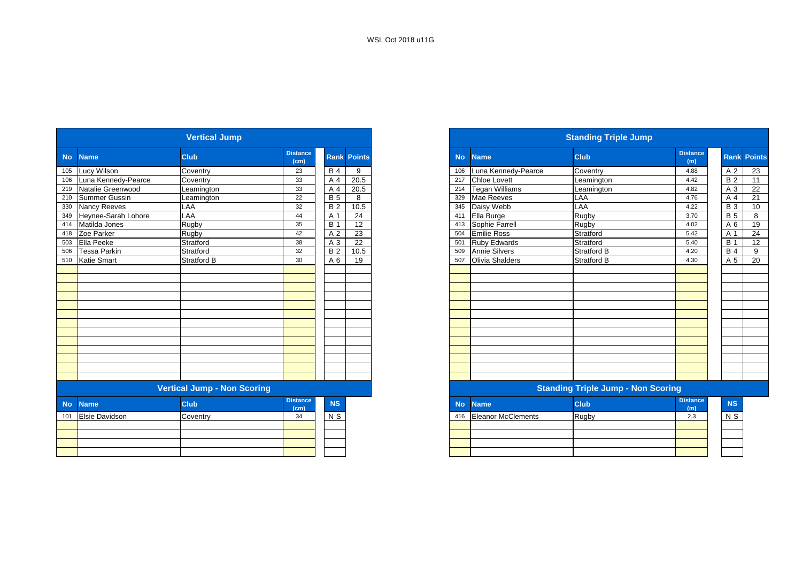|           |                       | <b>Vertical Jump</b>               |                         |                |                    |           |                           | <b>Standing Triple Jump</b>               |                        |                  |           |
|-----------|-----------------------|------------------------------------|-------------------------|----------------|--------------------|-----------|---------------------------|-------------------------------------------|------------------------|------------------|-----------|
| <b>No</b> | <b>Name</b>           | <b>Club</b>                        | <b>Distance</b><br>(cm) |                | <b>Rank Points</b> | <b>No</b> | <b>Name</b>               | <b>Club</b>                               | <b>Distance</b><br>(m) | <b>Rank</b> Po   |           |
| 105       | Lucy Wilson           | Coventry                           | 23                      | <b>B</b> 4     | 9                  | 106       | Luna Kennedy-Pearce       | Coventry                                  | 4.88                   | A 2              |           |
| 106       | Luna Kennedy-Pearce   | Coventry                           | 33                      | A 4            | 20.5               | 217       | Chloe Lovett              | Leamington                                | 4.42                   | <b>B2</b>        |           |
| 219       | Natalie Greenwood     | Leamington                         | 33                      | A 4            | 20.5               | 214       | <b>Tegan Williams</b>     | Leamington                                | 4.82                   | A 3              |           |
| 210       | Summer Gussin         | Leamington                         | 22                      | <b>B</b> 5     | 8                  | 329       | Mae Reeves                | LAA                                       | 4.76                   | A 4              |           |
| 330       | Nancy Reeves          | LAA                                | 32                      | <b>B2</b>      | $\frac{10.5}{2}$   | 345       | Daisy Webb                | LAA                                       | 4.22                   | $B_3$            |           |
| 349       | Heynee-Sarah Lohore   | LAA                                | 44                      | A 1            | 24                 | 411       | Ella Burge                | Rugby                                     | 3.70                   | B <sub>5</sub>   |           |
| 414       | Matilda Jones         | Rugby                              | 35                      | <b>B</b> 1     | 12                 | 413       | Sophie Farrell            | Rugby                                     | 4.02                   | A 6              |           |
| 418       | Zoe Parker            | Rugby                              | 42                      | A <sub>2</sub> | 23                 | 504       | <b>Emilie Ross</b>        | Stratford                                 | 5.42                   | A 1              |           |
| 503       | Ella Peeke            | Stratford                          | 38                      | A 3            | 22                 | 501       | <b>Ruby Edwards</b>       | Stratford                                 | 5.40                   | $\overline{B}$ 1 |           |
| 506       | <b>Tessa Parkin</b>   | Stratford                          | 32                      | <b>B2</b>      | 10.5               | 509       | <b>Annie Silvers</b>      | <b>Stratford B</b>                        | 4.20                   | <b>B</b> 4       |           |
| 510       | <b>Katie Smart</b>    | <b>Stratford B</b>                 | 30                      | A 6            | 19                 | 507       | Olivia Shalders           | <b>Stratford B</b>                        | 4.30                   | A 5              |           |
|           |                       |                                    |                         |                |                    |           |                           |                                           |                        |                  |           |
|           |                       |                                    |                         |                |                    |           |                           |                                           |                        |                  |           |
|           |                       |                                    |                         |                |                    |           |                           |                                           |                        |                  |           |
|           |                       |                                    |                         |                |                    |           |                           |                                           |                        |                  |           |
|           |                       |                                    |                         |                |                    |           |                           |                                           |                        |                  |           |
|           |                       |                                    |                         |                |                    |           |                           |                                           |                        |                  |           |
|           |                       |                                    |                         |                |                    |           |                           |                                           |                        |                  |           |
|           |                       |                                    |                         |                |                    |           |                           |                                           |                        |                  |           |
|           |                       |                                    |                         |                |                    |           |                           |                                           |                        |                  |           |
|           |                       |                                    |                         |                |                    |           |                           |                                           |                        |                  |           |
|           |                       |                                    |                         |                |                    |           |                           |                                           |                        |                  |           |
|           |                       |                                    |                         |                |                    |           |                           |                                           |                        |                  |           |
|           |                       |                                    |                         |                |                    |           |                           |                                           |                        |                  |           |
|           |                       | <b>Vertical Jump - Non Scoring</b> |                         |                |                    |           |                           | <b>Standing Triple Jump - Non Scoring</b> |                        |                  |           |
| <b>No</b> | <b>Name</b>           | <b>Club</b>                        | <b>Distance</b><br>(cm) | NS             |                    | <b>No</b> | <b>Name</b>               | <b>Club</b>                               | <b>Distance</b><br>(m) |                  | <b>NS</b> |
| 101       | <b>Elsie Davidson</b> | Coventry                           | 34                      | $N$ S          |                    | 416       | <b>Eleanor McClements</b> | Rugby                                     | 2.3                    | $N$ S            |           |
|           |                       |                                    |                         |                |                    |           |                           |                                           |                        |                  |           |
|           |                       |                                    |                         |                |                    |           |                           |                                           |                        |                  |           |
|           |                       |                                    |                         |                |                    |           |                           |                                           |                        |                  |           |
|           |                       |                                    |                         |                |                    |           |                           |                                           |                        |                  |           |

|                         | <b>Vertical Jump</b>               |                         |            |                    |
|-------------------------|------------------------------------|-------------------------|------------|--------------------|
| <b>Name</b>             | <b>Club</b>                        | <b>Distance</b><br>(cm) |            | <b>Rank Points</b> |
| 105 Lucy Wilson         | Coventry                           | 23                      | <b>B</b> 4 | 9                  |
| 106 Luna Kennedy-Pearce | Coventry                           | 33                      | A 4        | 20.5               |
| 219 Natalie Greenwood   | Leamington                         | 33                      | A 4        | 20.5               |
| 210 Summer Gussin       | Leamington                         | 22                      | <b>B</b> 5 | 8                  |
| 330 Nancy Reeves        | LAA                                | 32                      | <b>B2</b>  | 10.5               |
| 349 Heynee-Sarah Lohore | LAA                                | 44                      | A 1        | 24                 |
| 414 Matilda Jones       | Rugby                              | 35                      | B          | 12                 |
| 418 Zoe Parker          | Rugby                              | 42                      | A 2        | 23                 |
| 503 Ella Peeke          | Stratford                          | 38                      | A 3        | 22                 |
| 506 Tessa Parkin        | Stratford                          | 32                      | <b>B2</b>  | 10.5               |
| 510 Katie Smart         | <b>Stratford B</b>                 | 30                      | A 6        | 19                 |
|                         |                                    |                         |            |                    |
|                         |                                    |                         |            |                    |
|                         |                                    |                         |            |                    |
|                         |                                    |                         |            |                    |
|                         |                                    |                         |            |                    |
|                         |                                    |                         |            |                    |
|                         |                                    |                         |            |                    |
|                         |                                    |                         |            |                    |
|                         |                                    |                         |            |                    |
|                         |                                    |                         |            |                    |
|                         |                                    |                         |            |                    |
|                         |                                    |                         |            |                    |
|                         |                                    |                         |            |                    |
|                         | <b>Vertical Jump - Non Scoring</b> |                         |            |                    |
| No Name                 | <b>Club</b>                        | <b>Distance</b>         | <b>NS</b>  |                    |

| <b>stance</b><br>(cm) | <b>NS</b> | No. | <b>Name</b>               | <b>Club</b> | <b>Distance</b><br>(m) | <b>NS</b> |
|-----------------------|-----------|-----|---------------------------|-------------|------------------------|-----------|
| 34                    | N S       | 416 | <b>Eleanor McClements</b> | Rugby       | 2.3                    | N S       |
|                       |           |     |                           |             |                        |           |
|                       |           |     |                           |             |                        |           |
|                       |           |     |                           |             |                        |           |
|                       |           |     |                           |             |                        |           |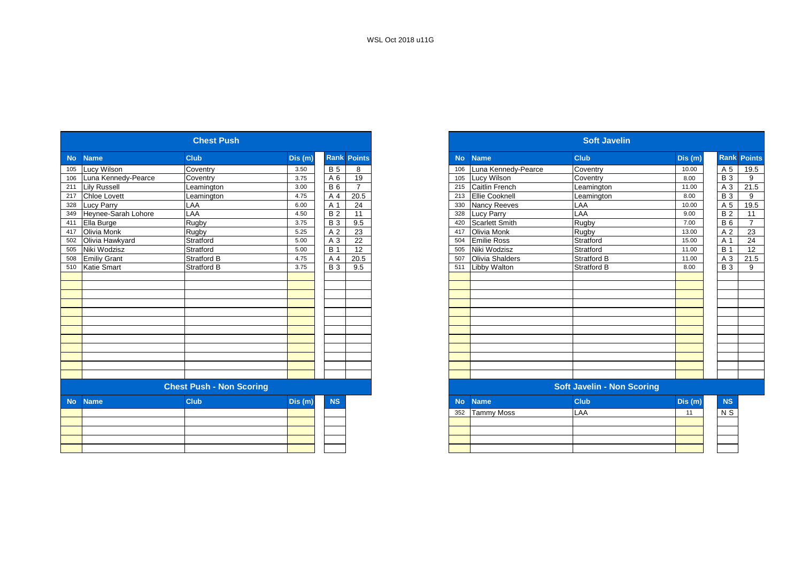|           |                     | <b>Chest Push</b>               |         |            |                    |
|-----------|---------------------|---------------------------------|---------|------------|--------------------|
| <b>No</b> | <b>Name</b>         | <b>Club</b>                     | Dis(m)  |            | <b>Rank Points</b> |
| 105       | Lucy Wilson         | Coventry                        | 3.50    | <b>B</b> 5 | 8                  |
| 106       | Luna Kennedy-Pearce | Coventry                        | 3.75    | A 6        | 19                 |
| 211       | <b>Lily Russell</b> | Leamington                      | 3.00    | <b>B</b> 6 | $\overline{7}$     |
| 217       | <b>Chloe Lovett</b> | Leamington                      | 4.75    | A 4        | 20.5               |
| 328       | <b>Lucy Parry</b>   | LAA                             | 6.00    | A 1        | 24                 |
| 349       | Heynee-Sarah Lohore | LAA                             | 4.50    | <b>B2</b>  | 11                 |
| 411       | Ella Burge          | Rugby                           | 3.75    | <b>B3</b>  | 9.5                |
| 417       | Olivia Monk         | Rugby                           | 5.25    | A 2        | 23                 |
| 502       | Olivia Hawkyard     | Stratford                       | 5.00    | A 3        | 22                 |
| 505       | Niki Wodzisz        | Stratford                       | 5.00    | <b>B</b> 1 | 12                 |
| 508       | <b>Emiliy Grant</b> | Stratford B                     | 4.75    | A 4        | 20.5               |
| 510       | Katie Smart         | Stratford B                     | 3.75    | <b>B3</b>  | 9.5                |
|           |                     |                                 |         |            |                    |
|           |                     |                                 |         |            |                    |
|           |                     |                                 |         |            |                    |
|           |                     |                                 |         |            |                    |
|           |                     |                                 |         |            |                    |
|           |                     |                                 |         |            |                    |
|           |                     |                                 |         |            |                    |
|           |                     |                                 |         |            |                    |
|           |                     |                                 |         |            |                    |
|           |                     |                                 |         |            |                    |
|           |                     |                                 |         |            |                    |
|           |                     |                                 |         |            |                    |
|           |                     | <b>Chest Push - Non Scoring</b> |         |            |                    |
|           |                     |                                 |         |            |                    |
| <b>No</b> | <b>Name</b>         | <b>Club</b>                     | Dis (m) | <b>NS</b>  |                    |
|           |                     |                                 |         |            |                    |
|           |                     |                                 |         |            |                    |
|           |                     |                                 |         |            |                    |
|           |                     |                                 |         |            |                    |
|           |                     |                                 |         |            |                    |
|           |                     |                                 |         |            |                    |

|                  |                     | <b>Chest Push</b>               |         |             |                |
|------------------|---------------------|---------------------------------|---------|-------------|----------------|
| <b>No</b>        | <b>Name</b>         | <b>Club</b>                     | Dis (m) | <b>Rank</b> | Points         |
| 105              | Lucy Wilson         | Coventry                        | 3.50    | <b>B</b> 5  | 8              |
| 106              | Luna Kennedv-Pearce | Coventry                        | 3.75    | A 6         | 19             |
| 211              | <b>Lily Russell</b> | Leamington                      | 3.00    | <b>B6</b>   | $\overline{7}$ |
| 217              | <b>Chloe Lovett</b> | Leamington                      | 4.75    | A 4         | 20.5           |
| 328              | Lucy Parry          | LAA                             | 6.00    | A 1         | 24             |
| 349              | Heynee-Sarah Lohore | LAA                             | 4.50    | <b>B2</b>   | 11             |
| 411              | Ella Burge          | Rugby                           | 3.75    | <b>B</b> 3  | 9.5            |
| 417              | <b>Olivia Monk</b>  | Rugby                           | 5.25    | A 2         | 23             |
| 502              | Olivia Hawkyard     | Stratford                       | 5.00    | A 3         | 22             |
| 505              | Niki Wodzisz        | Stratford                       | 5.00    | <b>B</b> 1  | 12             |
| 508              | <b>Emiliy Grant</b> | <b>Stratford B</b>              | 4.75    | A 4         | 20.5           |
| $\overline{510}$ | <b>Katie Smart</b>  | <b>Stratford B</b>              | 3.75    | <b>B</b> 3  | 9.5            |
|                  |                     |                                 |         |             |                |
|                  |                     |                                 |         |             |                |
|                  |                     |                                 |         |             |                |
|                  |                     |                                 |         |             |                |
|                  |                     |                                 |         |             |                |
|                  |                     |                                 |         |             |                |
|                  |                     |                                 |         |             |                |
|                  |                     |                                 |         |             |                |
|                  |                     |                                 |         |             |                |
|                  |                     |                                 |         |             |                |
|                  |                     |                                 |         |             |                |
|                  |                     |                                 |         |             |                |
|                  |                     | <b>Chest Push - Non Scoring</b> |         |             |                |
| <b>No</b>        | <b>Name</b>         | <b>Club</b>                     | Dis (m) | <b>NS</b>   |                |
|                  |                     |                                 |         |             |                |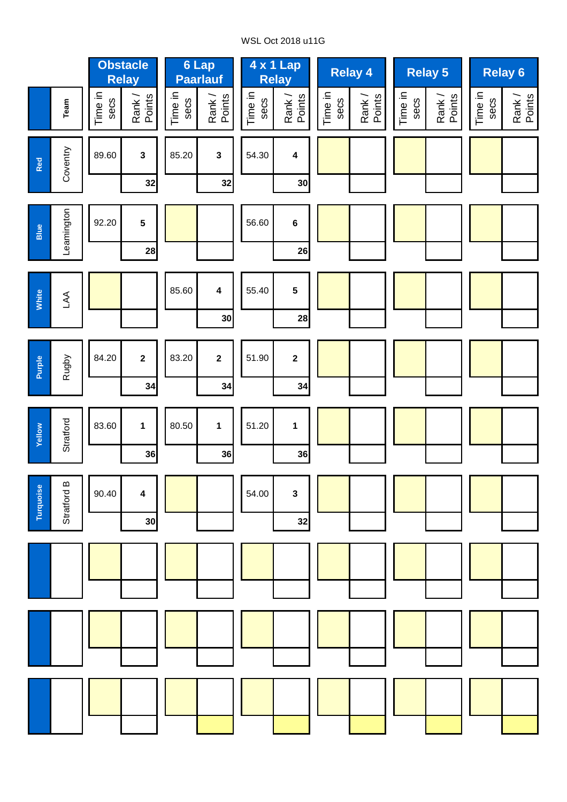# WSL Oct 2018 u11G

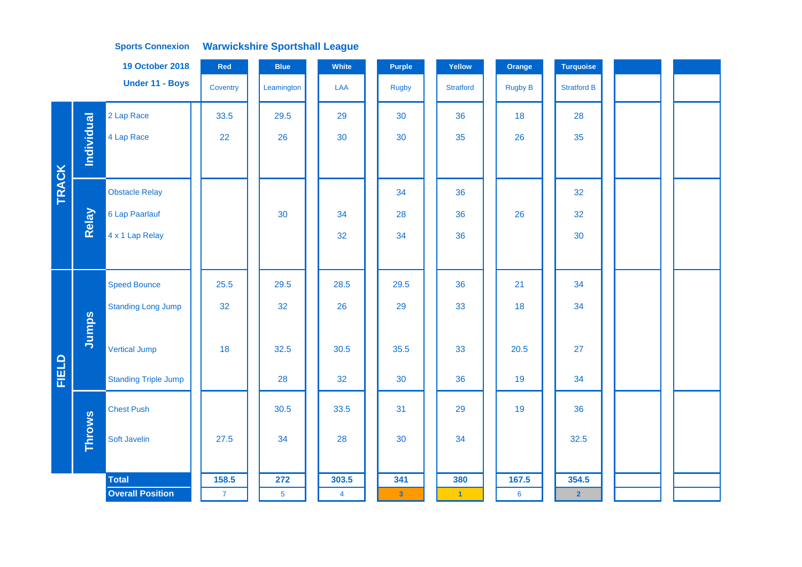|              |               | <b>19 October 2018</b>      | Red          | <b>Blue</b>    | White          | Purple                  | Yellow               | Orange          | <b>Turquoise</b>   |  |  |
|--------------|---------------|-----------------------------|--------------|----------------|----------------|-------------------------|----------------------|-----------------|--------------------|--|--|
|              |               | Under 11 - Boys             | Coventry     | Leamington     | <b>LAA</b>     | <b>Rugby</b>            | <b>Stratford</b>     | <b>Rugby B</b>  | <b>Stratford B</b> |  |  |
|              |               | 2 Lap Race                  | 33.5         | 29.5           | 29             | 30                      | 36                   | 18              | 28                 |  |  |
|              | Individual    | 4 Lap Race                  | 22           | 26             | 30             | 30                      | 35                   | 26              | 35                 |  |  |
|              |               |                             |              |                |                |                         |                      |                 |                    |  |  |
| <b>TRACK</b> |               | <b>Obstacle Relay</b>       |              |                |                | 34                      | 36                   |                 | 32                 |  |  |
|              | Relay         | 6 Lap Paarlauf              |              | 30             | 34             | 28                      | 36                   | 26              | 32                 |  |  |
|              |               | 4 x 1 Lap Relay             |              |                | 32             | 34                      | 36                   |                 | 30                 |  |  |
|              |               |                             |              |                |                |                         |                      |                 |                    |  |  |
|              |               | <b>Speed Bounce</b>         | 25.5         | 29.5           | 28.5           | 29.5                    | 36                   | 21              | 34                 |  |  |
|              |               | <b>Standing Long Jump</b>   | 32           | 32             | 26             | 29                      | 33                   | 18              | 34                 |  |  |
|              | Jumps         |                             |              |                |                |                         |                      |                 |                    |  |  |
|              |               | <b>Vertical Jump</b>        | 18           | 32.5           | 30.5           | 35.5                    | 33                   | 20.5            | 27                 |  |  |
| FIELD        |               | <b>Standing Triple Jump</b> |              | 28             | 32             | 30                      | 36                   | 19              | 34                 |  |  |
|              |               | <b>Chest Push</b>           |              | 30.5           | 33.5           | 31                      | 29                   | 19              | 36                 |  |  |
|              | <b>Throws</b> | Soft Javelin                | 27.5         | 34             | 28             | 30                      | 34                   |                 | 32.5               |  |  |
|              |               |                             |              |                |                |                         |                      |                 |                    |  |  |
|              |               | <b>Total</b>                | 158.5        | 272            | 303.5          | 341                     | 380                  | 167.5           | 354.5              |  |  |
|              |               | <b>Overall Position</b>     | $\mathbf{7}$ | $\overline{5}$ | $\overline{4}$ | $\overline{\mathbf{3}}$ | $\blacktriangleleft$ | $6\phantom{1}6$ | $\overline{2}$     |  |  |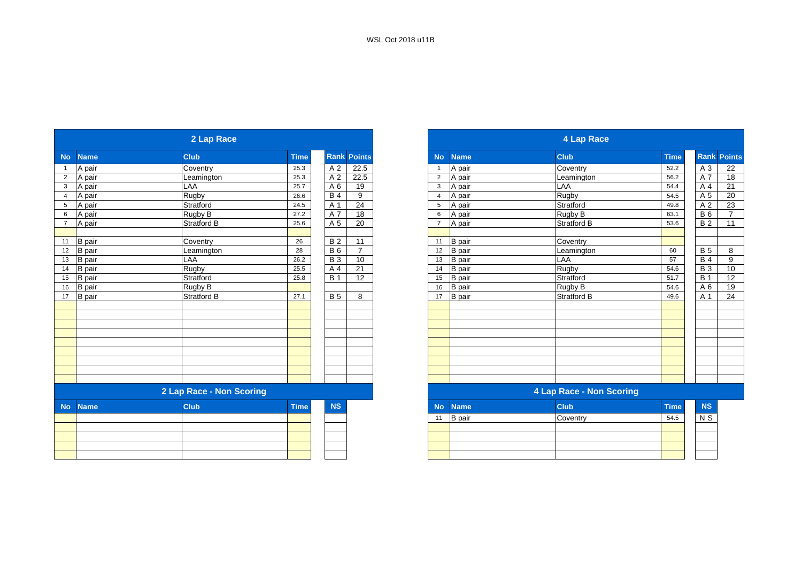|                |               | 2 Lap Race               |             |                 |                 |
|----------------|---------------|--------------------------|-------------|-----------------|-----------------|
| <b>No</b>      | <b>Name</b>   | <b>Club</b>              | <b>Time</b> | Rank            | <b>Points</b>   |
|                | A pair        | Coventry                 | 25.3        | A 2             | 22.5            |
| $\overline{2}$ | A pair        | Leamington               | 25.3        | A <sub>2</sub>  | 22.5            |
| 3              | A pair        | LAA                      | 25.7        | A 6             | 19              |
| $\overline{4}$ | A pair        | Rugby                    | 26.6        | $\overline{B4}$ | 9               |
| 5              | A pair        | Stratford                | 24.5        | A <sub>1</sub>  | 24              |
| 6              | A pair        | Rugby B                  | 27.2        | A 7             | 18              |
| $\overline{7}$ | A pair        | <b>Stratford B</b>       | 25.6        | A 5             | 20              |
|                |               |                          |             |                 |                 |
| 11             | B pair        | Coventry                 | 26          | $\overline{B}$  | 11              |
|                | 12 B pair     | Leamington               | 28          | <b>B6</b>       | $\overline{7}$  |
| 13             | <b>B</b> pair | LAA                      | 26.2        | $\overline{B}3$ | 10              |
| 14             | <b>B</b> pair | Rugby                    | 25.5        | A 4             | $\overline{21}$ |
| 15             | <b>B</b> pair | Stratford                | 25.8        | <b>B</b> 1      | 12              |
| 16             | <b>B</b> pair | Rugby B                  |             |                 |                 |
| 17             | <b>B</b> pair | <b>Stratford B</b>       | 27.1        | <b>B</b> 5      | 8               |
|                |               |                          |             |                 |                 |
|                |               |                          |             |                 |                 |
|                |               |                          |             |                 |                 |
|                |               |                          |             |                 |                 |
|                |               |                          |             |                 |                 |
|                |               |                          |             |                 |                 |
|                |               |                          |             |                 |                 |
|                |               |                          |             |                 |                 |
|                |               |                          |             |                 |                 |
|                |               | 2 Lap Race - Non Scoring |             |                 |                 |
|                |               |                          |             |                 |                 |
| <b>No</b>      | <b>Name</b>   | <b>Club</b>              | <b>Time</b> | <b>NS</b>       |                 |
|                |               |                          |             |                 |                 |
|                |               |                          |             |                 |                 |
|                |               |                          |             |                 |                 |
|                |               |                          |             |                 |                 |

|                |               | 2 Lap Race               |             |                |                    |                |               | 4 Lap Race               |             |            |                |
|----------------|---------------|--------------------------|-------------|----------------|--------------------|----------------|---------------|--------------------------|-------------|------------|----------------|
| <b>No</b>      | <b>Name</b>   | <b>Club</b>              | <b>Time</b> |                | <b>Rank Points</b> | <b>No</b>      | <b>Name</b>   | <b>Club</b>              | <b>Time</b> | Rank       | <b>Points</b>  |
| $\overline{1}$ | A pair        | Coventry                 | 25.3        | A <sub>2</sub> | 22.5               |                | A pair        | Coventry                 | 52.2        | A 3        | 22             |
| $\overline{2}$ | A pair        | Leamington               | 25.3        | A <sub>2</sub> | 22.5               | $\overline{2}$ | A pair        | Leamington               | 56.2        | A 7        | 18             |
| $\mathbf{3}$   | A pair        | LAA                      | 25.7        | A 6            | 19                 | 3              | A pair        | LAA                      | 54.4        | A 4        | 21             |
| $\overline{4}$ | A pair        | <b>Rugby</b>             | 26.6        | <b>B4</b>      | 9                  | $\overline{4}$ | A pair        | <b>Rugby</b>             | 54.5        | A 5        | 20             |
| 5              | A pair        | Stratford                | 24.5        | A 1            | 24                 | 5              | A pair        | Stratford                | 49.8        | A 2        | 23             |
| 6              | A pair        | Rugby B                  | 27.2        | A 7            | 18                 | 6              | A pair        | Rugby B                  | 63.1        | <b>B6</b>  | $\overline{ }$ |
| $\overline{7}$ | A pair        | <b>Stratford B</b>       | 25.6        | A 5            | 20                 | $\overline{7}$ | A pair        | <b>Stratford B</b>       | 53.6        | <b>B2</b>  | 11             |
|                |               |                          |             |                |                    |                |               |                          |             |            |                |
| 11             | B pair        | Coventry                 | 26          | <b>B2</b>      | 11                 | 11             | B pair        | Coventry                 |             |            |                |
| 12             | <b>B</b> pair | Leamington               | 28          | <b>B6</b>      | $\overline{ }$     | 12             | B pair        | Leamington               | 60          | <b>B</b> 5 | 8              |
| 13             | <b>B</b> pair | LAA                      | 26.2        | <b>B</b> 3     | 10                 | 13             | <b>B</b> pair | LAA                      | 57          | <b>B4</b>  | 9              |
| 14             | <b>B</b> pair | Rugby                    | 25.5        | A 4            | 21                 | 14             | B pair        | Rugby                    | 54.6        | <b>B</b> 3 | 10             |
| 15             | <b>B</b> pair | Stratford                | 25.8        | <b>B</b> 1     | 12                 | 15             | <b>B</b> pair | Stratford                | 51.7        | <b>B</b> 1 | 12             |
| 16             | <b>B</b> pair | Rugby B                  |             |                |                    | 16             | <b>B</b> pair | Rugby B                  | 54.6        | A 6        | 19             |
| 17             | <b>B</b> pair | Stratford B              | 27.1        | <b>B</b> 5     | 8                  | 17             | <b>B</b> pair | <b>Stratford B</b>       | 49.6        | A 1        | 24             |
|                |               |                          |             |                |                    |                |               |                          |             |            |                |
|                |               |                          |             |                |                    |                |               |                          |             |            |                |
|                |               |                          |             |                |                    |                |               |                          |             |            |                |
|                |               |                          |             |                |                    |                |               |                          |             |            |                |
|                |               |                          |             |                |                    |                |               |                          |             |            |                |
|                |               |                          |             |                |                    |                |               |                          |             |            |                |
|                |               |                          |             |                |                    |                |               |                          |             |            |                |
|                |               |                          |             |                |                    |                |               |                          |             |            |                |
|                |               |                          |             |                |                    |                |               |                          |             |            |                |
|                |               | 2 Lap Race - Non Scoring |             |                |                    |                |               | 4 Lap Race - Non Scoring |             |            |                |

| <b>NS</b><br>and the state of the state of the state of the state of the state of the state of the state of the state of th |    | No Name       | <b>Club</b> | <b>Time</b> | <b>NS</b>      |  |
|-----------------------------------------------------------------------------------------------------------------------------|----|---------------|-------------|-------------|----------------|--|
|                                                                                                                             | 11 | <b>B</b> pair | Coventry    | 54.5        | N <sub>S</sub> |  |
|                                                                                                                             |    |               |             |             |                |  |
|                                                                                                                             |    |               |             |             |                |  |
|                                                                                                                             |    |               |             |             |                |  |
|                                                                                                                             |    |               |             |             |                |  |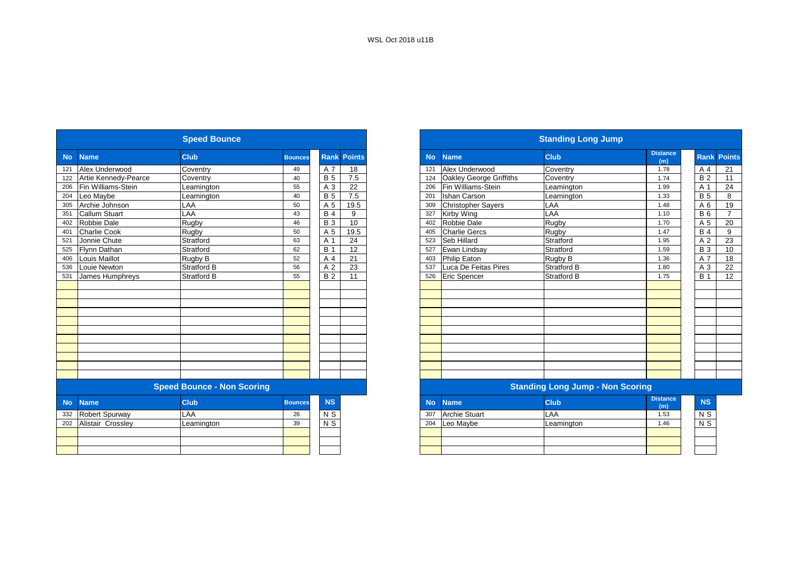|           |                      | <b>Speed Bounce</b>               |                |                |                    |           |                           | <b>Standing Long Jump</b>               |                        |
|-----------|----------------------|-----------------------------------|----------------|----------------|--------------------|-----------|---------------------------|-----------------------------------------|------------------------|
| <b>No</b> | <b>Name</b>          | <b>Club</b>                       | <b>Bounces</b> |                | <b>Rank Points</b> | <b>No</b> | <b>Name</b>               | <b>Club</b>                             | <b>Distance</b><br>(m) |
| 121       | Alex Underwood       | Coventry                          | 49             | A 7            | 18                 | 121       | Alex Underwood            | Coventry                                | 1.78                   |
| 122       | Artie Kennedy-Pearce | Coventry                          | 40             | <b>B</b> 5     | 7.5                | 124       | Oakley George Griffiths   | Coventry                                | 1.74                   |
| 206       | Fin Williams-Stein   | Leamington                        | 55             | A 3            | 22                 | 206       | Fin Williams-Stein        | Leamington                              | 1.99                   |
| 204       | Leo Maybe            | Leamington                        | 40             | <b>B</b> 5     | 7.5                | 201       | <b>Ishan Carson</b>       | Leamington                              | 1.33                   |
| 305       | Archie Johnson       | LAA                               | 50             | A 5            | 19.5               | 309       | <b>Christopher Sayers</b> | LAA                                     | 1.48                   |
| 351       | <b>Callum Stuart</b> | LAA                               | 43             | <b>B4</b>      | 9                  | 327       | Kirby Wing                | LAA                                     | 1.10                   |
| 402       | Robbie Dale          | Rugby                             | 46             | <b>B3</b>      | 10                 | 402       | Robbie Dale               | Rugby                                   | 1.70                   |
| 401       | <b>Charlie Cook</b>  | Rugby                             | 50             | A 5            | 19.5               | 405       | <b>Charlie Gercs</b>      | Rugby                                   | 1.47                   |
| 521       | Jonnie Chute         | Stratford                         | 63             | A 1            | 24                 | 523       | Seb Hillard               | Stratford                               | 1.95                   |
| 525       | Flynn Dathan         | Stratford                         | 62             | <b>B</b> 1     | 12                 | 527       | Ewan Lindsay              | Stratford                               | 1.59                   |
| 406       | Louis Maillot        | Rugby B                           | 52             | A 4            | 21                 | 403       | Philip Eaton              | Rugby B                                 | 1.36                   |
| 536       | Louie Newton         | <b>Stratford B</b>                | 56             | A <sub>2</sub> | 23                 | 537       | Luca De Feitas Pires      | <b>Stratford B</b>                      | 1.80                   |
| 531       | James Humphreys      | <b>Stratford B</b>                | 55             | <b>B2</b>      | 11                 | 526       | <b>Eric Spencer</b>       | <b>Stratford B</b>                      | 1.75                   |
|           |                      |                                   |                |                |                    |           |                           |                                         |                        |
|           |                      |                                   |                |                |                    |           |                           |                                         |                        |
|           |                      |                                   |                |                |                    |           |                           |                                         |                        |
|           |                      |                                   |                |                |                    |           |                           |                                         |                        |
|           |                      |                                   |                |                |                    |           |                           |                                         |                        |
|           |                      |                                   |                |                |                    |           |                           |                                         |                        |
|           |                      |                                   |                |                |                    |           |                           |                                         |                        |
|           |                      |                                   |                |                |                    |           |                           |                                         |                        |
|           |                      |                                   |                |                |                    |           |                           |                                         |                        |
|           |                      |                                   |                |                |                    |           |                           |                                         |                        |
|           |                      |                                   |                |                |                    |           |                           |                                         |                        |
|           |                      | <b>Speed Bounce - Non Scoring</b> |                |                |                    |           |                           | <b>Standing Long Jump - Non Scoring</b> |                        |
| <b>No</b> | <b>Name</b>          | <b>Club</b>                       | <b>Bounces</b> | <b>NS</b>      |                    | <b>No</b> | <b>Name</b>               | <b>Club</b>                             | <b>Distance</b><br>(m) |
| 332       | Robert Spurway       | LAA                               | 26             | N <sub>S</sub> |                    | 307       | <b>Archie Stuart</b>      | LAA                                     | 1.53                   |
| 202       | Alistair Crossley    | Leamington                        | 39             | N <sub>S</sub> |                    | 204       | Leo Maybe                 | Leamington                              | 1.46                   |
|           |                      |                                   |                |                |                    |           |                           |                                         |                        |
|           |                      |                                   |                |                |                    |           |                           |                                         |                        |
|           |                      |                                   |                |                |                    |           |                           |                                         |                        |
|           |                      |                                   |                |                |                    |           |                           |                                         |                        |

|           |                       | <b>Speed Bounce</b>               |                |                |               |
|-----------|-----------------------|-----------------------------------|----------------|----------------|---------------|
| <b>No</b> | <b>Name</b>           | <b>Club</b>                       | <b>Bounces</b> | <b>Rank</b>    | <b>Points</b> |
| 121       | Alex Underwood        | Coventry                          | 49             | A 7            | 18            |
| 122       | Artie Kennedy-Pearce  | Coventrv                          | 40             | <b>B</b> 5     | 7.5           |
| 206       | Fin Williams-Stein    | Leamington                        | 55             | A 3            | 22            |
| 204       | Leo Mavbe             | Leamington                        | 40             | <b>B</b> 5     | 7.5           |
| 305       | Archie Johnson        | LAA                               | 50             | A 5            | 19.5          |
| 351       | <b>Callum Stuart</b>  | LAA                               | 43             | <b>B</b> 4     | 9             |
| 402       | Robbie Dale           | Rugby                             | 46             | <b>B</b> 3     | 10            |
| 401       | <b>Charlie Cook</b>   | Rugby                             | 50             | A 5            | 19.5          |
| 521       | Jonnie Chute          | Stratford                         | 63             | A 1            | 24            |
| 525       | <b>Flynn Dathan</b>   | Stratford                         | 62             | <b>B</b> 1     | 12            |
| 406       | <b>Louis Maillot</b>  | Rugby B                           | 52             | A <sub>4</sub> | 21            |
| 536       | Louie Newton          | <b>Stratford B</b>                | 56             | A <sub>2</sub> | 23            |
| 531       | James Humphreys       | Stratford B                       | 55             | <b>B2</b>      | 11            |
|           |                       |                                   |                |                |               |
|           |                       |                                   |                |                |               |
|           |                       |                                   |                |                |               |
|           |                       |                                   |                |                |               |
|           |                       |                                   |                |                |               |
|           |                       |                                   |                |                |               |
|           |                       |                                   |                |                |               |
|           |                       |                                   |                |                |               |
|           |                       |                                   |                |                |               |
|           |                       |                                   |                |                |               |
|           |                       |                                   |                |                |               |
|           |                       | <b>Speed Bounce - Non Scoring</b> |                |                |               |
| <b>No</b> | <b>Name</b>           | <b>Club</b>                       | <b>Bounces</b> | <b>NS</b>      |               |
| 332       | <b>Robert Spurway</b> | LAA                               | 26             | N S            |               |
| 202       | Alistair Crossley     | Leamington                        | 39             | N S            |               |
|           |                       |                                   |                |                |               |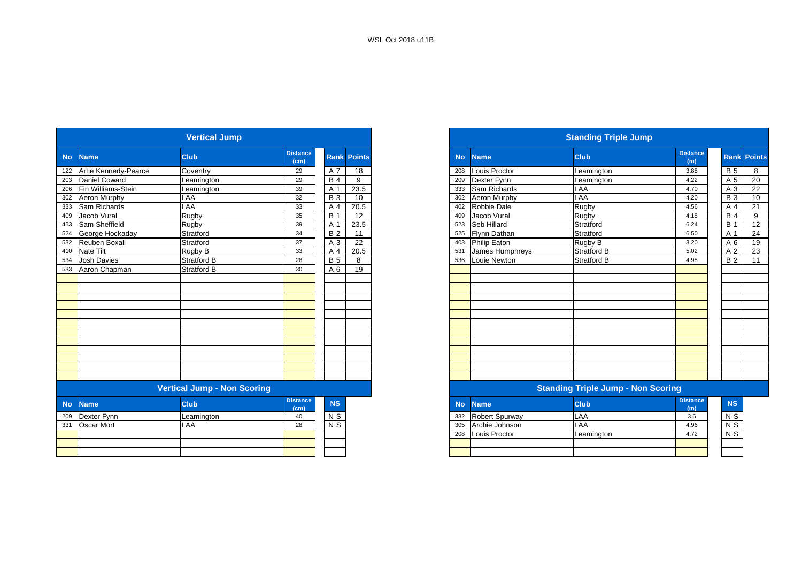|           |                      | <b>Vertical Jump</b>               |                         |             |               |
|-----------|----------------------|------------------------------------|-------------------------|-------------|---------------|
| <b>No</b> | <b>Name</b>          | <b>Club</b>                        | <b>Distance</b><br>(cm) | <b>Rank</b> | <b>Points</b> |
| 122       | Artie Kennedy-Pearce | Coventry                           | 29                      | A 7         | 18            |
| 203       | Daniel Coward        | Leamington                         | 29                      | <b>B</b> 4  | 9             |
| 206       | Fin Williams-Stein   | Leamington                         | 39                      | A 1         | 23.5          |
| 302       | Aeron Murphy         | LAA                                | 32                      | <b>B</b> 3  | 10            |
| 333       | Sam Richards         | LAA                                | 33                      | A 4         | 20.5          |
| 409       | Jacob Vural          | Rugby                              | 35                      | <b>B</b> 1  | 12            |
| 453       | Sam Sheffield        | Rugby                              | 39                      | A 1         | 23.5          |
| 524       | George Hockaday      | Stratford                          | 34                      | <b>B</b> 2  | 11            |
| 532       | Reuben Boxall        | Stratford                          | 37                      | A 3         | 22            |
| 410       | Nate Tilt            | Rugby B                            | 33                      | A 4         | 20.5          |
| 534       | <b>Josh Davies</b>   | <b>Stratford B</b>                 | 28                      | <b>B</b> 5  | 8             |
| 533       | Aaron Chapman        | <b>Stratford B</b>                 | 30                      | A 6         | 19            |
|           |                      |                                    |                         |             |               |
|           |                      |                                    |                         |             |               |
|           |                      |                                    |                         |             |               |
|           |                      |                                    |                         |             |               |
|           |                      |                                    |                         |             |               |
|           |                      |                                    |                         |             |               |
|           |                      |                                    |                         |             |               |
|           |                      |                                    |                         |             |               |
|           |                      |                                    |                         |             |               |
|           |                      |                                    |                         |             |               |
|           |                      |                                    |                         |             |               |
|           |                      |                                    |                         |             |               |
|           |                      | <b>Vertical Jump - Non Scoring</b> |                         |             |               |
| <b>No</b> | <b>Name</b>          | <b>Club</b>                        | <b>Distance</b><br>(cm) | <b>NS</b>   |               |
| 209       | Dexter Fynn          | Leamington                         | 40                      | N S         |               |
| 331       | <b>Oscar Mort</b>    | LAA                                | 28                      | $N$ S       |               |
|           |                      |                                    |                         |             |               |

|                          | <b>Vertical Jump</b>               |                         |                |                    |
|--------------------------|------------------------------------|-------------------------|----------------|--------------------|
| No Name                  | <b>Club</b>                        | <b>Distance</b><br>(cm) |                | <b>Rank Points</b> |
| 122 Artie Kennedy-Pearce | Coventry                           | 29                      | A 7            | 18                 |
| 203 Daniel Coward        | Leamington                         | 29                      | <b>B</b> 4     | 9                  |
| Fin Williams-Stein       | eamington.                         | 39                      | A <sup>1</sup> | 23.5               |
| Aeron Murphy             | LAA                                | 32                      | <b>B</b> 3     | 10                 |
| Sam Richards             | LAA                                | 33                      | A 4            | 20.5               |
| Jacob Vural              | Rugby                              | 35                      | <b>B</b> 1     | 12                 |
| 453 Sam Sheffield        | Rugby                              | 39                      | A <sup>1</sup> | 23.5               |
| 524 George Hockaday      | Stratford                          | 34                      | <b>B2</b>      | 11                 |
| 532 Reuben Boxall        | Stratford                          | 37                      | A 3            | 22                 |
| 410 Nate Tilt            | Rugby B                            | 33                      | A 4            | 20.5               |
| 534 Josh Davies          | <b>Stratford B</b>                 | 28                      | <b>B</b> 5     | 8                  |
| 533 Aaron Chapman        | <b>Stratford B</b>                 | 30                      | A 6            | 19                 |
|                          |                                    |                         |                |                    |
|                          |                                    |                         |                |                    |
|                          |                                    |                         |                |                    |
|                          |                                    |                         |                |                    |
|                          |                                    |                         |                |                    |
|                          |                                    |                         |                |                    |
|                          |                                    |                         |                |                    |
|                          |                                    |                         |                |                    |
|                          |                                    |                         |                |                    |
|                          |                                    |                         |                |                    |
|                          |                                    |                         |                |                    |
|                          |                                    |                         |                |                    |
|                          | <b>Vertical Jump - Non Scoring</b> |                         |                |                    |

| <b>stance</b><br>(cm) | <b>NS</b>      | No  | <b>Name</b>           | <b>Club</b> | <b>Distance</b><br>(m) |
|-----------------------|----------------|-----|-----------------------|-------------|------------------------|
|                       | N S            | 332 | <b>Robert Spurway</b> | LAA         | 3.6                    |
| 28                    | N <sub>S</sub> | 305 | Archie Johnson        | LAA         | 4.96                   |
|                       |                | 208 | Louis Proctor         | Leamington  | 4.72                   |
|                       |                |     |                       |             |                        |
|                       |                |     |                       |             |                        |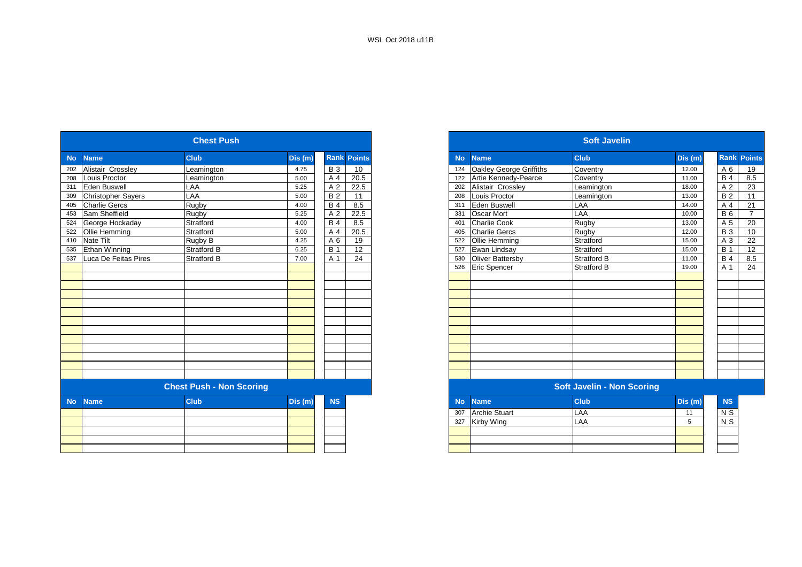|           |                           | <b>Chest Push</b>               |         |                 |                    |
|-----------|---------------------------|---------------------------------|---------|-----------------|--------------------|
| <b>No</b> | <b>Name</b>               | <b>Club</b>                     | Dis (m) |                 | <b>Rank Points</b> |
| 202       | Alistair Crossley         | Leamington                      | 4.75    | <b>B</b> 3      | 10                 |
| 208       | Louis Proctor             | Leamington                      | 5.00    | A 4             | 20.5               |
| 311       | Eden Buswell              | LAA                             | 5.25    | A 2             | 22.5               |
| 309       | <b>Christopher Sayers</b> | LAA                             | 5.00    | $\overline{B2}$ | 11                 |
| 405       | <b>Charlie Gercs</b>      | Rugby                           | 4.00    | <b>B</b> 4      | 8.5                |
| 453       | Sam Sheffield             | Rugby                           | 5.25    | A 2             | 22.5               |
| 524       | George Hockaday           | Stratford                       | 4.00    | <b>B</b> 4      | 8.5                |
| 522       | Ollie Hemming             | Stratford                       | 5.00    | A 4             | 20.5               |
| 410       | Nate Tilt                 | Rugby B                         | 4.25    | A 6             | 19                 |
| 535       | Ethan Winning             | Stratford B                     | 6.25    | <b>B</b> 1      | 12                 |
| 537       | Luca De Feitas Pires      | <b>Stratford B</b>              | 7.00    | A 1             | 24                 |
|           |                           |                                 |         |                 |                    |
|           |                           |                                 |         |                 |                    |
|           |                           |                                 |         |                 |                    |
|           |                           |                                 |         |                 |                    |
|           |                           |                                 |         |                 |                    |
|           |                           |                                 |         |                 |                    |
|           |                           |                                 |         |                 |                    |
|           |                           |                                 |         |                 |                    |
|           |                           |                                 |         |                 |                    |
|           |                           |                                 |         |                 |                    |
|           |                           |                                 |         |                 |                    |
|           |                           |                                 |         |                 |                    |
|           |                           |                                 |         |                 |                    |
|           |                           | <b>Chest Push - Non Scoring</b> |         |                 |                    |
| <b>No</b> | <b>Name</b>               | <b>Club</b>                     | Dis (m) | <b>NS</b>       |                    |
|           |                           |                                 |         |                 |                    |
|           |                           |                                 |         |                 |                    |
|           |                           |                                 |         |                 |                    |
|           |                           |                                 |         |                 |                    |
|           |                           |                                 |         |                 |                    |
|           |                           |                                 |         |                 |                    |

|           |                           | <b>Chest Push</b>               |        |            |                    |
|-----------|---------------------------|---------------------------------|--------|------------|--------------------|
| <b>No</b> | <b>Name</b>               | <b>Club</b>                     | Dis(m) |            | <b>Rank Points</b> |
| 202       | Alistair Crossley         | Leamington                      | 4.75   | <b>B</b> 3 | 10                 |
| 208       | Louis Proctor             | Leamington                      | 5.00   | A 4        | 20.5               |
| 311       | <b>Eden Buswell</b>       | LAA                             | 5.25   | A 2        | 22.5               |
| 309       | <b>Christopher Sayers</b> | LAA                             | 5.00   | <b>B2</b>  | 11                 |
| 405       | <b>Charlie Gercs</b>      | Rugby                           | 4.00   | <b>B</b> 4 | 8.5                |
| 453       | Sam Sheffield             | Rugby                           | 5.25   | A 2        | 22.5               |
| 524       | George Hockaday           | Stratford                       | 4.00   | <b>B</b> 4 | 8.5                |
| 522       | Ollie Hemming             | Stratford                       | 5.00   | A 4        | 20.5               |
| 410       | <b>Nate Tilt</b>          | Rugby B                         | 4.25   | A 6        | 19                 |
| 535       | Ethan Winning             | <b>Stratford B</b>              | 6.25   | <b>B</b> 1 | 12                 |
| 537       | Luca De Feitas Pires      | <b>Stratford B</b>              | 7.00   | A 1        | 24                 |
|           |                           |                                 |        |            |                    |
|           |                           |                                 |        |            |                    |
|           |                           |                                 |        |            |                    |
|           |                           |                                 |        |            |                    |
|           |                           |                                 |        |            |                    |
|           |                           |                                 |        |            |                    |
|           |                           |                                 |        |            |                    |
|           |                           |                                 |        |            |                    |
|           |                           |                                 |        |            |                    |
|           |                           |                                 |        |            |                    |
|           |                           |                                 |        |            |                    |
|           |                           |                                 |        |            |                    |
|           |                           |                                 |        |            |                    |
|           |                           | <b>Chest Push - Non Scoring</b> |        |            |                    |
| <b>No</b> | <b>Name</b>               | <b>Club</b>                     | Dis(m) | <b>NS</b>  |                    |
|           |                           |                                 |        |            |                    |
|           |                           |                                 |        |            |                    |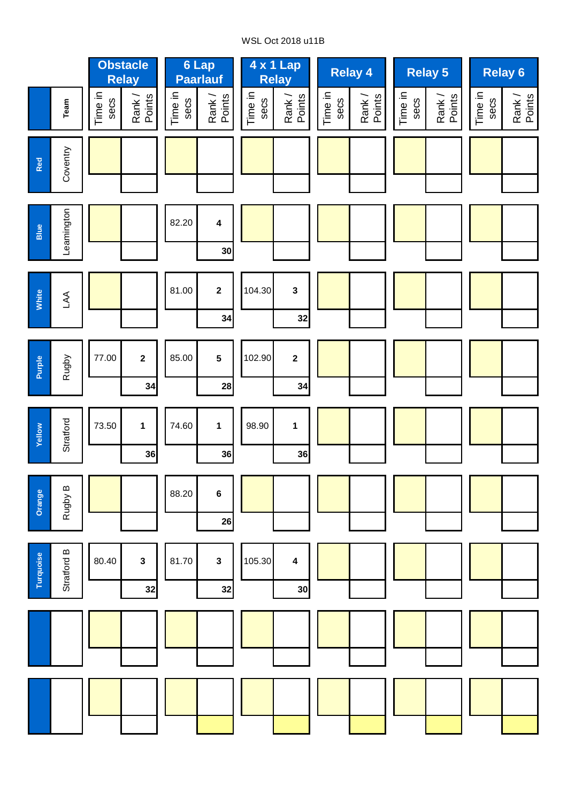# WSL Oct 2018 u11B

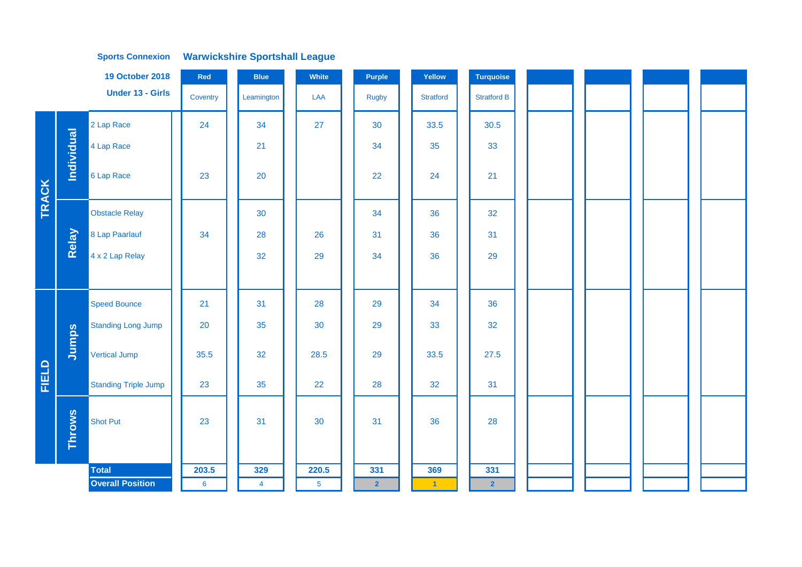|              |               | <b>19 October 2018</b>      | Red             | <b>Blue</b>    | White          | Purple                  | Yellow            | <b>Turquoise</b>   |  |  |
|--------------|---------------|-----------------------------|-----------------|----------------|----------------|-------------------------|-------------------|--------------------|--|--|
|              |               | <b>Under 13 - Girls</b>     | Coventry        | Leamington     | LAA            | Rugby                   | <b>Stratford</b>  | <b>Stratford B</b> |  |  |
|              |               | 2 Lap Race                  | 24              | 34             | 27             | 30                      | 33.5              | 30.5               |  |  |
|              | Individual    | 4 Lap Race                  |                 | 21             |                | 34                      | 35                | 33                 |  |  |
| <b>TRACK</b> |               | 6 Lap Race                  | 23              | 20             |                | 22                      | 24                | 21                 |  |  |
|              |               | <b>Obstacle Relay</b>       |                 | 30             |                | 34                      | 36                | 32                 |  |  |
|              | Relay         | 8 Lap Paarlauf              | 34              | 28             | 26             | 31                      | 36                | 31                 |  |  |
|              |               | 4 x 2 Lap Relay             |                 | 32             | 29             | 34                      | 36                | 29                 |  |  |
|              |               |                             |                 |                |                |                         |                   |                    |  |  |
|              |               | <b>Speed Bounce</b>         | 21              | 31             | 28             | 29                      | 34                | 36                 |  |  |
|              |               | <b>Standing Long Jump</b>   | 20              | 35             | 30             | 29                      | 33                | 32                 |  |  |
|              | Jumps         | Vertical Jump               | 35.5            | 32             | 28.5           | 29                      | 33.5              | 27.5               |  |  |
| FIELD        |               | <b>Standing Triple Jump</b> | 23              | 35             | 22             | 28                      | 32                | 31                 |  |  |
|              | <b>Throws</b> | Shot Put                    | 23              | 31             | 30             | 31                      | 36                | 28                 |  |  |
|              |               | <b>Total</b>                | 203.5           | 329            | 220.5          | 331                     | 369               | 331                |  |  |
|              |               | <b>Overall Position</b>     | $6\phantom{1}6$ | $\overline{4}$ | 5 <sub>5</sub> | $\overline{\mathbf{2}}$ | $\vert 1 \rangle$ | $\overline{2}$     |  |  |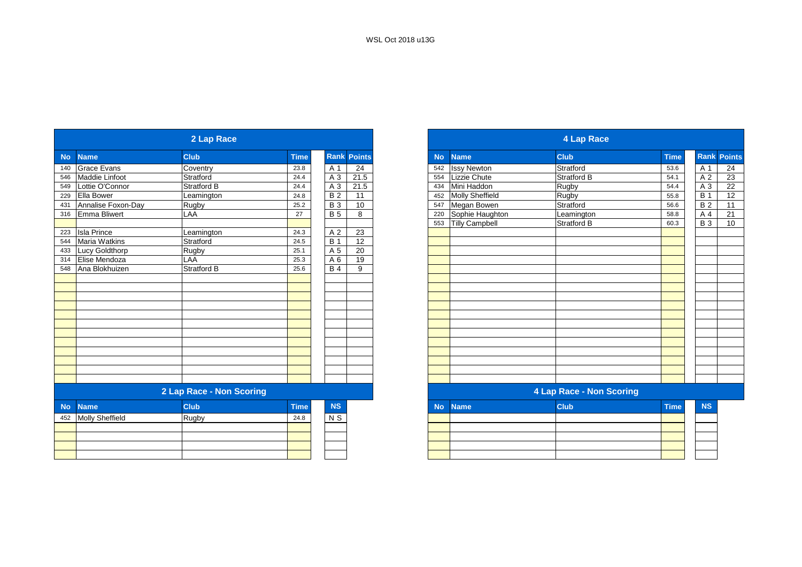|           |                        | 2 Lap Race               |             |                 |                    |
|-----------|------------------------|--------------------------|-------------|-----------------|--------------------|
| <b>No</b> | <b>Name</b>            | <b>Club</b>              | <b>Time</b> |                 | <b>Rank Points</b> |
| 140       | <b>Grace Evans</b>     | Coventry                 | 23.8        | A 1             | 24                 |
| 546       | Maddie Linfoot         | Stratford                | 24.4        | A 3             | 21.5               |
| 549       | Lottie O'Connor        | Stratford B              | 24.4        | $A_3$           | 21.5               |
| 229       | <b>Ella Bower</b>      | Leamington               | 24.8        | $\overline{B}$  | 11                 |
| 431       | Annalise Foxon-Day     | Rugby                    | 25.2        | <b>B3</b>       | 10                 |
| 316       | <b>Emma Bliwert</b>    | LAA                      | 27          | <b>B</b> 5      | 8                  |
|           |                        |                          |             |                 |                    |
| 223       | <b>Isla Prince</b>     | Leamington               | 24.3        | A 2             | 23                 |
| 544       | <b>Maria Watkins</b>   | Stratford                | 24.5        | <b>B</b> 1      | 12                 |
| 433       | Lucy Goldthorp         | Rugby                    | 25.1        | A 5             | 20                 |
| 314       | Elise Mendoza          | LAA                      | 25.3        | A 6             | 19                 |
| 548       | Ana Blokhuizen         | <b>Stratford B</b>       | 25.6        | $\overline{B}4$ | 9                  |
|           |                        |                          |             |                 |                    |
|           |                        |                          |             |                 |                    |
|           |                        |                          |             |                 |                    |
|           |                        |                          |             |                 |                    |
|           |                        |                          |             |                 |                    |
|           |                        |                          |             |                 |                    |
|           |                        |                          |             |                 |                    |
|           |                        |                          |             |                 |                    |
|           |                        |                          |             |                 |                    |
|           |                        |                          |             |                 |                    |
|           |                        |                          |             |                 |                    |
|           |                        |                          |             |                 |                    |
|           |                        | 2 Lap Race - Non Scoring |             |                 |                    |
| <b>No</b> | <b>Name</b>            | <b>Club</b>              | <b>Time</b> | <b>NS</b>       |                    |
| 452       | <b>Molly Sheffield</b> | Rugby                    | 24.8        | N S             |                    |
|           |                        |                          |             |                 |                    |
|           |                        |                          |             |                 |                    |
|           |                        |                          |             |                 |                    |
|           |                        |                          |             |                 |                    |

|     |                       | 2 Lap Race               |             |                 |                 |
|-----|-----------------------|--------------------------|-------------|-----------------|-----------------|
|     | <b>Name</b>           | <b>Club</b>              | <b>Time</b> | <b>Rank</b>     | <b>Points</b>   |
|     | <b>Grace Evans</b>    | Coventry                 | 23.8        | A 1             | 24              |
|     | <b>Maddie Linfoot</b> | Stratford                | 24.4        | A 3             | 21.5            |
|     | Lottie O'Connor       | Stratford B              | 24.4        | A 3             | 21.5            |
|     | Ella Bower            | Leamington               | 24.8        | <b>B2</b>       | 11              |
|     | Annalise Foxon-Day    | Rugby                    | 25.2        | <b>B</b> 3      | 10              |
|     | Emma Bliwert          | LAA                      | 27          | <b>B</b> 5      | 8               |
|     |                       |                          |             |                 |                 |
|     | <b>Isla Prince</b>    | Leamington               | 24.3        | A 2             | 23              |
| 544 | <b>Maria Watkins</b>  | Stratford                | 24.5        | <b>B</b> 1      | 12              |
| 433 | <b>Lucy Goldthorp</b> | Rugby                    | 25.1        | A 5             | $\overline{20}$ |
| 314 | Elise Mendoza         | LAA                      | 25.3        | A 6             | 19              |
| 548 | Ana Blokhuizen        | Stratford B              | 25.6        | $\overline{B4}$ | 9               |
|     |                       |                          |             |                 |                 |
|     |                       |                          |             |                 |                 |
|     |                       |                          |             |                 |                 |
|     |                       |                          |             |                 |                 |
|     |                       |                          |             |                 |                 |
|     |                       |                          |             |                 |                 |
|     |                       |                          |             |                 |                 |
|     |                       |                          |             |                 |                 |
|     |                       |                          |             |                 |                 |
|     |                       |                          |             |                 |                 |
|     |                       |                          |             |                 |                 |
|     |                       |                          |             |                 |                 |
|     |                       | 2 Lap Race - Non Scoring |             |                 |                 |
|     | <b>Name</b>           | <b>Club</b>              | <b>Time</b> | <b>NS</b>       |                 |
|     | 452 Molly Sheffield   | Rugby                    | 24.8        | N S             |                 |
|     |                       |                          |             |                 |                 |
|     |                       |                          |             |                 |                 |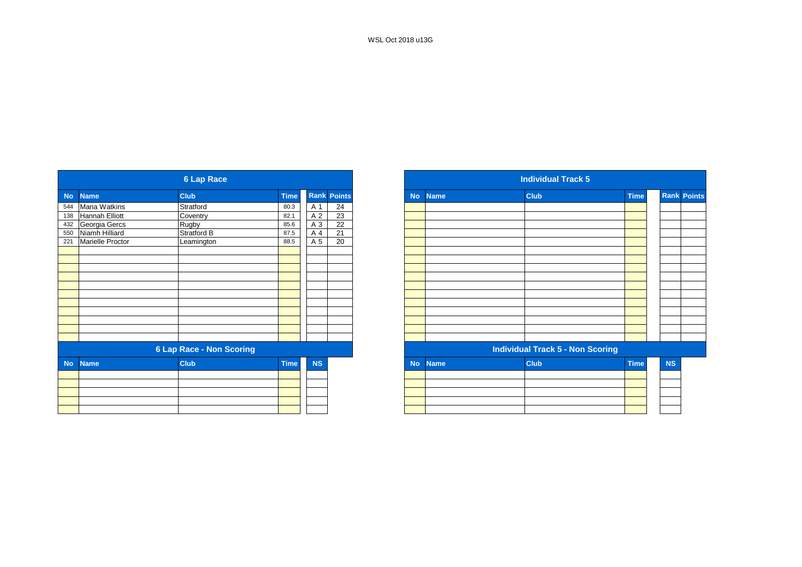|           |                  | <b>6 Lap Race</b>               |             |           |                    |
|-----------|------------------|---------------------------------|-------------|-----------|--------------------|
| <b>No</b> | <b>Name</b>      | <b>Club</b>                     | <b>Time</b> |           | <b>Rank Points</b> |
| 544       | Maria Watkins    | Stratford                       | 80.3        | A 1       | 24                 |
| 138       | Hannah Elliott   | Coventry                        | 82.1        | A 2       | 23                 |
| 432       | Georgia Gercs    | Rugby                           | 85.6        | A 3       | $\overline{22}$    |
| 550       | Niamh Hilliard   | Stratford B                     | 87.5        | A 4       | 21                 |
| 221       | Marielle Proctor | Leamington                      | 88.5        | A 5       | $\overline{20}$    |
|           |                  |                                 |             |           |                    |
|           |                  |                                 |             |           |                    |
|           |                  |                                 |             |           |                    |
|           |                  |                                 |             |           |                    |
|           |                  |                                 |             |           |                    |
|           |                  |                                 |             |           |                    |
|           |                  |                                 |             |           |                    |
|           |                  |                                 |             |           |                    |
|           |                  |                                 |             |           |                    |
|           |                  |                                 |             |           |                    |
|           |                  |                                 |             |           |                    |
|           |                  | <b>6 Lap Race - Non Scoring</b> |             |           |                    |
| <b>No</b> | <b>Name</b>      | <b>Club</b>                     | <b>Time</b> | <b>NS</b> |                    |
|           |                  |                                 |             |           |                    |
|           |                  |                                 |             |           |                    |
|           |                  |                                 |             |           |                    |
|           |                  |                                 |             |           |                    |
|           |                  |                                 |             |           |                    |
|           |                  |                                 |             |           |                    |

|             |                  | <b>6 Lap Race</b>               |             |           |                    |
|-------------|------------------|---------------------------------|-------------|-----------|--------------------|
| <b>Name</b> |                  | <b>Club</b>                     | <b>Time</b> |           | <b>Rank Points</b> |
|             | Maria Watkins    | Stratford                       | 80.3        | A 1       | 24                 |
|             | Hannah Elliott   | Coventry                        | 82.1        | A 2       | 23                 |
|             | Georgia Gercs    | Rugby                           | 85.6        | A 3       | $\overline{22}$    |
|             | Niamh Hilliard   | Stratford B                     | 87.5        | A 4       | 21                 |
|             | Marielle Proctor | Leamington                      | 88.5        | A 5       | 20                 |
|             |                  |                                 |             |           |                    |
|             |                  |                                 |             |           |                    |
|             |                  |                                 |             |           |                    |
|             |                  |                                 |             |           |                    |
|             |                  |                                 |             |           |                    |
|             |                  |                                 |             |           |                    |
|             |                  |                                 |             |           |                    |
|             |                  |                                 |             |           |                    |
|             |                  |                                 |             |           |                    |
|             |                  |                                 |             |           |                    |
|             |                  |                                 |             |           |                    |
|             |                  | <b>6 Lap Race - Non Scoring</b> |             |           |                    |
|             | <b>Name</b>      | <b>Club</b>                     | <b>Time</b> | <b>NS</b> |                    |
|             |                  |                                 |             |           |                    |
|             |                  |                                 |             |           |                    |
|             |                  |                                 |             |           |                    |
|             |                  |                                 |             |           |                    |
|             |                  |                                 |             |           |                    |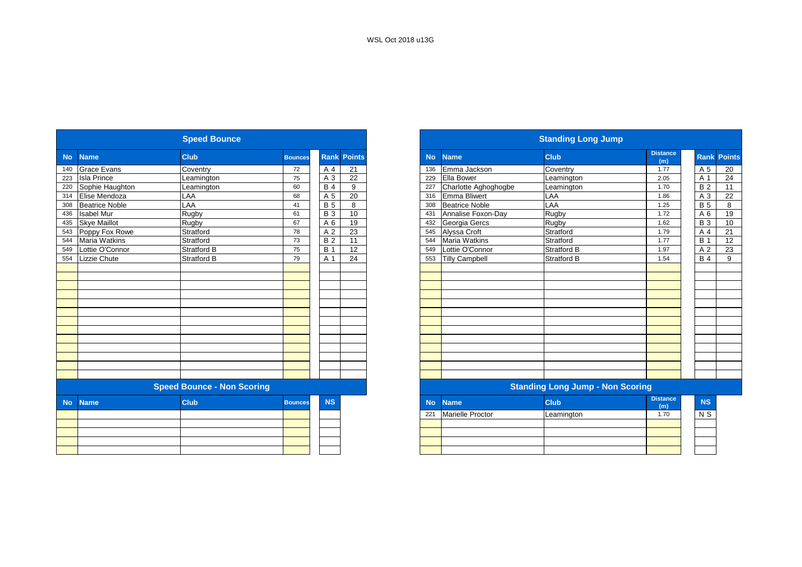|           |                       | <b>Speed Bounce</b>               |                |             |               |           |                         | <b>Standing Long Jump</b>               |                        |
|-----------|-----------------------|-----------------------------------|----------------|-------------|---------------|-----------|-------------------------|-----------------------------------------|------------------------|
|           |                       |                                   |                |             |               |           |                         |                                         |                        |
| <b>No</b> | <b>Name</b>           | <b>Club</b>                       | <b>Bounces</b> | <b>Rank</b> | <b>Points</b> | <b>No</b> | <b>Name</b>             | <b>Club</b>                             | <b>Distance</b><br>(m) |
| 140       | <b>Grace Evans</b>    | Coventry                          | 72             | A 4         | 21            | 136       | Emma Jackson            | Coventry                                | 1.77                   |
| 223       | <b>Isla Prince</b>    | Leamington                        | 75             | A 3         | 22            | 229       | Ella Bower              | Leamington                              | 2.05                   |
| 220       | Sophie Haughton       | Leamington                        | 60             | <b>B4</b>   | 9             | 227       | Charlotte Aghoghogbe    | Leamington                              | 1.70                   |
| 314       | Elise Mendoza         | LAA                               | 68             | A 5         | 20            | 316       | Emma Bliwert            | LAA                                     | 1.86                   |
| 308       | <b>Beatrice Noble</b> | LAA                               | 41             | <b>B</b> 5  | 8             | 308       | <b>Beatrice Noble</b>   | LAA                                     | 1.25                   |
| 436       | <b>Isabel Mur</b>     | Rugby                             | 61             | <b>B3</b>   | 10            | 431       | Annalise Foxon-Day      | Rugby                                   | 1.72                   |
| 435       | <b>Skye Maillot</b>   | Rugby                             | 67             | A 6         | 19            | 432       | Georgia Gercs           | Rugby                                   | 1.62                   |
| 543       | Poppy Fox Rowe        | Stratford                         | 78             | A 2         | 23            | 545       | Alyssa Croft            | Stratford                               | 1.79                   |
| 544       | <b>Maria Watkins</b>  | Stratford                         | 73             | <b>B2</b>   | 11            | 544       | <b>Maria Watkins</b>    | Stratford                               | 1.77                   |
| 549       | Lottie O'Connor       | Stratford B                       | 75             | <b>B</b> 1  | 12            | 549       | Lottie O'Connor         | Stratford B                             | 1.97                   |
|           | 554 Lizzie Chute      | Stratford B                       | 79             | A 1         | 24            | 553       | <b>Tilly Campbell</b>   | Stratford B                             | 1.54                   |
|           |                       |                                   |                |             |               |           |                         |                                         |                        |
|           |                       |                                   |                |             |               |           |                         |                                         |                        |
|           |                       |                                   |                |             |               |           |                         |                                         |                        |
|           |                       |                                   |                |             |               |           |                         |                                         |                        |
|           |                       |                                   |                |             |               |           |                         |                                         |                        |
|           |                       |                                   |                |             |               |           |                         |                                         |                        |
|           |                       |                                   |                |             |               |           |                         |                                         |                        |
|           |                       |                                   |                |             |               |           |                         |                                         |                        |
|           |                       |                                   |                |             |               |           |                         |                                         |                        |
|           |                       |                                   |                |             |               |           |                         |                                         |                        |
|           |                       |                                   |                |             |               |           |                         |                                         |                        |
|           |                       |                                   |                |             |               |           |                         |                                         |                        |
|           |                       |                                   |                |             |               |           |                         |                                         |                        |
|           |                       | <b>Speed Bounce - Non Scoring</b> |                |             |               |           |                         | <b>Standing Long Jump - Non Scoring</b> |                        |
|           |                       |                                   |                |             |               |           |                         |                                         | <b>Distance</b>        |
| <b>No</b> | <b>Name</b>           | <b>Club</b>                       | <b>Bounces</b> | <b>NS</b>   |               | <b>No</b> | <b>Name</b>             | <b>Club</b>                             | (m)                    |
|           |                       |                                   |                |             |               | 221       | <b>Marielle Proctor</b> | Leamington                              | 1.70                   |
|           |                       |                                   |                |             |               |           |                         |                                         |                        |
|           |                       |                                   |                |             |               |           |                         |                                         |                        |
|           |                       |                                   |                |             |               |           |                         |                                         |                        |

|           |                       | <b>Speed Bounce</b>               |                |             |               |
|-----------|-----------------------|-----------------------------------|----------------|-------------|---------------|
| <b>No</b> | <b>Name</b>           | <b>Club</b>                       | <b>Bounces</b> | <b>Rank</b> | <b>Points</b> |
|           | <b>Grace Evans</b>    | Coventry                          | 72             | A 4         | 21            |
|           | <b>Isla Prince</b>    | Leamington                        | 75             | A 3         | 22            |
|           | Sophie Haughton       | Leamington                        | 60             | <b>B</b> 4  | 9             |
|           | Elise Mendoza         | LAA                               | 68             | A 5         | 20            |
|           | <b>Beatrice Noble</b> | LAA                               | 41             | <b>B</b> 5  | 8             |
|           | <b>Isabel Mur</b>     | Rugby                             | 61             | <b>B</b> 3  | 10            |
| 435       | <b>Skye Maillot</b>   | Rugby                             | 67             | A 6         | 19            |
| 543       | Poppy Fox Rowe        | Stratford                         | 78             | A 2         | 23            |
| 544       | <b>Maria Watkins</b>  | Stratford                         | 73             | <b>B2</b>   | 11            |
| 549       | Lottie O'Connor       | <b>Stratford B</b>                | 75             | <b>B</b> 1  | 12            |
|           | Lizzie Chute          | <b>Stratford B</b>                | 79             | A 1         | 24            |
|           |                       |                                   |                |             |               |
|           |                       |                                   |                |             |               |
|           |                       |                                   |                |             |               |
|           |                       |                                   |                |             |               |
|           |                       |                                   |                |             |               |
|           |                       |                                   |                |             |               |
|           |                       |                                   |                |             |               |
|           |                       |                                   |                |             |               |
|           |                       |                                   |                |             |               |
|           |                       |                                   |                |             |               |
|           |                       |                                   |                |             |               |
|           |                       |                                   |                |             |               |
|           |                       |                                   |                |             |               |
|           |                       | <b>Speed Bounce - Non Scoring</b> |                |             |               |
|           | <b>Name</b>           | <b>Club</b>                       | <b>Bounces</b> | <b>NS</b>   |               |
|           |                       |                                   |                |             |               |
|           |                       |                                   |                |             |               |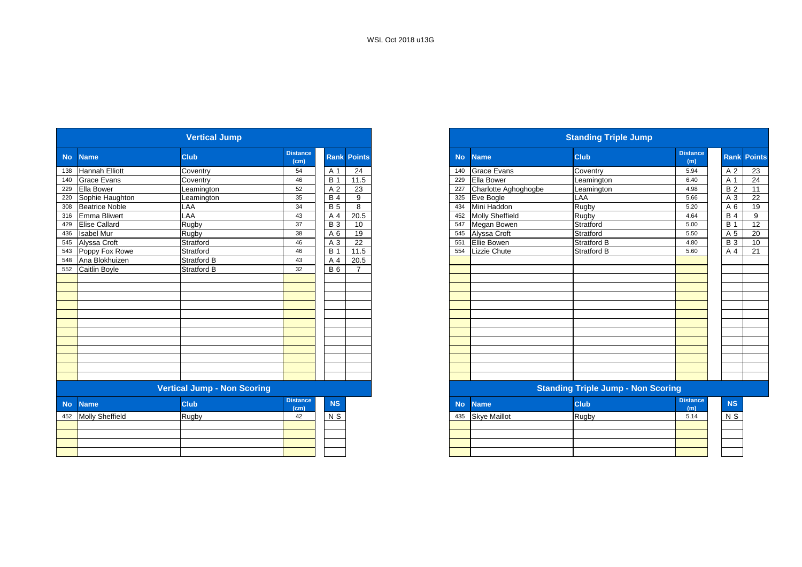|           |                        | <b>Vertical Jump</b>               |                         |            |                    |
|-----------|------------------------|------------------------------------|-------------------------|------------|--------------------|
| <b>No</b> | <b>Name</b>            | <b>Club</b>                        | <b>Distance</b><br>(cm) |            | <b>Rank Points</b> |
| 138       | <b>Hannah Elliott</b>  | Coventry                           | 54                      | A 1        | 24                 |
| 140       | <b>Grace Evans</b>     | Coventry                           | 46                      | <b>B</b> 1 | 11.5               |
| 229       | Ella Bower             | Leamington                         | 52                      | A 2        | 23                 |
| 220       | Sophie Haughton        | Leamington                         | 35                      | <b>B4</b>  | 9                  |
| 308       | <b>Beatrice Noble</b>  | LAA                                | 34                      | <b>B</b> 5 | 8                  |
| 316       | Emma Bliwert           | LAA                                | 43                      | A 4        | 20.5               |
| 429       | <b>Elise Callard</b>   | Rugby                              | 37                      | <b>B</b> 3 | 10                 |
| 436       | <b>Isabel Mur</b>      | Rugby                              | 38                      | A 6        | 19                 |
| 545       | Alyssa Croft           | Stratford                          | 46                      | A 3        | $\overline{22}$    |
| 543       | Poppy Fox Rowe         | Stratford                          | 46                      | <b>B</b> 1 | 11.5               |
| 548       | Ana Blokhuizen         | <b>Stratford B</b>                 | 43                      | A 4        | 20.5               |
| 552       | Caitlin Boyle          | <b>Stratford B</b>                 | 32                      | <b>B</b> 6 | $\overline{7}$     |
|           |                        |                                    |                         |            |                    |
|           |                        |                                    |                         |            |                    |
|           |                        |                                    |                         |            |                    |
|           |                        |                                    |                         |            |                    |
|           |                        |                                    |                         |            |                    |
|           |                        |                                    |                         |            |                    |
|           |                        |                                    |                         |            |                    |
|           |                        |                                    |                         |            |                    |
|           |                        |                                    |                         |            |                    |
|           |                        |                                    |                         |            |                    |
|           |                        |                                    |                         |            |                    |
|           |                        |                                    |                         |            |                    |
|           |                        | <b>Vertical Jump - Non Scoring</b> |                         |            |                    |
| <b>No</b> | <b>Name</b>            | <b>Club</b>                        | <b>Distance</b><br>(cm) | NS         |                    |
| 452       | <b>Molly Sheffield</b> | Rugby                              | 42                      | $N$ S      |                    |
|           |                        |                                    |                         |            |                    |
|           |                        |                                    |                         |            |                    |
|           |                        |                                    |                         |            |                    |
|           |                        |                                    |                         |            |                    |

|           |                       | <b>Vertical Jump</b>               |                         |            |                    |
|-----------|-----------------------|------------------------------------|-------------------------|------------|--------------------|
| <b>No</b> | <b>Name</b>           | <b>Club</b>                        | <b>Distance</b><br>(cm) |            | <b>Rank Points</b> |
| 138       | <b>Hannah Elliott</b> | Coventry                           | 54                      | A 1        | 24                 |
|           | 140 Grace Evans       | Coventry                           | 46                      | <b>B</b> 1 | 11.5               |
|           | 229 Ella Bower        | Leamington                         | 52                      | A 2        | 23                 |
| 220       | Sophie Haughton       | Leamington                         | 35                      | <b>B</b> 4 | 9                  |
| 308       | <b>Beatrice Noble</b> | LAA                                | 34                      | <b>B</b> 5 | 8                  |
|           | 316 Emma Bliwert      | LAA                                | 43                      | A 4        | 20.5               |
| 429       | <b>Elise Callard</b>  | Rugby                              | 37                      | <b>B</b> 3 | 10                 |
| 436       | <b>Isabel Mur</b>     | Rugby                              | 38                      | A 6        | 19                 |
|           | 545 Alyssa Croft      | Stratford                          | 46                      | A 3        | 22                 |
|           | 543 Poppy Fox Rowe    | Stratford                          | 46                      | B          | 11.5               |
|           | 548 Ana Blokhuizen    | <b>Stratford B</b>                 | 43                      | A 4        | 20.5               |
|           | 552 Caitlin Boyle     | <b>Stratford B</b>                 | 32                      | <b>B</b> 6 | $\overline{7}$     |
|           |                       |                                    |                         |            |                    |
|           |                       |                                    |                         |            |                    |
|           |                       |                                    |                         |            |                    |
|           |                       |                                    |                         |            |                    |
|           |                       |                                    |                         |            |                    |
|           |                       |                                    |                         |            |                    |
|           |                       |                                    |                         |            |                    |
|           |                       |                                    |                         |            |                    |
|           |                       |                                    |                         |            |                    |
|           |                       |                                    |                         |            |                    |
|           |                       |                                    |                         |            |                    |
|           |                       |                                    |                         |            |                    |
|           |                       | <b>Vertical Jump - Non Scoring</b> |                         |            |                    |
|           | No Name               | <b>Club</b>                        | <b>Distance</b><br>(cm) | <b>NS</b>  |                    |
|           | $452$ Molly Choffield | $D_{\text{inab}}$                  | $\sqrt{2}$              | $\sqrt{N}$ |                    |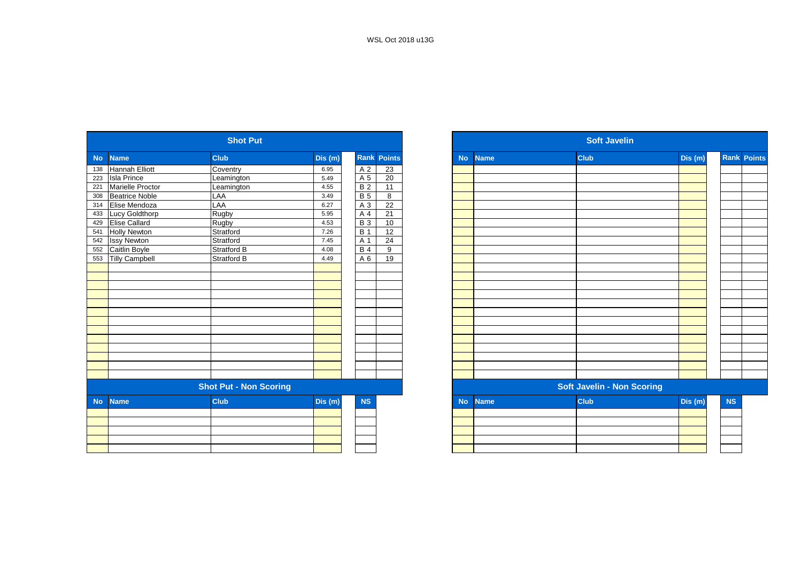|           |                       | <b>Shot Put</b>               |        |                |                 |
|-----------|-----------------------|-------------------------------|--------|----------------|-----------------|
| <b>No</b> | <b>Name</b>           | <b>Club</b>                   | Dis(m) | <b>Rank</b>    | <b>Points</b>   |
| 138       | Hannah Elliott        | Coventry                      | 6.95   | A 2            | 23              |
| 223       | <b>Isla Prince</b>    | Leamington                    | 5.49   | A 5            | 20              |
| 221       | Marielle Proctor      | Leamington                    | 4.55   | B <sub>2</sub> | 11              |
| 308       | <b>Beatrice Noble</b> | LAA                           | 3.49   | B <sub>5</sub> | 8               |
| 314       | Elise Mendoza         | LAA                           | 6.27   | A 3            | 22              |
| 433       | Lucy Goldthorp        | Rugby                         | 5.95   | A 4            | $\overline{21}$ |
| 429       | <b>Elise Callard</b>  | Rugby                         | 4.53   | <b>B</b> 3     | 10              |
| 541       | <b>Holly Newton</b>   | Stratford                     | 7.26   | <b>B</b> 1     | 12              |
| 542       | <b>Issy Newton</b>    | Stratford                     | 7.45   | A 1            | 24              |
| 552       | Caitlin Boyle         | <b>Stratford B</b>            | 4.08   | $B$ 4          | 9               |
| 553       | <b>Tilly Campbell</b> | Stratford B                   | 4.49   | A 6            | 19              |
|           |                       |                               |        |                |                 |
|           |                       |                               |        |                |                 |
|           |                       |                               |        |                |                 |
|           |                       |                               |        |                |                 |
|           |                       |                               |        |                |                 |
|           |                       |                               |        |                |                 |
|           |                       |                               |        |                |                 |
|           |                       |                               |        |                |                 |
|           |                       |                               |        |                |                 |
|           |                       |                               |        |                |                 |
|           |                       |                               |        |                |                 |
|           |                       |                               |        |                |                 |
|           |                       |                               |        |                |                 |
|           |                       | <b>Shot Put - Non Scoring</b> |        |                |                 |
| <b>No</b> | <b>Name</b>           | <b>Club</b>                   | Dis(m) | <b>NS</b>      |                 |
|           |                       |                               |        |                |                 |
|           |                       |                               |        |                |                 |
|           |                       |                               |        |                |                 |
|           |                       |                               |        |                |                 |
|           |                       |                               |        |                |                 |

|                         | <b>Shot Put</b>               |         |                    |                 |             | <b>Soft Javelin</b>               |         |  |
|-------------------------|-------------------------------|---------|--------------------|-----------------|-------------|-----------------------------------|---------|--|
| <b>Name</b>             | <b>Club</b>                   | Dis (m) | <b>Rank Points</b> | <b>No</b>       | <b>Name</b> | <b>Club</b>                       | Dis (m) |  |
| Hannah Elliott          | Coventry                      | 6.95    | A 2                | 23              |             |                                   |         |  |
| <b>Isla Prince</b>      | Leamington                    | 5.49    | A 5                | 20              |             |                                   |         |  |
| <b>Marielle Proctor</b> | Leamington                    | 4.55    | <b>B2</b>          | 11              |             |                                   |         |  |
| <b>Beatrice Noble</b>   | LAA                           | 3.49    | <b>B</b> 5         | 8               |             |                                   |         |  |
| Elise Mendoza           | LAA                           | 6.27    | A 3                | 22              |             |                                   |         |  |
| <b>Lucy Goldthorp</b>   | Rugby                         | 5.95    | A 4                | 21              |             |                                   |         |  |
| Elise Callard           | Rugby                         | 4.53    | <b>B3</b>          | 10 <sup>1</sup> |             |                                   |         |  |
| <b>Holly Newton</b>     | Stratford                     | 7.26    | <b>B</b> 1         | 12              |             |                                   |         |  |
| <b>Issy Newton</b>      | Stratford                     | 7.45    | A 1                | 24              |             |                                   |         |  |
| Caitlin Boyle           | Stratford B                   | 4.08    | <b>B4</b>          | 9               |             |                                   |         |  |
| <b>Tilly Campbell</b>   | <b>Stratford B</b>            | 4.49    | A 6                | 19              |             |                                   |         |  |
|                         |                               |         |                    |                 |             |                                   |         |  |
|                         |                               |         |                    |                 |             |                                   |         |  |
|                         |                               |         |                    |                 |             |                                   |         |  |
|                         |                               |         |                    |                 |             |                                   |         |  |
|                         |                               |         |                    |                 |             |                                   |         |  |
|                         |                               |         |                    |                 |             |                                   |         |  |
|                         |                               |         |                    |                 |             |                                   |         |  |
|                         |                               |         |                    |                 |             |                                   |         |  |
|                         |                               |         |                    |                 |             |                                   |         |  |
|                         |                               |         |                    |                 |             |                                   |         |  |
|                         |                               |         |                    |                 |             |                                   |         |  |
|                         |                               |         |                    |                 |             |                                   |         |  |
|                         |                               |         |                    |                 |             |                                   |         |  |
|                         | <b>Shot Put - Non Scoring</b> |         |                    |                 |             | <b>Soft Javelin - Non Scoring</b> |         |  |
| <b>Name</b>             | <b>Club</b>                   | Dis(m)  | NS                 | <b>No</b>       | <b>Name</b> | Club                              | Dis (m) |  |
|                         |                               |         |                    |                 |             |                                   |         |  |
|                         |                               |         |                    |                 |             |                                   |         |  |
|                         |                               |         |                    |                 |             |                                   |         |  |
|                         |                               |         |                    |                 |             |                                   |         |  |
|                         |                               |         |                    |                 |             |                                   |         |  |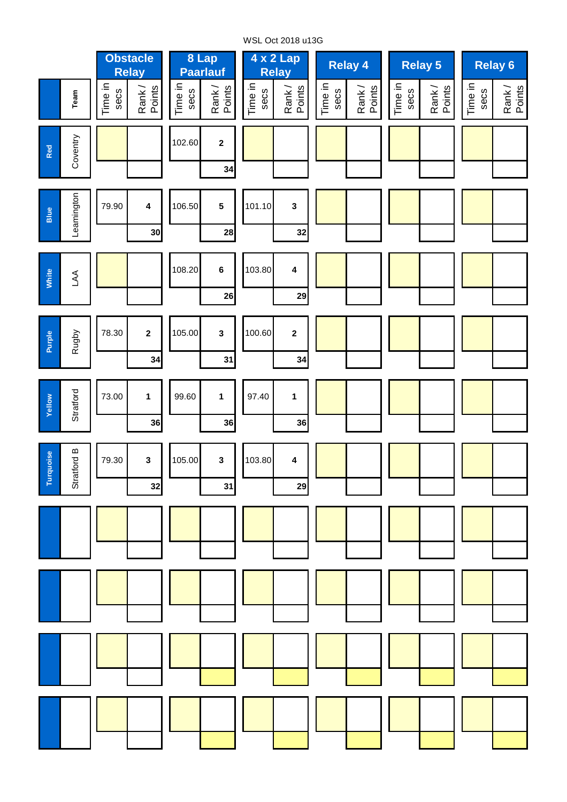

WSL Oct 2018 u13G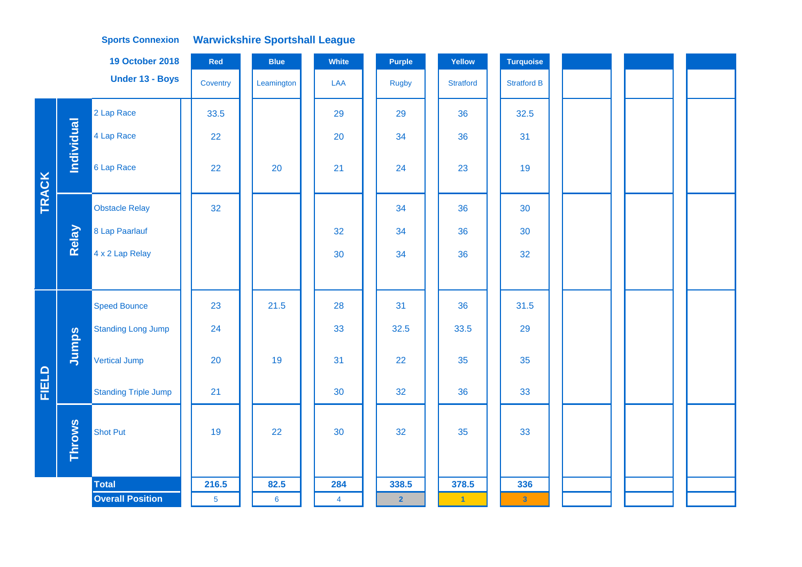|       |               | <b>19 October 2018</b>      | Red             | <b>Blue</b>    | <b>White</b>   | <b>Purple</b>  | Yellow           | <b>Turquoise</b>   |  |  |
|-------|---------------|-----------------------------|-----------------|----------------|----------------|----------------|------------------|--------------------|--|--|
|       |               | Under 13 - Boys             | Coventry        | Leamington     | LAA            | <b>Rugby</b>   | <b>Stratford</b> | <b>Stratford B</b> |  |  |
|       |               | 2 Lap Race                  | 33.5            |                | 29             | 29             | 36               | 32.5               |  |  |
|       | Individual    | 4 Lap Race                  | 22              |                | 20             | 34             | 36               | 31                 |  |  |
| TRACK |               | 6 Lap Race                  | 22              | 20             | 21             | 24             | 23               | 19                 |  |  |
|       |               | <b>Obstacle Relay</b>       | 32              |                |                | 34             | 36               | 30                 |  |  |
|       | Relay         | 8 Lap Paarlauf              |                 |                | 32             | 34             | 36               | 30                 |  |  |
|       |               | 4 x 2 Lap Relay             |                 |                | 30             | 34             | 36               | 32                 |  |  |
|       |               |                             |                 |                |                |                |                  |                    |  |  |
|       |               | <b>Speed Bounce</b>         | 23              | 21.5           | 28             | 31             | 36               | 31.5               |  |  |
|       |               | <b>Standing Long Jump</b>   | 24              |                | 33             | 32.5           | 33.5             | 29                 |  |  |
|       | Jumps         | Vertical Jump               | 20              | 19             | 31             | 22             | 35               | 35                 |  |  |
| FIELD |               | <b>Standing Triple Jump</b> | 21              |                | 30             | 32             | 36               | 33                 |  |  |
|       | <b>Throws</b> | <b>Shot Put</b>             | 19              | 22             | 30             | 32             | 35               | 33                 |  |  |
|       |               | <b>Total</b>                | 216.5           | 82.5           | 284            | 338.5          | 378.5            | 336                |  |  |
|       |               | <b>Overall Position</b>     | $5\phantom{.0}$ | $6\phantom{a}$ | $\overline{4}$ | $\overline{2}$ | $\vert 1 \vert$  | $\mathbf{3}$       |  |  |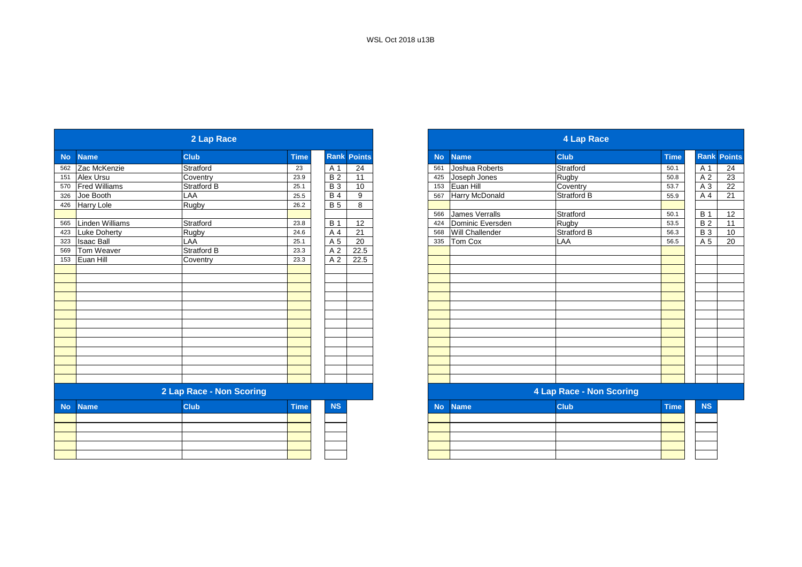|           |                   | 2 Lap Race               |             |            |                    |
|-----------|-------------------|--------------------------|-------------|------------|--------------------|
| <b>No</b> | <b>Name</b>       | <b>Club</b>              | <b>Time</b> |            | <b>Rank Points</b> |
|           | 562 Zac McKenzie  | Stratford                | 23          | A 1        | 24                 |
|           | 151 Alex Ursu     | Coventry                 | 23.9        | <b>B2</b>  | 11                 |
|           | 570 Fred Williams | Stratford B              | 25.1        | <b>B</b> 3 | 10                 |
| 326       | Joe Booth         | LAA                      | 25.5        | <b>B4</b>  | 9                  |
|           | 426 Harry Lole    | Rugby                    | 26.2        | <b>B</b> 5 | 8                  |
|           |                   |                          |             |            |                    |
| 565       | Linden Williams   | Stratford                | 23.8        | <b>B</b> 1 | 12                 |
| 423       | Luke Doherty      | Rugby                    | 24.6        | A 4        | 21                 |
| 323       | <b>Isaac Ball</b> | LAA                      | 25.1        | A 5        | 20                 |
| 569       | Tom Weaver        | Stratford B              | 23.3        | A 2        | 22.5               |
|           | 153 Euan Hill     | Coventry                 | 23.3        | A 2        | 22.5               |
|           |                   |                          |             |            |                    |
|           |                   |                          |             |            |                    |
|           |                   |                          |             |            |                    |
|           |                   |                          |             |            |                    |
|           |                   |                          |             |            |                    |
|           |                   |                          |             |            |                    |
|           |                   |                          |             |            |                    |
|           |                   |                          |             |            |                    |
|           |                   |                          |             |            |                    |
|           |                   |                          |             |            |                    |
|           |                   |                          |             |            |                    |
|           |                   |                          |             |            |                    |
|           |                   | 2 Lap Race - Non Scoring |             |            |                    |
| <b>No</b> | <b>Name</b>       | <b>Club</b>              | <b>Time</b> | <b>NS</b>  |                    |
|           |                   |                          |             |            |                    |
|           |                   |                          |             |            |                    |
|           |                   |                          |             |            |                    |
|           |                   |                          |             |            |                    |

|           |                      | 2 Lap Race               |             |                    |      |
|-----------|----------------------|--------------------------|-------------|--------------------|------|
|           | <b>Name</b>          | <b>Club</b>              | <b>Time</b> | <b>Rank Points</b> |      |
|           | 562 Zac McKenzie     | Stratford                | 23          | A 1                | 24   |
|           | Alex Ursu            | Coventry                 | 23.9        | <b>B2</b>          | 11   |
| 570       | <b>Fred Williams</b> | Stratford B              | 25.1        | <b>B3</b>          | 10   |
|           | Joe Booth            | LAA                      | 25.5        | <b>B</b> 4         | 9    |
| 426       | Harry Lole           | Rugby                    | 26.2        | <b>B</b> 5         | 8    |
|           |                      |                          |             |                    |      |
| 565       | Linden Williams      | Stratford                | 23.8        | <b>B</b> 1         | 12   |
| 423       | Luke Doherty         | Rugby                    | 24.6        | A 4                | 21   |
| 323       | <b>Isaac Ball</b>    | LAA                      | 25.1        | A 5                | 20   |
| 569       | Tom Weaver           | <b>Stratford B</b>       | 23.3        | A 2                | 22.5 |
| 153       | Euan Hill            | Coventry                 | 23.3        | A 2                | 22.5 |
|           |                      |                          |             |                    |      |
|           |                      |                          |             |                    |      |
|           |                      |                          |             |                    |      |
|           |                      |                          |             |                    |      |
|           |                      |                          |             |                    |      |
|           |                      |                          |             |                    |      |
|           |                      |                          |             |                    |      |
|           |                      |                          |             |                    |      |
|           |                      |                          |             |                    |      |
|           |                      |                          |             |                    |      |
|           |                      |                          |             |                    |      |
|           |                      |                          |             |                    |      |
|           |                      |                          |             |                    |      |
|           |                      | 2 Lap Race - Non Scoring |             |                    |      |
| <b>No</b> | <b>Name</b>          | <b>Club</b>              | <b>Time</b> | <b>NS</b>          |      |
|           |                      |                          |             |                    |      |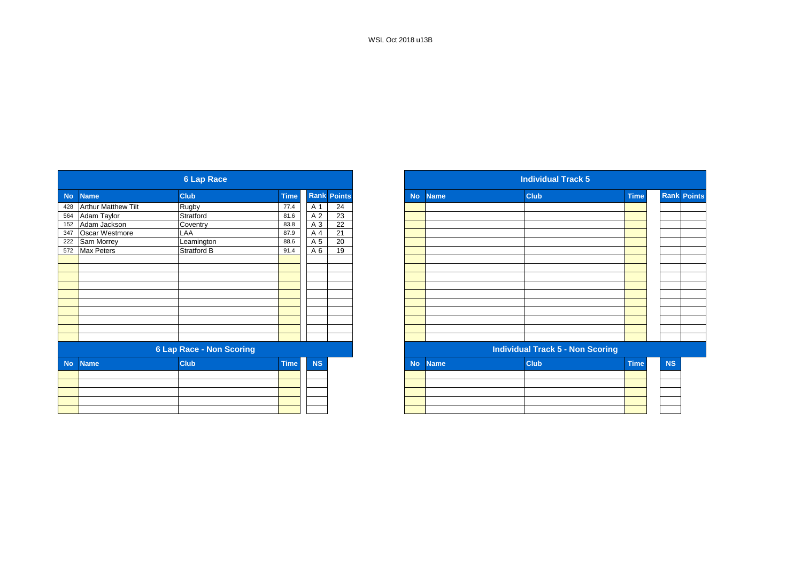|           |                            | <b>6 Lap Race</b>               |             |           |                    |
|-----------|----------------------------|---------------------------------|-------------|-----------|--------------------|
| <b>No</b> | <b>Name</b>                | <b>Club</b>                     | <b>Time</b> |           | <b>Rank Points</b> |
| 428       | <b>Arthur Matthew Tilt</b> | Rugby                           | 77.4        | A 1       | 24                 |
| 564       | Adam Taylor                | Stratford                       | 81.6        | A 2       | 23                 |
| 152       | Adam Jackson               | Coventry                        | 83.8        | A 3       | $\overline{22}$    |
| 347       | <b>Oscar Westmore</b>      | LAA                             | 87.9        | A 4       | 21                 |
| 222       | Sam Morrey                 | Leamington                      | 88.6        | A 5       | 20                 |
| 572       | <b>Max Peters</b>          | Stratford B                     | 91.4        | A 6       | 19                 |
|           |                            |                                 |             |           |                    |
|           |                            |                                 |             |           |                    |
|           |                            |                                 |             |           |                    |
|           |                            |                                 |             |           |                    |
|           |                            |                                 |             |           |                    |
|           |                            |                                 |             |           |                    |
|           |                            |                                 |             |           |                    |
|           |                            |                                 |             |           |                    |
|           |                            |                                 |             |           |                    |
|           |                            |                                 |             |           |                    |
|           |                            | <b>6 Lap Race - Non Scoring</b> |             |           |                    |
| <b>No</b> | <b>Name</b>                | <b>Club</b>                     | <b>Time</b> | <b>NS</b> |                    |
|           |                            |                                 |             |           |                    |
|           |                            |                                 |             |           |                    |
|           |                            |                                 |             |           |                    |
|           |                            |                                 |             |           |                    |
|           |                            |                                 |             |           |                    |
|           |                            |                                 |             |           |                    |

|             |                            | <b>6 Lap Race</b>               |             |           |                    |
|-------------|----------------------------|---------------------------------|-------------|-----------|--------------------|
| <b>Name</b> |                            | <b>Club</b>                     | <b>Time</b> |           | <b>Rank Points</b> |
|             | <b>Arthur Matthew Tilt</b> | Rugby                           | 77.4        | A 1       | 24                 |
|             | Adam Taylor                | Stratford                       | 81.6        | A 2       | 23                 |
|             | Adam Jackson               | Coventry                        | 83.8        | A 3       | $\overline{22}$    |
|             | Oscar Westmore             | LAA                             | 87.9        | A 4       | 21                 |
|             | Sam Morrey                 | Leamington                      | 88.6        | A 5       | 20                 |
|             | <b>Max Peters</b>          | Stratford B                     | 91.4        | A 6       | 19                 |
|             |                            |                                 |             |           |                    |
|             |                            |                                 |             |           |                    |
|             |                            |                                 |             |           |                    |
|             |                            |                                 |             |           |                    |
|             |                            |                                 |             |           |                    |
|             |                            |                                 |             |           |                    |
|             |                            |                                 |             |           |                    |
|             |                            |                                 |             |           |                    |
|             |                            |                                 |             |           |                    |
|             |                            |                                 |             |           |                    |
|             |                            | <b>6 Lap Race - Non Scoring</b> |             |           |                    |
| <b>No</b>   | <b>Name</b>                | <b>Club</b>                     | <b>Time</b> | <b>NS</b> |                    |
|             |                            |                                 |             |           |                    |
|             |                            |                                 |             |           |                    |
|             |                            |                                 |             |           |                    |
|             |                            |                                 |             |           |                    |
|             |                            |                                 |             |           |                    |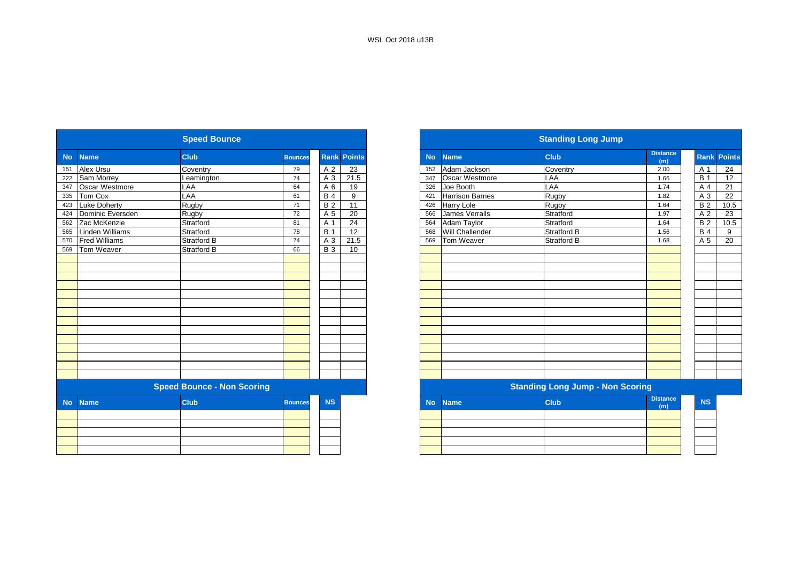|           |                      | <b>Speed Bounce</b>               |                |                 |               |           |                        | <b>Standing Long Jump</b>               |                        |
|-----------|----------------------|-----------------------------------|----------------|-----------------|---------------|-----------|------------------------|-----------------------------------------|------------------------|
| <b>No</b> | <b>Name</b>          | <b>Club</b>                       | <b>Bounces</b> | Rank            | <b>Points</b> | <b>No</b> | <b>Name</b>            | <b>Club</b>                             | <b>Distance</b><br>(m) |
| 151       | <b>Alex Ursu</b>     | Coventry                          | 79             | A 2             | 23            | 152       | Adam Jackson           | Coventry                                | 2.00                   |
| 222       | Sam Morrey           | Leamington                        | 74             | A 3             | 21.5          | 347       | Oscar Westmore         | LAA                                     | 1.66                   |
| 347       | Oscar Westmore       | LAA                               | 64             | A 6             | 19            | 326       | Joe Booth              | LAA                                     | 1.74                   |
| 335       | Tom Cox              | LAA                               | 61             | <b>B4</b>       | 9             | 421       | <b>Harrison Barnes</b> | Rugby                                   | 1.82                   |
| 423       | <b>Luke Doherty</b>  | Rugby                             | 71             | <b>B2</b>       | 11            | 426       | <b>Harry Lole</b>      | Rugby                                   | 1.64                   |
| 424       | Dominic Eversden     | Rugby                             | 72             | $\overline{A}5$ | 20            | 566       | James Verralls         | Stratford                               | 1.97                   |
| 562       | Zac McKenzie         | Stratford                         | 81             | A 1             | 24            | 564       | Adam Taylor            | Stratford                               | 1.64                   |
| 565       | Linden Williams      | Stratford                         | 78             | <b>B</b> 1      | 12            | 568       | Will Challender        | <b>Stratford B</b>                      | 1.56                   |
| 570       | <b>Fred Williams</b> | <b>Stratford B</b>                | 74             | A 3             | 21.5          | 569       | Tom Weaver             | <b>Stratford B</b>                      | 1.68                   |
| 569       | Tom Weaver           | <b>Stratford B</b>                | 66             | <b>B</b> 3      | 10            |           |                        |                                         |                        |
|           |                      |                                   |                |                 |               |           |                        |                                         |                        |
|           |                      |                                   |                |                 |               |           |                        |                                         |                        |
|           |                      |                                   |                |                 |               |           |                        |                                         |                        |
|           |                      |                                   |                |                 |               |           |                        |                                         |                        |
|           |                      |                                   |                |                 |               |           |                        |                                         |                        |
|           |                      |                                   |                |                 |               |           |                        |                                         |                        |
|           |                      |                                   |                |                 |               |           |                        |                                         |                        |
|           |                      |                                   |                |                 |               |           |                        |                                         |                        |
|           |                      |                                   |                |                 |               |           |                        |                                         |                        |
|           |                      |                                   |                |                 |               |           |                        |                                         |                        |
|           |                      |                                   |                |                 |               |           |                        |                                         |                        |
|           |                      |                                   |                |                 |               |           |                        |                                         |                        |
|           |                      |                                   |                |                 |               |           |                        |                                         |                        |
|           |                      |                                   |                |                 |               |           |                        |                                         |                        |
|           |                      | <b>Speed Bounce - Non Scoring</b> |                |                 |               |           |                        | <b>Standing Long Jump - Non Scoring</b> |                        |
| <b>No</b> | <b>Name</b>          | <b>Club</b>                       | <b>Bounces</b> | <b>NS</b>       |               | <b>No</b> | <b>Name</b>            | <b>Club</b>                             | <b>Distance</b><br>(m) |
|           |                      |                                   |                |                 |               |           |                        |                                         |                        |
|           |                      |                                   |                |                 |               |           |                        |                                         |                        |
|           |                      |                                   |                |                 |               |           |                        |                                         |                        |
|           |                      |                                   |                |                 |               |           |                        |                                         |                        |
|           |                      |                                   |                |                 |               |           |                        |                                         |                        |

|                          |                      | <b>Speed Bounce</b>               |                |                |                    |
|--------------------------|----------------------|-----------------------------------|----------------|----------------|--------------------|
| <b>Name</b>              |                      | <b>Club</b>                       | <b>Bounces</b> |                | <b>Rank Points</b> |
|                          | Alex Ursu            | Coventry                          | 79             | A 2            | 23                 |
|                          | Sam Morrey           | Leamington                        | 74             | A 3            | 21.5               |
|                          | Oscar Westmore       | LAA                               | 64             | A <sub>6</sub> | 19                 |
|                          | Tom Cox              | LAA                               | 61             | <b>B4</b>      | 9                  |
|                          | <b>Luke Doherty</b>  | Rugby                             | 71             | <b>B2</b>      | $\overline{11}$    |
|                          | Dominic Eversden     | Rugby                             | 72             | A 5            | 20                 |
|                          | Zac McKenzie         | Stratford                         | 81             | A 1            | 24                 |
|                          | Linden Williams      | Stratford                         | 78             | <b>B</b> 1     | 12                 |
| 570                      | <b>Fred Williams</b> | <b>Stratford B</b>                | 74             | A 3            | 21.5               |
| 569                      | Tom Weaver           | <b>Stratford B</b>                | 66             | <b>B</b> 3     | 10                 |
|                          |                      |                                   |                |                |                    |
|                          |                      |                                   |                |                |                    |
|                          |                      |                                   |                |                |                    |
|                          |                      |                                   |                |                |                    |
|                          |                      |                                   |                |                |                    |
|                          |                      |                                   |                |                |                    |
|                          |                      |                                   |                |                |                    |
|                          |                      |                                   |                |                |                    |
|                          |                      |                                   |                |                |                    |
|                          |                      |                                   |                |                |                    |
|                          |                      |                                   |                |                |                    |
|                          |                      |                                   |                |                |                    |
|                          |                      |                                   |                |                |                    |
|                          |                      |                                   |                |                |                    |
|                          |                      | <b>Speed Bounce - Non Scoring</b> |                |                |                    |
| <b>No</b><br><b>Name</b> |                      | <b>Club</b>                       | <b>Bounces</b> | <b>NS</b>      |                    |
|                          |                      |                                   |                |                |                    |
|                          |                      |                                   |                |                |                    |
|                          |                      |                                   |                |                |                    |
|                          |                      |                                   |                |                |                    |
|                          |                      |                                   |                |                |                    |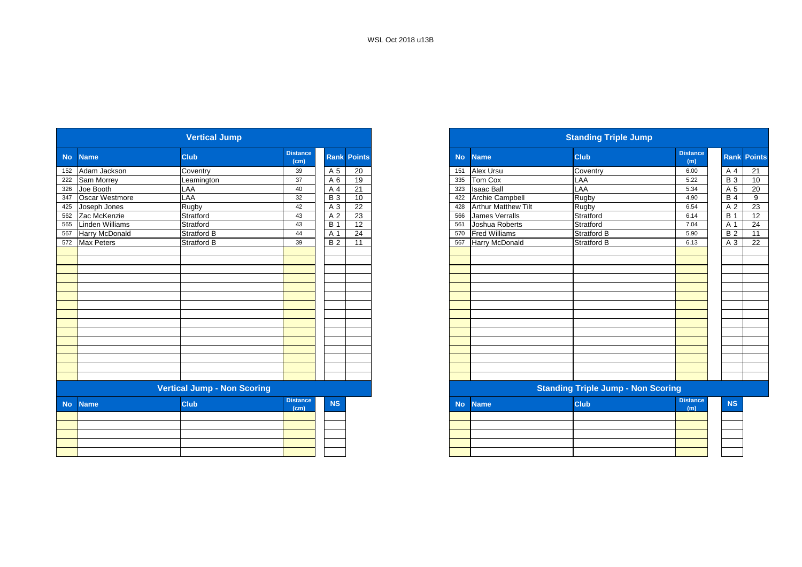|           |                       | <b>Vertical Jump</b>               |                         |                |                    |
|-----------|-----------------------|------------------------------------|-------------------------|----------------|--------------------|
| <b>No</b> | <b>Name</b>           | <b>Club</b>                        | <b>Distance</b><br>(cm) |                | <b>Rank Points</b> |
| 152       | Adam Jackson          | Coventry                           | 39                      | A 5            | 20                 |
| 222       | Sam Morrey            | Leamington                         | 37                      | A 6            | 19                 |
| 326       | Joe Booth             | LAA                                | 40                      | A 4            | 21                 |
| 347       | Oscar Westmore        | LAA                                | 32                      | <b>B3</b>      | 10                 |
| 425       | Joseph Jones          | Rugby                              | 42                      | A <sub>3</sub> | 22                 |
| 562       | Zac McKenzie          | Stratford                          | 43                      | A <sub>2</sub> | 23                 |
| 565       | Linden Williams       | Stratford                          | 43                      | <b>B</b> 1     | 12                 |
| 567       | <b>Harry McDonald</b> | Stratford B                        | 44                      | A 1            | 24                 |
| 572       | Max Peters            | Stratford B                        | 39                      | <b>B2</b>      | 11                 |
|           |                       |                                    |                         |                |                    |
|           |                       |                                    |                         |                |                    |
|           |                       |                                    |                         |                |                    |
|           |                       |                                    |                         |                |                    |
|           |                       |                                    |                         |                |                    |
|           |                       |                                    |                         |                |                    |
|           |                       |                                    |                         |                |                    |
|           |                       |                                    |                         |                |                    |
|           |                       |                                    |                         |                |                    |
|           |                       |                                    |                         |                |                    |
|           |                       |                                    |                         |                |                    |
|           |                       |                                    |                         |                |                    |
|           |                       |                                    |                         |                |                    |
|           |                       |                                    |                         |                |                    |
|           |                       |                                    |                         |                |                    |
|           |                       | <b>Vertical Jump - Non Scoring</b> |                         |                |                    |
| <b>No</b> | <b>Name</b>           | <b>Club</b>                        | <b>Distance</b><br>(cm) | <b>NS</b>      |                    |
|           |                       |                                    |                         |                |                    |
|           |                       |                                    |                         |                |                    |
|           |                       |                                    |                         |                |                    |
|           |                       |                                    |                         |                |                    |
|           |                       |                                    |                         |                |                    |

|                        | <b>Vertical Jump</b>               |                         |                        |           |                            | <b>Standing Triple Jump</b>               |                        |  |
|------------------------|------------------------------------|-------------------------|------------------------|-----------|----------------------------|-------------------------------------------|------------------------|--|
| <b>Name</b>            | <b>Club</b>                        | <b>Distance</b><br>(cm) | <b>Rank Points</b>     | <b>No</b> | <b>Name</b>                | <b>Club</b>                               | <b>Distance</b><br>(m) |  |
| 152 Adam Jackson       | Coventry                           | 39                      | A 5<br>20              | 151       | Alex Ursu                  | Coventry                                  | 6.00                   |  |
| Sam Morrey             | Leamington                         | 37                      | 19<br>A 6              | 335       | Tom Cox                    | LAA                                       | 5.22                   |  |
| Joe Booth              | LAA                                | 40                      | 21<br>A 4              | 323       | <b>Isaac Ball</b>          | LAA                                       | 5.34                   |  |
| 347 Oscar Westmore     | LAA                                | 32                      | <b>B</b> 3<br>10       | 422       | Archie Campbell            | Rugby                                     | 4.90                   |  |
| 425 Joseph Jones       | Rugby                              | 42                      | $\overline{22}$<br>A 3 | 428       | <b>Arthur Matthew Tilt</b> | Rugby                                     | 6.54                   |  |
| 562 Zac McKenzie       | Stratford                          | 43                      | 23<br>A 2              | 566       | <b>James Verralls</b>      | Stratford                                 | 6.14                   |  |
| <b>Linden Williams</b> | Stratford                          | 43                      | <b>B</b> 1<br>12       | 561       | Joshua Roberts             | Stratford                                 | 7.04                   |  |
| Harry McDonald         | <b>Stratford B</b>                 | 44                      | 24<br>A 1              | 570       | <b>Fred Williams</b>       | Stratford B                               | 5.90                   |  |
| 572 Max Peters         | <b>Stratford B</b>                 | 39                      | <b>B2</b><br>11        | 567       | <b>Harry McDonald</b>      | Stratford B                               | 6.13                   |  |
|                        |                                    |                         |                        |           |                            |                                           |                        |  |
|                        |                                    |                         |                        |           |                            |                                           |                        |  |
|                        |                                    |                         |                        |           |                            |                                           |                        |  |
|                        |                                    |                         |                        |           |                            |                                           |                        |  |
|                        |                                    |                         |                        |           |                            |                                           |                        |  |
|                        |                                    |                         |                        |           |                            |                                           |                        |  |
|                        |                                    |                         |                        |           |                            |                                           |                        |  |
|                        |                                    |                         |                        |           |                            |                                           |                        |  |
|                        |                                    |                         |                        |           |                            |                                           |                        |  |
|                        |                                    |                         |                        |           |                            |                                           |                        |  |
|                        |                                    |                         |                        |           |                            |                                           |                        |  |
|                        |                                    |                         |                        |           |                            |                                           |                        |  |
|                        |                                    |                         |                        |           |                            |                                           |                        |  |
|                        |                                    |                         |                        |           |                            |                                           |                        |  |
|                        |                                    |                         |                        |           |                            |                                           |                        |  |
|                        | <b>Vertical Jump - Non Scoring</b> |                         |                        |           |                            | <b>Standing Triple Jump - Non Scoring</b> |                        |  |
| <b>Name</b>            | <b>Club</b>                        | <b>Distance</b><br>(cm) | <b>NS</b>              | <b>No</b> | <b>Name</b>                | <b>Club</b>                               | <b>Distance</b><br>(m) |  |
|                        |                                    |                         |                        |           |                            |                                           |                        |  |
|                        |                                    |                         |                        |           |                            |                                           |                        |  |
|                        |                                    |                         |                        |           |                            |                                           |                        |  |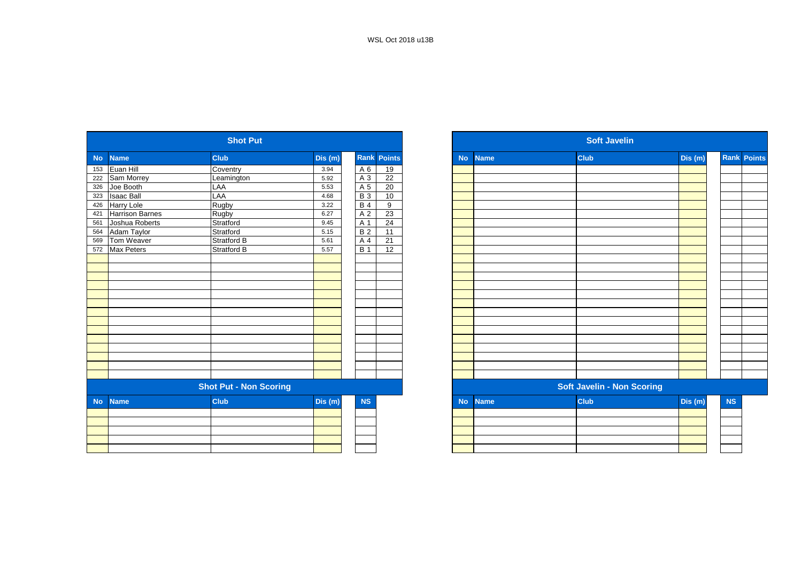|           |                        | <b>Shot Put</b>               |         |            |                    |
|-----------|------------------------|-------------------------------|---------|------------|--------------------|
| <b>No</b> | <b>Name</b>            | <b>Club</b>                   | Dis(m)  |            | <b>Rank Points</b> |
| 153       | Euan Hill              | Coventry                      | 3.94    | A 6        | 19                 |
| 222       | Sam Morrey             | Leamington                    | 5.92    | A 3        | 22                 |
| 326       | Joe Booth              | LAA                           | 5.53    | A 5        | 20                 |
| 323       | <b>Isaac Ball</b>      | LAA                           | 4.68    | $B_3$      | 10                 |
| 426       | Harry Lole             | Rugby                         | 3.22    | <b>B</b> 4 | 9                  |
| 421       | <b>Harrison Barnes</b> | <b>Rugby</b>                  | 6.27    | A 2        | 23                 |
| 561       | Joshua Roberts         | Stratford                     | 9.45    | A 1        | 24                 |
| 564       | Adam Taylor            | Stratford                     | 5.15    | <b>B2</b>  | 11                 |
| 569       | Tom Weaver             | Stratford B                   | 5.61    | A 4        | 21                 |
| 572       | Max Peters             | Stratford B                   | 5.57    | <b>B</b> 1 | $\overline{12}$    |
|           |                        |                               |         |            |                    |
|           |                        |                               |         |            |                    |
|           |                        |                               |         |            |                    |
|           |                        |                               |         |            |                    |
|           |                        |                               |         |            |                    |
|           |                        |                               |         |            |                    |
|           |                        |                               |         |            |                    |
|           |                        |                               |         |            |                    |
|           |                        |                               |         |            |                    |
|           |                        |                               |         |            |                    |
|           |                        |                               |         |            |                    |
|           |                        |                               |         |            |                    |
|           |                        |                               |         |            |                    |
|           |                        |                               |         |            |                    |
|           |                        | <b>Shot Put - Non Scoring</b> |         |            |                    |
| <b>No</b> | <b>Name</b>            | <b>Club</b>                   | Dis (m) | <b>NS</b>  |                    |
|           |                        |                               |         |            |                    |
|           |                        |                               |         |            |                    |
|           |                        |                               |         |            |                    |
|           |                        |                               |         |            |                    |
|           |                        |                               |         |            |                    |
|           |                        |                               |         |            |                    |

|                   |                        | <b>Shot Put</b>               |         |                  |                    |
|-------------------|------------------------|-------------------------------|---------|------------------|--------------------|
| <b>Name</b>       |                        | <b>Club</b>                   | Dis(m)  |                  | <b>Rank Points</b> |
| Euan Hill         |                        | Coventry                      | 3.94    | A 6              | 19                 |
| Sam Morrey        |                        | Leamington                    | 5.92    | A 3              | 22                 |
| Joe Booth         |                        | LAA                           | 5.53    | A 5              | 20                 |
| <b>Isaac Ball</b> |                        | LAA                           | 4.68    | <b>B3</b>        | 10                 |
| <b>Harry Lole</b> |                        | Rugby                         | 3.22    | <b>B</b> 4       | 9                  |
|                   | <b>Harrison Barnes</b> | Rugby                         | 6.27    | A 2              | 23                 |
|                   | Joshua Roberts         | Stratford                     | 9.45    | A 1              | 24                 |
| Adam Taylor       |                        | Stratford                     | 5.15    | <b>B2</b>        | 11                 |
| Tom Weaver        |                        | Stratford B                   | 5.61    | A 4              | 21                 |
| <b>Max Peters</b> |                        | <b>Stratford B</b>            | 5.57    | $\overline{B}$ 1 | 12                 |
|                   |                        |                               |         |                  |                    |
|                   |                        |                               |         |                  |                    |
|                   |                        |                               |         |                  |                    |
|                   |                        |                               |         |                  |                    |
|                   |                        |                               |         |                  |                    |
|                   |                        |                               |         |                  |                    |
|                   |                        |                               |         |                  |                    |
|                   |                        |                               |         |                  |                    |
|                   |                        |                               |         |                  |                    |
|                   |                        |                               |         |                  |                    |
|                   |                        |                               |         |                  |                    |
|                   |                        |                               |         |                  |                    |
|                   |                        |                               |         |                  |                    |
|                   |                        |                               |         |                  |                    |
|                   |                        | <b>Shot Put - Non Scoring</b> |         |                  |                    |
| <b>Name</b>       |                        | <b>Club</b>                   | Dis (m) | NS               |                    |
|                   |                        |                               |         |                  |                    |
|                   |                        |                               |         |                  |                    |
|                   |                        |                               |         |                  |                    |
|                   |                        |                               |         |                  |                    |
|                   |                        |                               |         |                  |                    |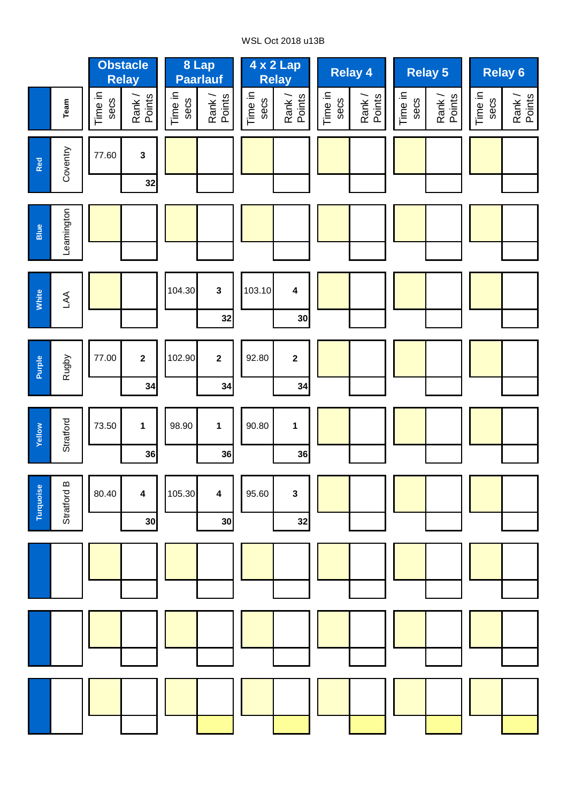# WSL Oct 2018 u13B

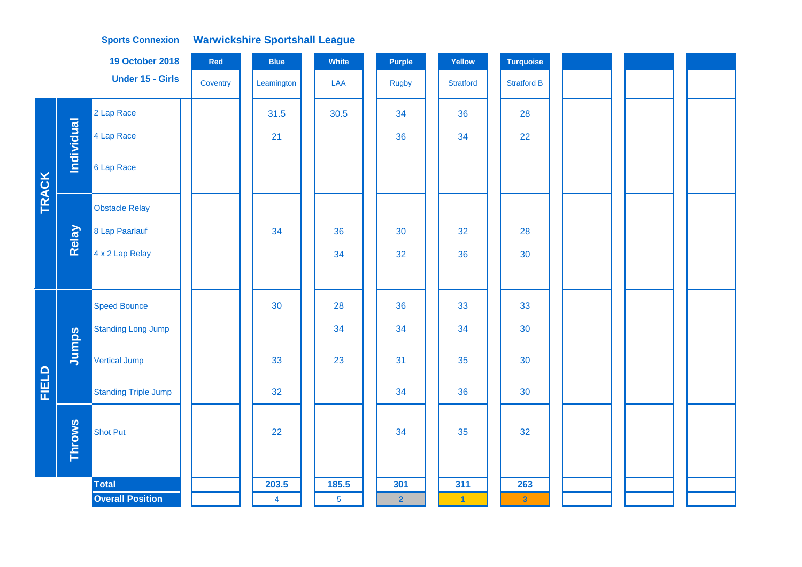|              |                   | <b>19 October 2018</b>      | Red      | <b>Blue</b>    | <b>White</b>    | <b>Purple</b>           | Yellow                  | <b>Turquoise</b>        |  |  |  |
|--------------|-------------------|-----------------------------|----------|----------------|-----------------|-------------------------|-------------------------|-------------------------|--|--|--|
|              |                   | <b>Under 15 - Girls</b>     | Coventry | Leamington     | LAA             | <b>Rugby</b>            | <b>Stratford</b>        | <b>Stratford B</b>      |  |  |  |
|              |                   | 2 Lap Race                  |          | 31.5           | 30.5            | 34                      | 36                      | 28                      |  |  |  |
|              | <b>Individual</b> | 4 Lap Race                  |          | 21             |                 | 36                      | 34                      | 22                      |  |  |  |
| <b>TRACK</b> |                   | 6 Lap Race                  |          |                |                 |                         |                         |                         |  |  |  |
|              |                   | <b>Obstacle Relay</b>       |          |                |                 |                         |                         |                         |  |  |  |
|              | Relay             | 8 Lap Paarlauf              |          | 34             | 36              | 30                      | 32                      | 28                      |  |  |  |
|              |                   | 4 x 2 Lap Relay             |          |                | 34              | 32                      | 36                      | 30                      |  |  |  |
|              |                   |                             |          |                |                 |                         |                         |                         |  |  |  |
|              |                   | <b>Speed Bounce</b>         |          | 30             | 28              | 36                      | 33                      | 33                      |  |  |  |
|              |                   | <b>Standing Long Jump</b>   |          |                | 34              | 34                      | 34                      | 30                      |  |  |  |
|              | Jumps             | Vertical Jump               |          | 33             | 23              | 31                      | 35                      | 30                      |  |  |  |
| <b>FIELD</b> |                   | <b>Standing Triple Jump</b> |          | 32             |                 | 34                      | 36                      | 30                      |  |  |  |
|              | <b>Throws</b>     | <b>Shot Put</b>             |          | 22             |                 | 34                      | 35                      | 32                      |  |  |  |
|              |                   | <b>Total</b>                |          | 203.5          | 185.5           | 301                     | 311                     | 263                     |  |  |  |
|              |                   | <b>Overall Position</b>     |          | $\overline{4}$ | $5\phantom{.0}$ | $\overline{\mathbf{2}}$ | $\overline{\mathbf{1}}$ | $\overline{\mathbf{3}}$ |  |  |  |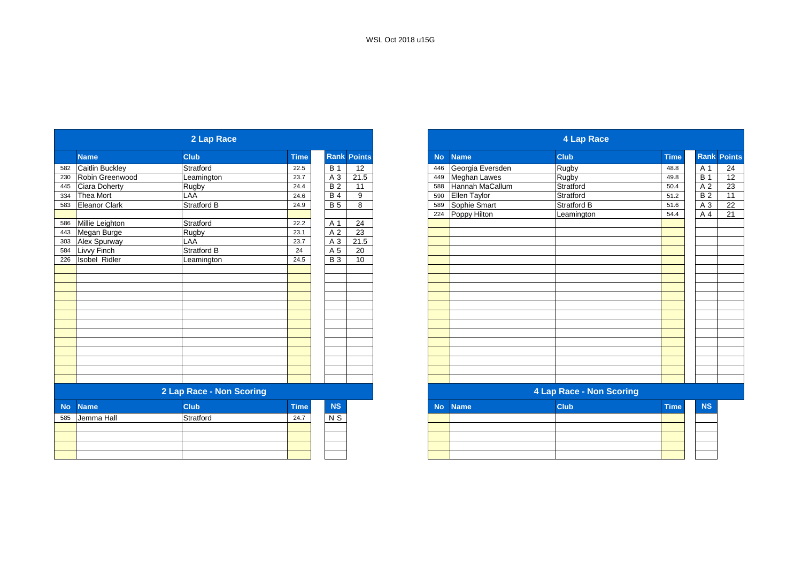|           |                      | 2 Lap Race               |             |                |                    |
|-----------|----------------------|--------------------------|-------------|----------------|--------------------|
|           | <b>Name</b>          | <b>Club</b>              | <b>Time</b> |                | <b>Rank Points</b> |
| 582       | Caitlin Buckley      | Stratford                | 22.5        | <b>B</b> 1     | 12                 |
| 230       | Robin Greenwood      | Leamington               | 23.7        | $A_3$          | 21.5               |
| 445       | Ciara Doherty        | Rugby                    | 24.4        | <b>B2</b>      | 11                 |
| 334       | Thea Mort            | LAA                      | 24.6        | <b>B4</b>      | 9                  |
| 583       | Eleanor Clark        | Stratford B              | 24.9        | $\overline{B}$ | 8                  |
| 586       |                      |                          |             |                |                    |
|           | Millie Leighton      | Stratford                | 22.2        | A 1            | 24                 |
|           | Megan Burge          | <b>Rugby</b>             | 23.1        | A <sub>2</sub> | 23                 |
|           | Alex Spurway         | LAA                      | 23.7        | $A_3$          | 21.5               |
|           | Livvy Finch          | <b>Stratford B</b>       | 24          | A 5            | 20                 |
| 226       | <b>Isobel Ridler</b> | Leamington               | 24.5        | <b>B3</b>      | 10                 |
|           |                      |                          |             |                |                    |
|           |                      |                          |             |                |                    |
|           |                      |                          |             |                |                    |
|           |                      |                          |             |                |                    |
|           |                      |                          |             |                |                    |
|           |                      |                          |             |                |                    |
|           |                      |                          |             |                |                    |
|           |                      |                          |             |                |                    |
|           |                      |                          |             |                |                    |
|           |                      |                          |             |                |                    |
|           |                      |                          |             |                |                    |
|           |                      |                          |             |                |                    |
|           |                      |                          |             |                |                    |
|           |                      | 2 Lap Race - Non Scoring |             |                |                    |
| <b>No</b> | <b>Name</b>          | <b>Club</b>              | <b>Time</b> | <b>NS</b>      |                    |
| 585       | Jemma Hall           | Stratford                | 24.7        | N <sub>S</sub> |                    |
|           |                      |                          |             |                |                    |
|           |                      |                          |             |                |                    |
|           |                      |                          |             |                |                    |
|           |                      |                          |             |                |                    |
|           |                      |                          |             |                |                    |

|                      | 2 Lap Race               |             |            |                    |
|----------------------|--------------------------|-------------|------------|--------------------|
| <b>Name</b>          | <b>Club</b>              | <b>Time</b> |            | <b>Rank Points</b> |
| Caitlin Buckley      | Stratford                | 22.5        | <b>B</b> 1 | 12                 |
| Robin Greenwood      | Leamington               | 23.7        | A 3        | 21.5               |
| Ciara Doherty        | Rugby                    | 24.4        | <b>B2</b>  | 11                 |
| Thea Mort            | LAA                      | 24.6        | <b>B</b> 4 | 9                  |
| Eleanor Clark        | Stratford B              | 24.9        | <b>B</b> 5 | 8                  |
|                      |                          |             |            |                    |
| Millie Leighton      | Stratford                | 22.2        | A 1        | 24                 |
| Megan Burge          | Rugby                    | 23.1        | A 2        | 23                 |
| Alex Spurway         | LAA                      | 23.7        | $A_3$      | 21.5               |
| Livvy Finch          | Stratford B              | 24          | A 5        | $\overline{20}$    |
| <b>Isobel Ridler</b> | Leamington               | 24.5        | <b>B</b> 3 | 10                 |
|                      |                          |             |            |                    |
|                      |                          |             |            |                    |
|                      |                          |             |            |                    |
|                      |                          |             |            |                    |
|                      |                          |             |            |                    |
|                      |                          |             |            |                    |
|                      |                          |             |            |                    |
|                      |                          |             |            |                    |
|                      |                          |             |            |                    |
|                      |                          |             |            |                    |
|                      |                          |             |            |                    |
|                      |                          |             |            |                    |
|                      | 2 Lap Race - Non Scoring |             |            |                    |
| <b>Name</b>          | <b>Club</b>              | <b>Time</b> | <b>NS</b>  |                    |
| Jemma Hall           | Stratford                | 24.7        | N S        |                    |
|                      |                          |             |            |                    |
|                      |                          |             |            |                    |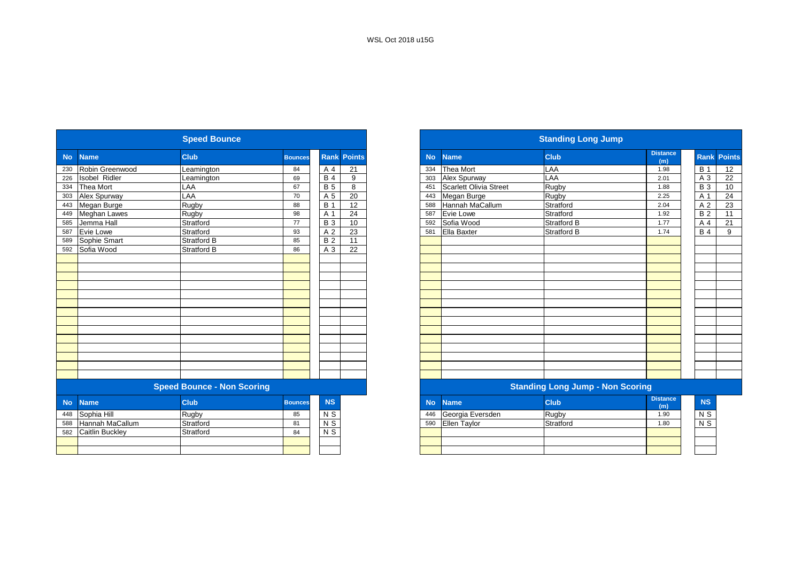|           |                        | <b>Speed Bounce</b>               |                |                |                    |           |                        | <b>Standing Long Jump</b>               |                        |
|-----------|------------------------|-----------------------------------|----------------|----------------|--------------------|-----------|------------------------|-----------------------------------------|------------------------|
| <b>No</b> | <b>Name</b>            | <b>Club</b>                       | <b>Bounces</b> |                | <b>Rank Points</b> | <b>No</b> | <b>Name</b>            | <b>Club</b>                             | <b>Distance</b><br>(m) |
| 230       | Robin Greenwood        | Leamington                        | 84             | A 4            | 21                 | 334       | Thea Mort              | LAA                                     | 1.98                   |
| 226       | <b>Isobel Ridler</b>   | Leamington                        | 69             | <b>B4</b>      | 9                  | 303       | Alex Spurway           | LAA                                     | 2.01                   |
| 334       | Thea Mort              | LAA                               | 67             | <b>B</b> 5     | 8                  | 451       | Scarlett Olivia Street | Rugby                                   | 1.88                   |
| 303       | Alex Spurway           | LAA                               | 70             | A 5            | $\overline{20}$    | 443       | Megan Burge            | Rugby                                   | 2.25                   |
| 443       | Megan Burge            | Rugby                             | 88             | <b>B</b> 1     | 12                 | 588       | <b>Hannah MaCallum</b> | Stratford                               | 2.04                   |
| 449       | <b>Meghan Lawes</b>    | Rugby                             | 98             | A 1            | 24                 | 587       | Evie Lowe              | Stratford                               | 1.92                   |
| 585       | Jemma Hall             | Stratford                         | 77             | <b>B3</b>      | 10                 | 592       | Sofia Wood             | Stratford B                             | 1.77                   |
| 587       | <b>Evie Lowe</b>       | Stratford                         | 93             | A <sub>2</sub> | 23                 | 581       | Ella Baxter            | <b>Stratford B</b>                      | 1.74                   |
| 589       | Sophie Smart           | Stratford B                       | 85             | <b>B2</b>      | 11                 |           |                        |                                         |                        |
| 592       | Sofia Wood             | <b>Stratford B</b>                | 86             | A 3            | 22                 |           |                        |                                         |                        |
|           |                        |                                   |                |                |                    |           |                        |                                         |                        |
|           |                        |                                   |                |                |                    |           |                        |                                         |                        |
|           |                        |                                   |                |                |                    |           |                        |                                         |                        |
|           |                        |                                   |                |                |                    |           |                        |                                         |                        |
|           |                        |                                   |                |                |                    |           |                        |                                         |                        |
|           |                        |                                   |                |                |                    |           |                        |                                         |                        |
|           |                        |                                   |                |                |                    |           |                        |                                         |                        |
|           |                        |                                   |                |                |                    |           |                        |                                         |                        |
|           |                        |                                   |                |                |                    |           |                        |                                         |                        |
|           |                        |                                   |                |                |                    |           |                        |                                         |                        |
|           |                        |                                   |                |                |                    |           |                        |                                         |                        |
|           |                        |                                   |                |                |                    |           |                        |                                         |                        |
|           |                        |                                   |                |                |                    |           |                        |                                         |                        |
|           |                        |                                   |                |                |                    |           |                        |                                         |                        |
|           |                        | <b>Speed Bounce - Non Scoring</b> |                |                |                    |           |                        | <b>Standing Long Jump - Non Scoring</b> |                        |
| <b>No</b> | <b>Name</b>            | <b>Club</b>                       | <b>Bounces</b> | <b>NS</b>      |                    | <b>No</b> | <b>Name</b>            | <b>Club</b>                             | <b>Distance</b><br>(m) |
| 448       | Sophia Hill            | Rugby                             | 85             | N <sub>S</sub> |                    | 446       | Georgia Eversden       | Rugby                                   | 1.90                   |
| 588       | <b>Hannah MaCallum</b> | Stratford                         | 81             | N <sub>S</sub> |                    | 590       | <b>Ellen Taylor</b>    | Stratford                               | 1.80                   |
|           | 582 Caitlin Buckley    | Stratford                         | 84             | $N$ S          |                    |           |                        |                                         |                        |

|           |                        | <b>Speed Bounce</b>               |                |            |                    |
|-----------|------------------------|-----------------------------------|----------------|------------|--------------------|
| <b>No</b> | <b>Name</b>            | <b>Club</b>                       | <b>Bounces</b> |            | <b>Rank Points</b> |
|           | Robin Greenwood        | Leamington                        | 84             | A 4        | 21                 |
|           | <b>Isobel Ridler</b>   | Leamington                        | 69             | <b>B</b> 4 | 9                  |
|           | Thea Mort              | LAA                               | 67             | <b>B</b> 5 | 8                  |
|           | Alex Spurway           | LAA                               | 70             | A 5        | 20                 |
|           | Megan Burge            | Rugby                             | 88             | <b>B</b> 1 | $\overline{12}$    |
|           | <b>Meghan Lawes</b>    | Rugby                             | 98             | A 1        | 24                 |
|           | Jemma Hall             | Stratford                         | 77             | <b>B</b> 3 | 10                 |
|           | Evie Lowe              | Stratford                         | 93             | A 2        | 23                 |
|           | Sophie Smart           | <b>Stratford B</b>                | 85             | <b>B2</b>  | 11                 |
|           | Sofia Wood             | Stratford B                       | 86             | A 3        | 22                 |
|           |                        |                                   |                |            |                    |
|           |                        |                                   |                |            |                    |
|           |                        |                                   |                |            |                    |
|           |                        |                                   |                |            |                    |
|           |                        |                                   |                |            |                    |
|           |                        |                                   |                |            |                    |
|           |                        |                                   |                |            |                    |
|           |                        |                                   |                |            |                    |
|           |                        |                                   |                |            |                    |
|           |                        |                                   |                |            |                    |
|           |                        |                                   |                |            |                    |
|           |                        |                                   |                |            |                    |
|           |                        |                                   |                |            |                    |
|           |                        |                                   |                |            |                    |
|           |                        | <b>Speed Bounce - Non Scoring</b> |                |            |                    |
|           | <b>Name</b>            | <b>Club</b>                       | <b>Bounces</b> | <b>NS</b>  |                    |
|           | Sophia Hill            | Rugby                             | 85             | N S        |                    |
|           | Hannah MaCallum        | Stratford                         | 81             | $N$ S      |                    |
|           | <b>Caitlin Buckley</b> | Stratford                         | 84             | $N$ S      |                    |
|           |                        |                                   |                |            |                    |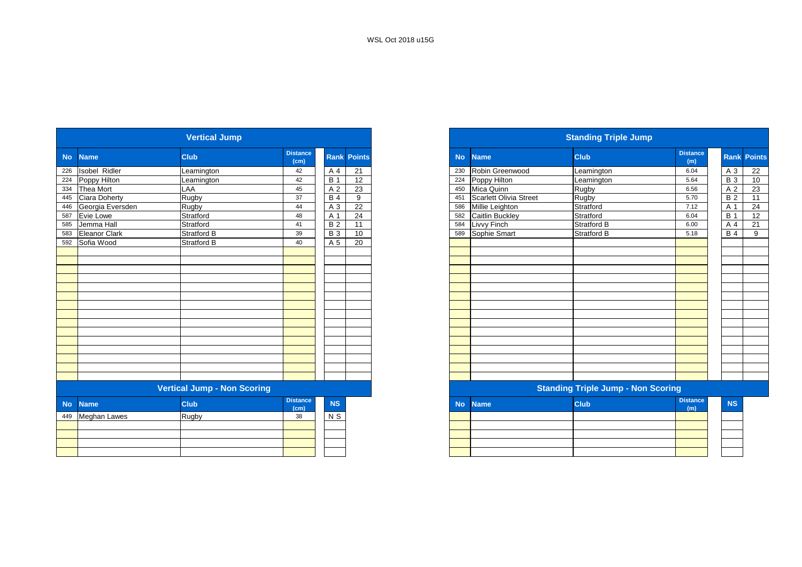|           |                      | <b>Vertical Jump</b>               |                         |                |                    |
|-----------|----------------------|------------------------------------|-------------------------|----------------|--------------------|
| <b>No</b> | <b>Name</b>          | Club                               | <b>Distance</b><br>(cm) |                | <b>Rank Points</b> |
| 226       | Isobel Ridler        | Leamington                         | 42                      | A 4            | 21                 |
| 224       | Poppy Hilton         | Leamington                         | 42                      | <b>B</b> 1     | 12                 |
| 334       | Thea Mort            | LAA                                | 45                      | A 2            | 23                 |
| 445       | Ciara Doherty        | Rugby                              | 37                      | <b>B4</b>      | 9                  |
| 446       | Georgia Eversden     | Rugby                              | 44                      | A 3            | 22                 |
| 587       | Evie Lowe            | Stratford                          | 48                      | A <sub>1</sub> | 24                 |
| 585       | Jemma Hall           | Stratford                          | 41                      | <b>B2</b>      | 11                 |
| 583       | <b>Eleanor Clark</b> | Stratford B                        | 39                      | <b>B3</b>      | 10                 |
| 592       | Sofia Wood           | Stratford B                        | 40                      | A 5            | 20                 |
|           |                      |                                    |                         |                |                    |
|           |                      |                                    |                         |                |                    |
|           |                      |                                    |                         |                |                    |
|           |                      |                                    |                         |                |                    |
|           |                      |                                    |                         |                |                    |
|           |                      |                                    |                         |                |                    |
|           |                      |                                    |                         |                |                    |
|           |                      |                                    |                         |                |                    |
|           |                      |                                    |                         |                |                    |
|           |                      |                                    |                         |                |                    |
|           |                      |                                    |                         |                |                    |
|           |                      |                                    |                         |                |                    |
|           |                      |                                    |                         |                |                    |
|           |                      |                                    |                         |                |                    |
|           |                      | <b>Vertical Jump - Non Scoring</b> |                         |                |                    |
| <b>No</b> | <b>Name</b>          | Club                               | <b>Distance</b><br>(cm) | <b>NS</b>      |                    |
| 449       | <b>Meghan Lawes</b>  | Rugby                              | 38                      | N S            |                    |
|           |                      |                                    |                         |                |                    |
|           |                      |                                    |                         |                |                    |
|           |                      |                                    |                         |                |                    |
|           |                      |                                    |                         |                |                    |

|                                    |                      | <b>Vertical Jump</b> |                         |            |                    |  |
|------------------------------------|----------------------|----------------------|-------------------------|------------|--------------------|--|
|                                    | <b>Name</b>          | <b>Club</b>          | <b>Distance</b><br>(cm) |            | <b>Rank Points</b> |  |
|                                    | <b>Isobel Ridler</b> | Leamington           | 42                      | A 4        | 21                 |  |
|                                    | Poppy Hilton         | eamington            | 42                      | <b>B</b> 1 | 12                 |  |
|                                    | <b>Thea Mort</b>     | LAA                  | 45                      | A 2        | 23                 |  |
|                                    | <b>Ciara Doherty</b> | Rugby                | 37                      | <b>B</b> 4 | 9                  |  |
|                                    | Georgia Eversden     | Rugby                | 44                      | A 3        | 22                 |  |
|                                    | Evie Lowe            | Stratford            | 48                      | A 1        | 24                 |  |
|                                    | Jemma Hall           | Stratford            | 41                      | <b>B2</b>  | 11                 |  |
|                                    | Eleanor Clark        | <b>Stratford B</b>   | 39                      | <b>B</b> 3 | 10                 |  |
|                                    | 592 Sofia Wood       | <b>Stratford B</b>   | 40                      | A 5        | 20                 |  |
|                                    |                      |                      |                         |            |                    |  |
|                                    |                      |                      |                         |            |                    |  |
|                                    |                      |                      |                         |            |                    |  |
|                                    |                      |                      |                         |            |                    |  |
|                                    |                      |                      |                         |            |                    |  |
|                                    |                      |                      |                         |            |                    |  |
|                                    |                      |                      |                         |            |                    |  |
|                                    |                      |                      |                         |            |                    |  |
|                                    |                      |                      |                         |            |                    |  |
|                                    |                      |                      |                         |            |                    |  |
|                                    |                      |                      |                         |            |                    |  |
|                                    |                      |                      |                         |            |                    |  |
|                                    |                      |                      |                         |            |                    |  |
|                                    |                      |                      |                         |            |                    |  |
|                                    |                      |                      |                         |            |                    |  |
| <b>Vertical Jump - Non Scoring</b> |                      |                      |                         |            |                    |  |
| <b>No</b>                          | <b>Name</b>          | <b>Club</b>          | <b>Distance</b><br>(cm) | <b>NS</b>  |                    |  |
|                                    | 449 Meghan Lawes     | Rugby                | 38                      | N S        |                    |  |
|                                    |                      |                      |                         |            |                    |  |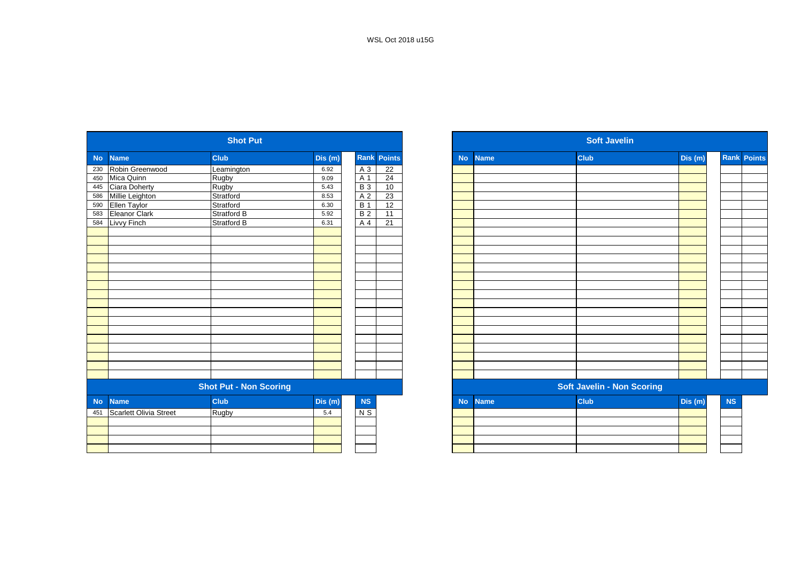|                          | <b>Shot Put</b>                                            |              |                               |                         |
|--------------------------|------------------------------------------------------------|--------------|-------------------------------|-------------------------|
| <b>Name</b><br><b>No</b> | <b>Club</b>                                                | Dis (m)      |                               | <b>Rank Points</b>      |
| Robin Greenwood          | Leamington                                                 | 6.92         | A 3                           | 22                      |
| Mica Quinn               | Rugby                                                      | 9.09         | A 1                           | 24                      |
| Ciara Doherty            | Rugby                                                      | 5.43         | <b>B3</b>                     | 10                      |
|                          | Stratford                                                  | 8.53         |                               | 23                      |
| Ellen Taylor             | Stratford                                                  | 6.30         | <b>B</b> 1                    | $\overline{12}$         |
|                          | Stratford B                                                | 5.92         | <b>B2</b>                     | 11                      |
| Livvy Finch              | <b>Stratford B</b>                                         | 6.31         | A 4                           | 21                      |
|                          |                                                            |              |                               |                         |
|                          |                                                            |              |                               |                         |
|                          |                                                            |              |                               |                         |
|                          |                                                            |              |                               |                         |
|                          |                                                            |              |                               |                         |
|                          |                                                            |              |                               |                         |
|                          |                                                            |              |                               |                         |
|                          |                                                            |              |                               |                         |
|                          |                                                            |              |                               |                         |
|                          |                                                            |              |                               |                         |
|                          |                                                            |              |                               |                         |
|                          |                                                            |              |                               |                         |
|                          |                                                            |              |                               |                         |
|                          |                                                            |              |                               |                         |
|                          |                                                            |              |                               |                         |
|                          |                                                            |              |                               |                         |
|                          |                                                            |              |                               |                         |
|                          |                                                            |              |                               |                         |
| <b>Name</b>              | Club                                                       | Dis (m)      | NS                            |                         |
|                          |                                                            | 5.4          |                               |                         |
|                          |                                                            |              |                               |                         |
|                          |                                                            |              |                               |                         |
|                          |                                                            |              |                               |                         |
|                          |                                                            |              |                               |                         |
|                          | Millie Leighton<br>Eleanor Clark<br>Scarlett Olivia Street | <b>Rugby</b> | <b>Shot Put - Non Scoring</b> | A <sub>2</sub><br>$N$ S |

| <b>Shot Put</b> |                               |                               |         |                |                    |  |
|-----------------|-------------------------------|-------------------------------|---------|----------------|--------------------|--|
|                 | <b>Name</b>                   | <b>Club</b>                   | Dis(m)  |                | <b>Rank Points</b> |  |
|                 | Robin Greenwood               | Leamington                    | 6.92    | A 3            | $\overline{22}$    |  |
|                 | Mica Quinn                    | Rugby                         | 9.09    | A 1            | 24                 |  |
|                 | Ciara Doherty                 | Rugby                         | 5.43    | <b>B3</b>      | 10                 |  |
|                 | Millie Leighton               | Stratford                     | 8.53    | A 2            | 23                 |  |
|                 | Ellen Taylor                  | Stratford                     | 6.30    | <b>B</b> 1     | 12                 |  |
|                 | Eleanor Clark                 | Stratford B                   | 5.92    | B <sub>2</sub> | $\overline{11}$    |  |
|                 | Livvy Finch                   | Stratford B                   | 6.31    | A 4            | 21                 |  |
|                 |                               |                               |         |                |                    |  |
|                 |                               |                               |         |                |                    |  |
|                 |                               |                               |         |                |                    |  |
|                 |                               |                               |         |                |                    |  |
|                 |                               |                               |         |                |                    |  |
|                 |                               |                               |         |                |                    |  |
|                 |                               |                               |         |                |                    |  |
|                 |                               |                               |         |                |                    |  |
|                 |                               |                               |         |                |                    |  |
|                 |                               |                               |         |                |                    |  |
|                 |                               |                               |         |                |                    |  |
|                 |                               |                               |         |                |                    |  |
|                 |                               |                               |         |                |                    |  |
|                 |                               |                               |         |                |                    |  |
|                 |                               |                               |         |                |                    |  |
|                 |                               |                               |         |                |                    |  |
|                 |                               |                               |         |                |                    |  |
|                 |                               | <b>Shot Put - Non Scoring</b> |         |                |                    |  |
| No.             | <b>Name</b>                   | <b>Club</b>                   | Dis (m) | NS             |                    |  |
| 451             | <b>Scarlett Olivia Street</b> | <b>Rugby</b>                  | 5.4     | $N$ S          |                    |  |
|                 |                               |                               |         |                |                    |  |
|                 |                               |                               |         |                |                    |  |
|                 |                               |                               |         |                |                    |  |
|                 |                               |                               |         |                |                    |  |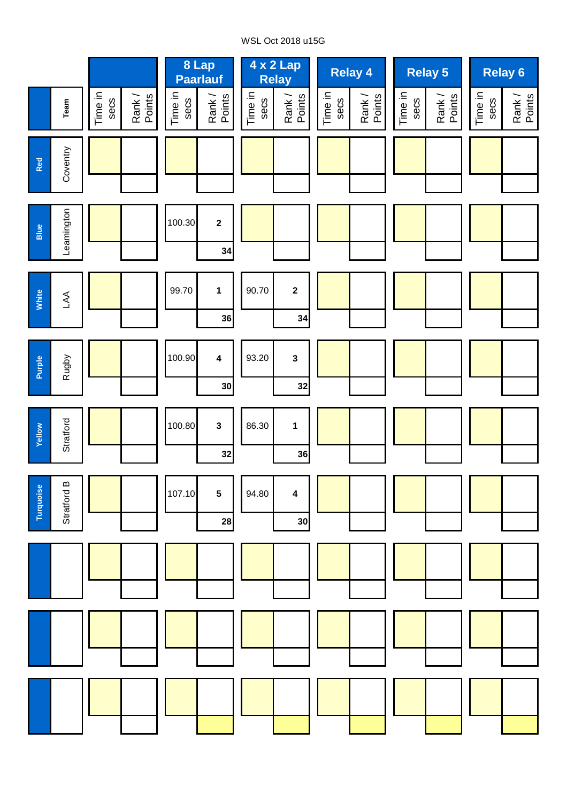# WSL Oct 2018 u15G

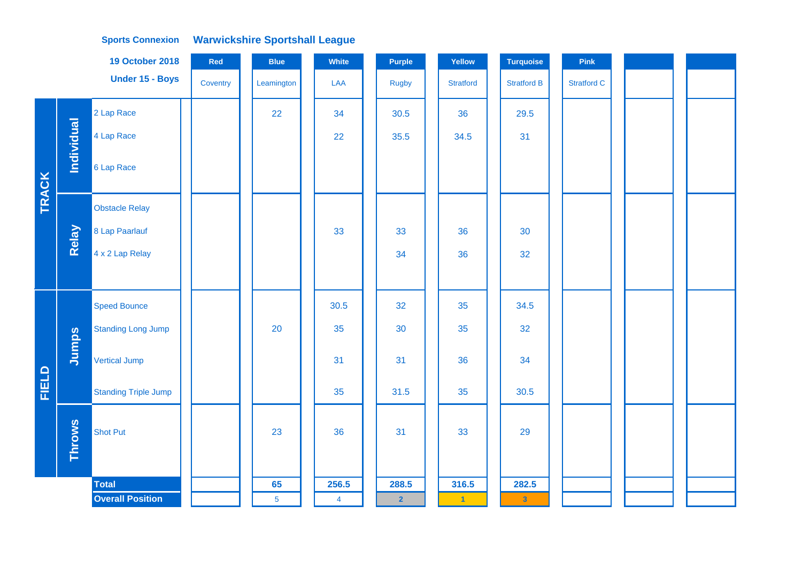|              |               | <b>19 October 2018</b>      | Red      | <b>Blue</b>    | <b>White</b>   | <b>Purple</b>           | Yellow               | <b>Turquoise</b>        | Pink               |  |
|--------------|---------------|-----------------------------|----------|----------------|----------------|-------------------------|----------------------|-------------------------|--------------------|--|
|              |               | Under 15 - Boys             | Coventry | Leamington     | LAA            | <b>Rugby</b>            | <b>Stratford</b>     | <b>Stratford B</b>      | <b>Stratford C</b> |  |
|              |               | 2 Lap Race                  |          | 22             | 34             | 30.5                    | 36                   | 29.5                    |                    |  |
|              | Individual    | 4 Lap Race                  |          |                | 22             | 35.5                    | 34.5                 | 31                      |                    |  |
| <b>TRACK</b> |               | 6 Lap Race                  |          |                |                |                         |                      |                         |                    |  |
|              |               | <b>Obstacle Relay</b>       |          |                |                |                         |                      |                         |                    |  |
|              | Relay         | 8 Lap Paarlauf              |          |                | 33             | 33                      | 36                   | 30                      |                    |  |
|              |               | 4 x 2 Lap Relay             |          |                |                | 34                      | 36                   | 32                      |                    |  |
|              |               |                             |          |                |                |                         |                      |                         |                    |  |
|              |               | <b>Speed Bounce</b>         |          |                | 30.5           | 32                      | 35                   | 34.5                    |                    |  |
|              |               | <b>Standing Long Jump</b>   |          | 20             | 35             | 30                      | 35                   | 32                      |                    |  |
|              | Jumps         | Vertical Jump               |          |                | 31             | 31                      | 36                   | 34                      |                    |  |
| <b>FIELD</b> |               | <b>Standing Triple Jump</b> |          |                | 35             | 31.5                    | 35                   | 30.5                    |                    |  |
|              | <b>Throws</b> | <b>Shot Put</b>             |          | 23             | 36             | 31                      | 33                   | 29                      |                    |  |
|              |               | <b>Total</b>                |          | 65             | 256.5          | 288.5                   | 316.5                | 282.5                   |                    |  |
|              |               | <b>Overall Position</b>     |          | $\overline{5}$ | $\overline{4}$ | $\overline{\mathbf{2}}$ | $\blacktriangleleft$ | $\overline{\mathbf{3}}$ |                    |  |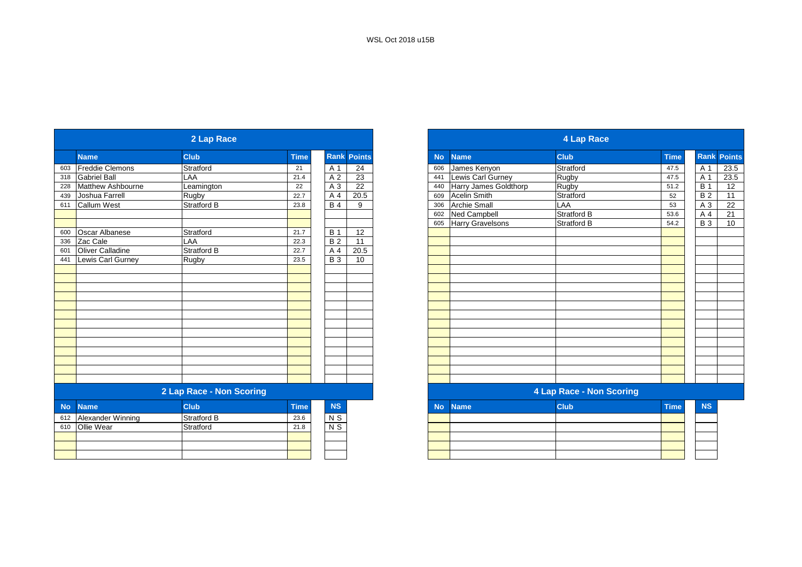|     |                        | 2 Lap Race               |             |                 |                    |
|-----|------------------------|--------------------------|-------------|-----------------|--------------------|
|     | <b>Name</b>            | <b>Club</b>              | <b>Time</b> |                 | <b>Rank Points</b> |
| 603 | <b>Freddie Clemons</b> | Stratford                | 21          | A 1             | 24                 |
| 318 | <b>Gabriel Ball</b>    | LAA                      | 21.4        | A 2             | 23                 |
| 228 | Matthew Ashbourne      | Leamington               | 22          | A 3             | 22                 |
| 439 | Joshua Farrell         | Rugby                    | 22.7        | A 4             | 20.5               |
| 611 | <b>Callum West</b>     | Stratford B              | 23.8        | <b>B</b> 4      | 9                  |
|     |                        |                          |             |                 |                    |
|     |                        |                          |             |                 |                    |
| 600 | Oscar Albanese         | Stratford                | 21.7        | <b>B</b> 1      | 12                 |
| 336 | Zac Cale               | LAA                      | 22.3        | $\overline{B2}$ | 11                 |
| 601 | Oliver Calladine       | Stratford B              | 22.7        | A 4             | 20.5               |
| 441 | Lewis Carl Gurney      | Rugby                    | 23.5        | $B_3$           | 10                 |
|     |                        |                          |             |                 |                    |
|     |                        |                          |             |                 |                    |
|     |                        |                          |             |                 |                    |
|     |                        |                          |             |                 |                    |
|     |                        |                          |             |                 |                    |
|     |                        |                          |             |                 |                    |
|     |                        |                          |             |                 |                    |
|     |                        |                          |             |                 |                    |
|     |                        |                          |             |                 |                    |
|     |                        |                          |             |                 |                    |
|     |                        |                          |             |                 |                    |
|     |                        |                          |             |                 |                    |
|     |                        |                          |             |                 |                    |
|     |                        | 2 Lap Race - Non Scoring |             |                 |                    |
|     | No Name                | Club.                    | Time        | <b>NS</b>       |                    |

| No. | <b>Name</b>           | <b>Club</b>        | \Time <sup>\</sup> | <b>NS</b>      |
|-----|-----------------------|--------------------|--------------------|----------------|
|     | 612 Alexander Winning | <b>Stratford B</b> | 23.6               | N <sub>S</sub> |
|     | 610 Ollie Wear        | Stratford          | 21.8               | N <sub>S</sub> |
|     |                       |                    |                    |                |
|     |                       |                    |                    |                |

|           |                       | 2 Lap Race               |             |                    |      |
|-----------|-----------------------|--------------------------|-------------|--------------------|------|
|           | Name                  | <b>Club</b>              | <b>Time</b> | <b>Rank Points</b> |      |
|           | Freddie Clemons       | Stratford                | 21          | A 1                | 24   |
|           | <b>Gabriel Ball</b>   | LAA                      | 21.4        | A 2                | 23   |
|           | Matthew Ashbourne     | Leamington               | 22          | A 3                | 22   |
|           | Joshua Farrell        | Rugby                    | 22.7        | A 4                | 20.5 |
|           | <b>Callum West</b>    | <b>Stratford B</b>       | 23.8        | <b>B4</b>          | 9    |
|           |                       |                          |             |                    |      |
|           |                       |                          |             |                    |      |
|           | <b>Oscar Albanese</b> | Stratford                | 21.7        | <b>B</b> 1         | 12   |
|           | Zac Cale              | LAA                      | 22.3        | $\overline{B2}$    | 11   |
|           | Oliver Calladine      | <b>Stratford B</b>       | 22.7        | A 4                | 20.5 |
|           | Lewis Carl Gurney     | Rugby                    | 23.5        | <b>B3</b>          | 10   |
|           |                       |                          |             |                    |      |
|           |                       |                          |             |                    |      |
|           |                       |                          |             |                    |      |
|           |                       |                          |             |                    |      |
|           |                       |                          |             |                    |      |
|           |                       |                          |             |                    |      |
|           |                       |                          |             |                    |      |
|           |                       |                          |             |                    |      |
|           |                       |                          |             |                    |      |
|           |                       |                          |             |                    |      |
|           |                       |                          |             |                    |      |
|           |                       |                          |             |                    |      |
|           |                       |                          |             |                    |      |
|           |                       | 2 Lap Race - Non Scoring |             |                    |      |
| <b>No</b> | <b>Name</b>           | <b>Club</b>              | <b>Time</b> | <b>NS</b>          |      |
|           | 612 Alexander Winning | <b>Stratford B</b>       | 23.6        | N <sub>S</sub>     |      |
|           | 610 Ollie Wear        | Stratford                | 21.8        | $N$ S              |      |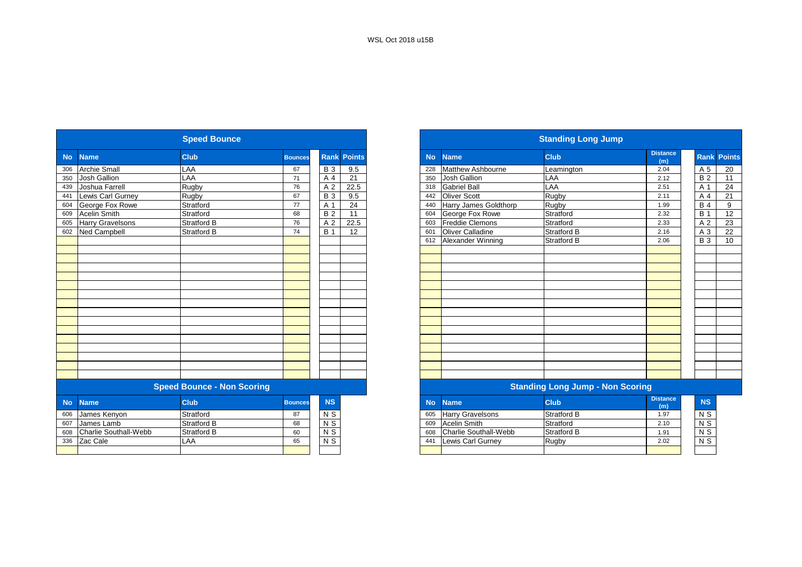|           |                              | <b>Speed Bounce</b>               |                |                |                    |
|-----------|------------------------------|-----------------------------------|----------------|----------------|--------------------|
| <b>No</b> | <b>Name</b>                  | <b>Club</b>                       | <b>Bounces</b> |                | <b>Rank Points</b> |
| 306       | <b>Archie Small</b>          | LAA                               | 67             | <b>B</b> 3     | 9.5                |
| 350       | <b>Josh Gallion</b>          | LAA                               | 71             | A 4            | 21                 |
| 439       | Joshua Farrell               | Rugby                             | 76             | A 2            | 22.5               |
| 441       | Lewis Carl Gurney            | Rugby                             | 67             | <b>B</b> 3     | 9.5                |
| 604       | George Fox Rowe              | Stratford                         | 77             | A 1            | 24                 |
| 609       | <b>Acelin Smith</b>          | Stratford                         | 68             | <b>B2</b>      | 11                 |
| 605       | <b>Harry Gravelsons</b>      | Stratford B                       | 76             | A 2            | 22.5               |
| 602       | <b>Ned Campbell</b>          | Stratford B                       | 74             | <b>B</b> 1     | 12                 |
|           |                              |                                   |                |                |                    |
|           |                              |                                   |                |                |                    |
|           |                              |                                   |                |                |                    |
|           |                              |                                   |                |                |                    |
|           |                              |                                   |                |                |                    |
|           |                              |                                   |                |                |                    |
|           |                              |                                   |                |                |                    |
|           |                              |                                   |                |                |                    |
|           |                              |                                   |                |                |                    |
|           |                              |                                   |                |                |                    |
|           |                              |                                   |                |                |                    |
|           |                              |                                   |                |                |                    |
|           |                              |                                   |                |                |                    |
|           |                              |                                   |                |                |                    |
|           |                              |                                   |                |                |                    |
|           |                              |                                   |                |                |                    |
|           |                              | <b>Speed Bounce - Non Scoring</b> |                |                |                    |
| <b>No</b> | <b>Name</b>                  | <b>Club</b>                       | <b>Bounces</b> | <b>NS</b>      |                    |
| 606       | James Kenyon                 | Stratford                         | 87             | N <sub>S</sub> |                    |
| 607       | James Lamb                   | <b>Stratford B</b>                | 68             | $N$ S          |                    |
| 608       | <b>Charlie Southall-Webb</b> | Stratford B                       | 60             | $N$ S          |                    |
| 336       | Zac Cale                     | LAA                               | 65             | N <sub>S</sub> |                    |
|           |                              |                                   |                |                |                    |
|           |                              |                                   |                |                |                    |

|                            | <b>Speed Bounce</b>               |                |                |                    |
|----------------------------|-----------------------------------|----------------|----------------|--------------------|
| <b>No</b><br><b>Name</b>   | <b>Club</b>                       | <b>Bounces</b> |                | <b>Rank Points</b> |
| <b>Archie Small</b>        | LAA                               | 67             | <b>B</b> 3     | 9.5                |
| 350<br><b>Josh Gallion</b> | LAA                               | 71             | A 4            | 21                 |
| 439<br>Joshua Farrell      | Rugby                             | 76             | A <sub>2</sub> | 22.5               |
| Lewis Carl Gurney          | Rugby                             | 67             | <b>B</b> 3     | 9.5                |
| George Fox Rowe            | Stratford                         | 77             | A 1            | 24                 |
| <b>Acelin Smith</b>        | Stratford                         | 68             | <b>B2</b>      | 11                 |
| <b>Harry Gravelsons</b>    | <b>Stratford B</b>                | 76             | A 2            | 22.5               |
| Ned Campbell               | Stratford B                       | 74             | <b>B</b> 1     | 12                 |
|                            |                                   |                |                |                    |
|                            |                                   |                |                |                    |
|                            |                                   |                |                |                    |
|                            |                                   |                |                |                    |
|                            |                                   |                |                |                    |
|                            |                                   |                |                |                    |
|                            |                                   |                |                |                    |
|                            |                                   |                |                |                    |
|                            |                                   |                |                |                    |
|                            |                                   |                |                |                    |
|                            |                                   |                |                |                    |
|                            |                                   |                |                |                    |
|                            |                                   |                |                |                    |
|                            |                                   |                |                |                    |
|                            |                                   |                |                |                    |
|                            |                                   |                |                |                    |
|                            | <b>Speed Bounce - Non Scoring</b> |                |                |                    |
| <b>No</b><br><b>Name</b>   | <b>Club</b>                       | <b>Bounces</b> | <b>NS</b>      |                    |
| 606<br>James Kenyon        | Stratford                         | 87             | N <sub>S</sub> |                    |
| James Lamb                 | <b>Stratford B</b>                | 68             | N <sub>S</sub> |                    |
| Charlie Southall-Webb      | Stratford B                       | 60             | N <sub>S</sub> |                    |
| 336 Zac Cale               | LAA                               | 65             | $N$ S          |                    |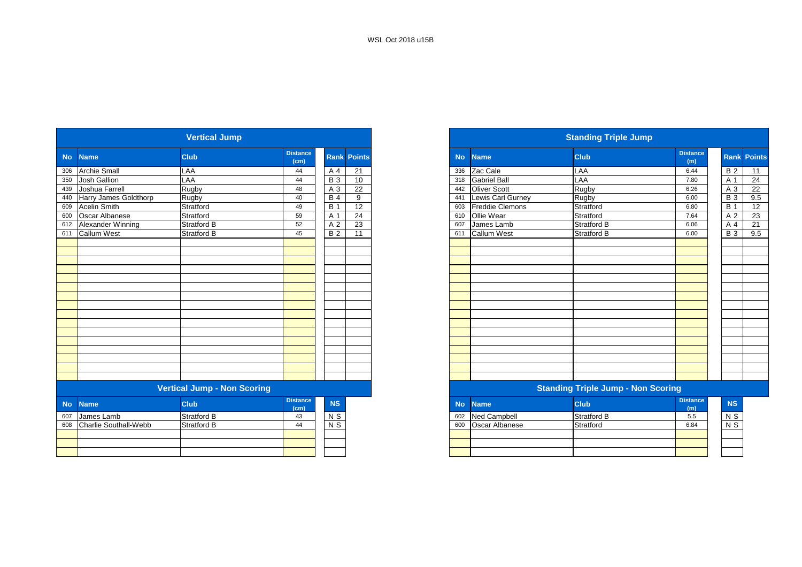|           |                       | <b>Vertical Jump</b>               |                         |                  |                    |
|-----------|-----------------------|------------------------------------|-------------------------|------------------|--------------------|
| <b>No</b> | <b>Name</b>           | <b>Club</b>                        | <b>Distance</b><br>(cm) |                  | <b>Rank Points</b> |
| 306       | <b>Archie Small</b>   | LAA                                | 44                      | A 4              | 21                 |
| 350       | Josh Gallion          | LAA                                | 44                      | $\overline{B}$ 3 | 10                 |
| 439       | Joshua Farrell        | Rugby                              | 48                      | A 3              | $\overline{22}$    |
| 440       | Harry James Goldthorp | Rugby                              | 40                      | <b>B</b> 4       | 9                  |
| 609       | <b>Acelin Smith</b>   | Stratford                          | 49                      | <b>B</b> 1       | 12                 |
| 600       | Oscar Albanese        | Stratford                          | 59                      | A 1              | 24                 |
| 612       | Alexander Winning     | <b>Stratford B</b>                 | 52                      | A 2              | 23                 |
| 611       | <b>Callum West</b>    | Stratford B                        | 45                      | <b>B2</b>        | 11                 |
|           |                       |                                    |                         |                  |                    |
|           |                       |                                    |                         |                  |                    |
|           |                       |                                    |                         |                  |                    |
|           |                       |                                    |                         |                  |                    |
|           |                       |                                    |                         |                  |                    |
|           |                       |                                    |                         |                  |                    |
|           |                       |                                    |                         |                  |                    |
|           |                       |                                    |                         |                  |                    |
|           |                       |                                    |                         |                  |                    |
|           |                       |                                    |                         |                  |                    |
|           |                       |                                    |                         |                  |                    |
|           |                       |                                    |                         |                  |                    |
|           |                       |                                    |                         |                  |                    |
|           |                       |                                    |                         |                  |                    |
|           |                       |                                    |                         |                  |                    |
|           |                       |                                    |                         |                  |                    |
|           |                       | <b>Vertical Jump - Non Scoring</b> |                         |                  |                    |
| <b>No</b> | <b>Name</b>           | <b>Club</b>                        | <b>Distance</b><br>(cm) | <b>NS</b>        |                    |
| 607       | James Lamb            | <b>Stratford B</b>                 | 43                      | $N$ S            |                    |
| 608       | Charlie Southall-Webb | Stratford B                        | 44                      | $N$ S            |                    |
|           |                       |                                    |                         |                  |                    |
|           |                       |                                    |                         |                  |                    |
|           |                       |                                    |                         |                  |                    |

|                           | <b>Vertical Jump</b>                                                                                            |                         |            |                    | <b>Standing Triple Jump</b> |                        |                                                                                                                 |                        |            |                    |
|---------------------------|-----------------------------------------------------------------------------------------------------------------|-------------------------|------------|--------------------|-----------------------------|------------------------|-----------------------------------------------------------------------------------------------------------------|------------------------|------------|--------------------|
| No Name                   | <b>Club</b>                                                                                                     | <b>Distance</b><br>(cm) |            | <b>Rank Points</b> | <b>No</b>                   | <b>Name</b>            | <b>Club</b>                                                                                                     | <b>Distance</b><br>(m) |            | <b>Rank Points</b> |
| 306 Archie Small          | LAA                                                                                                             | 44                      | A 4        | $\overline{21}$    |                             | 336 Zac Cale           | LAA                                                                                                             | 6.44                   | <b>B2</b>  | 11                 |
| 350 Josh Gallion          | LAA                                                                                                             | 44                      | <b>B</b> 3 | 10                 | 318                         | <b>Gabriel Ball</b>    | LAA                                                                                                             | 7.80                   | A 1        | 24                 |
| 439 Joshua Farrell        | Rugby                                                                                                           | 48                      | A 3        | 22                 |                             | 442 Oliver Scott       | Rugby                                                                                                           | 6.26                   | A 3        | 22                 |
| 440 Harry James Goldthorp | Rugby                                                                                                           | 40                      | <b>B</b> 4 | 9                  | 441                         | Lewis Carl Gurney      | Rugby                                                                                                           | 6.00                   | <b>B</b> 3 | 9.5                |
| 609 Acelin Smith          | Stratford                                                                                                       | 49                      | <b>B</b> 1 | 12                 | 603                         | <b>Freddie Clemons</b> | Stratford                                                                                                       | 6.80                   | <b>B</b> 1 | 12                 |
| 600 Oscar Albanese        | Stratford                                                                                                       | 59                      | A 1        | 24                 | 610                         | Ollie Wear             | Stratford                                                                                                       | 7.64                   | A 2        | 23                 |
| 612 Alexander Winning     | Stratford B                                                                                                     | 52                      | A 2        | $\overline{23}$    | 607                         | James Lamb             | <b>Stratford B</b>                                                                                              | 6.06                   | A 4        | 21                 |
| 611 Callum West           | Stratford B                                                                                                     | 45                      | <b>B2</b>  | 11                 | 611                         | <b>Callum West</b>     | Stratford B                                                                                                     | 6.00                   | <b>B</b> 3 | 9.5                |
|                           |                                                                                                                 |                         |            |                    |                             |                        |                                                                                                                 |                        |            |                    |
|                           |                                                                                                                 |                         |            |                    |                             |                        |                                                                                                                 |                        |            |                    |
|                           |                                                                                                                 |                         |            |                    |                             |                        |                                                                                                                 |                        |            |                    |
|                           |                                                                                                                 |                         |            |                    |                             |                        |                                                                                                                 |                        |            |                    |
|                           |                                                                                                                 |                         |            |                    |                             |                        |                                                                                                                 |                        |            |                    |
|                           |                                                                                                                 |                         |            |                    |                             |                        |                                                                                                                 |                        |            |                    |
|                           |                                                                                                                 |                         |            |                    |                             |                        |                                                                                                                 |                        |            |                    |
|                           |                                                                                                                 |                         |            |                    |                             |                        |                                                                                                                 |                        |            |                    |
|                           |                                                                                                                 |                         |            |                    |                             |                        |                                                                                                                 |                        |            |                    |
|                           |                                                                                                                 |                         |            |                    |                             |                        |                                                                                                                 |                        |            |                    |
|                           |                                                                                                                 |                         |            |                    |                             |                        |                                                                                                                 |                        |            |                    |
|                           |                                                                                                                 |                         |            |                    |                             |                        |                                                                                                                 |                        |            |                    |
|                           |                                                                                                                 |                         |            |                    |                             |                        |                                                                                                                 |                        |            |                    |
|                           |                                                                                                                 |                         |            |                    |                             |                        |                                                                                                                 |                        |            |                    |
|                           |                                                                                                                 |                         |            |                    |                             |                        |                                                                                                                 |                        |            |                    |
|                           |                                                                                                                 |                         |            |                    |                             |                        |                                                                                                                 |                        |            |                    |
|                           | the contract of the contract of the contract of the contract of the contract of the contract of the contract of |                         |            |                    |                             |                        | the contract of the contract of the contract of the contract of the contract of the contract of the contract of |                        |            |                    |

#### **Standing Triple Jump - Non Scoring**

| <b>stance</b><br>(cm) | <b>NS</b> | No. | <b>Name</b>         | <b>Club</b>        | <b>Distance</b><br>(m) |  |
|-----------------------|-----------|-----|---------------------|--------------------|------------------------|--|
| 43                    | N S       | 602 | <b>Ned Campbell</b> | <b>Stratford B</b> | 5.5                    |  |
| 44                    | N S       | 600 | Oscar Albanese      | Stratford          | 6.84                   |  |
|                       |           |     |                     |                    |                        |  |
|                       |           |     |                     |                    |                        |  |
|                       |           |     |                     |                    |                        |  |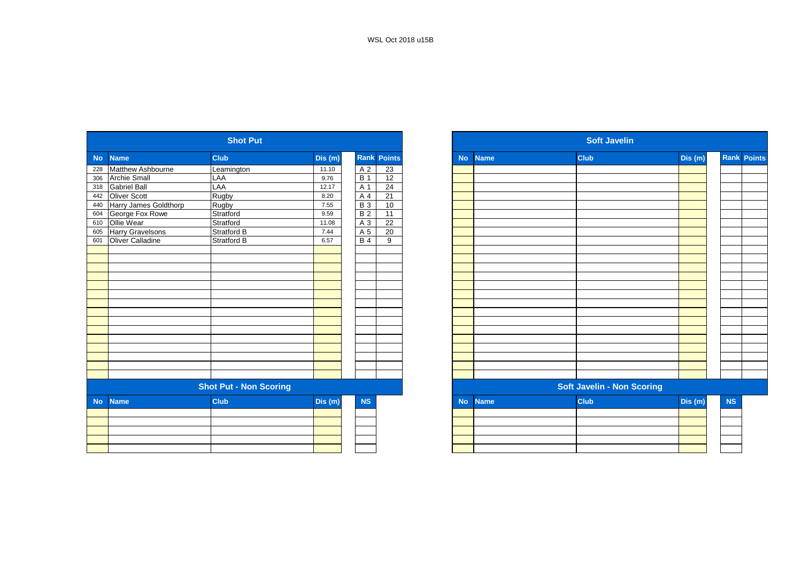|           |                          | <b>Shot Put</b>               |         |                  |                    |           |             | <b>Soft Javelin</b>               |         |
|-----------|--------------------------|-------------------------------|---------|------------------|--------------------|-----------|-------------|-----------------------------------|---------|
| <b>No</b> | <b>Name</b>              | <b>Club</b>                   | Dis (m) |                  | <b>Rank Points</b> | <b>No</b> | <b>Name</b> | <b>Club</b>                       | Dis (m) |
| 228       | <b>Matthew Ashbourne</b> | Leamington                    | 11.10   | A 2              | 23                 |           |             |                                   |         |
| 306       | <b>Archie Small</b>      | LAA                           | 9.76    | $\overline{B}$ 1 | 12                 |           |             |                                   |         |
| 318       | <b>Gabriel Ball</b>      | LAA                           | 12.17   | A 1              | 24                 |           |             |                                   |         |
| 442       | <b>Oliver Scott</b>      | Rugby                         | 8.20    | A 4              | 21                 |           |             |                                   |         |
| 440       | Harry James Goldthorp    | Rugby                         | 7.55    | $\overline{B}3$  | 10                 |           |             |                                   |         |
| 604       | George Fox Rowe          | Stratford                     | 9.59    | <b>B2</b>        | 11                 |           |             |                                   |         |
| 610       | Ollie Wear               | Stratford                     | 11.08   | A 3              | $\overline{22}$    |           |             |                                   |         |
| 605       | <b>Harry Gravelsons</b>  | <b>Stratford B</b>            | 7.44    | A <sub>5</sub>   | 20                 |           |             |                                   |         |
| 601       | Oliver Calladine         | <b>Stratford B</b>            | 6.57    | <b>B4</b>        | 9                  |           |             |                                   |         |
|           |                          |                               |         |                  |                    |           |             |                                   |         |
|           |                          |                               |         |                  |                    |           |             |                                   |         |
|           |                          |                               |         |                  |                    |           |             |                                   |         |
|           |                          |                               |         |                  |                    |           |             |                                   |         |
|           |                          |                               |         |                  |                    |           |             |                                   |         |
|           |                          |                               |         |                  |                    |           |             |                                   |         |
|           |                          |                               |         |                  |                    |           |             |                                   |         |
|           |                          |                               |         |                  |                    |           |             |                                   |         |
|           |                          |                               |         |                  |                    |           |             |                                   |         |
|           |                          |                               |         |                  |                    |           |             |                                   |         |
|           |                          |                               |         |                  |                    |           |             |                                   |         |
|           |                          |                               |         |                  |                    |           |             |                                   |         |
|           |                          |                               |         |                  |                    |           |             |                                   |         |
|           |                          |                               |         |                  |                    |           |             |                                   |         |
|           |                          |                               |         |                  |                    |           |             |                                   |         |
|           |                          | <b>Shot Put - Non Scoring</b> |         |                  |                    |           |             | <b>Soft Javelin - Non Scoring</b> |         |
| <b>No</b> | <b>Name</b>              | <b>Club</b>                   | Dis (m) | <b>NS</b>        |                    | <b>No</b> | <b>Name</b> | <b>Club</b>                       | Dis (m) |
|           |                          |                               |         |                  |                    |           |             |                                   |         |
|           |                          |                               |         |                  |                    |           |             |                                   |         |
|           |                          |                               |         |                  |                    |           |             |                                   |         |
|           |                          |                               |         |                  |                    |           |             |                                   |         |
|           |                          |                               |         |                  |                    |           |             |                                   |         |

|           |                         | <b>Shot Put</b>               |        |                  |                    |
|-----------|-------------------------|-------------------------------|--------|------------------|--------------------|
| No.       | <b>Name</b>             | <b>Club</b>                   | Dis(m) |                  | <b>Rank Points</b> |
| 228       | Matthew Ashbourne       | Leamington                    | 11.10  | A <sub>2</sub>   | 23                 |
| 306       | <b>Archie Small</b>     | LAA                           | 9.76   | $\overline{B}$ 1 | 12                 |
| 318       | <b>Gabriel Ball</b>     | LAA                           | 12.17  | A 1              | 24                 |
| 442       | <b>Oliver Scott</b>     | Rugby                         | 8.20   | A 4              | 21                 |
| 440       | Harry James Goldthorp   | Rugby                         | 7.55   | <b>B</b> 3       | 10                 |
| 604       | George Fox Rowe         | Stratford                     | 9.59   | B <sub>2</sub>   | 11                 |
| 610       | Ollie Wear              | Stratford                     | 11.08  | A 3              | 22                 |
| 605       | <b>Harry Gravelsons</b> | Stratford B                   | 7.44   | A 5              | 20                 |
| 601       | Oliver Calladine        | <b>Stratford B</b>            | 6.57   | B <sub>4</sub>   | 9                  |
|           |                         |                               |        |                  |                    |
|           |                         |                               |        |                  |                    |
|           |                         |                               |        |                  |                    |
|           |                         |                               |        |                  |                    |
|           |                         |                               |        |                  |                    |
|           |                         |                               |        |                  |                    |
|           |                         |                               |        |                  |                    |
|           |                         |                               |        |                  |                    |
|           |                         |                               |        |                  |                    |
|           |                         |                               |        |                  |                    |
|           |                         |                               |        |                  |                    |
|           |                         |                               |        |                  |                    |
|           |                         |                               |        |                  |                    |
|           |                         |                               |        |                  |                    |
|           |                         |                               |        |                  |                    |
|           |                         | <b>Shot Put - Non Scoring</b> |        |                  |                    |
| <b>No</b> | <b>Name</b>             | <b>Club</b>                   | Dis(m) | <b>NS</b>        |                    |
|           |                         |                               |        |                  |                    |
|           |                         |                               |        |                  |                    |
|           |                         |                               |        |                  |                    |
|           |                         |                               |        |                  |                    |
|           |                         |                               |        |                  |                    |